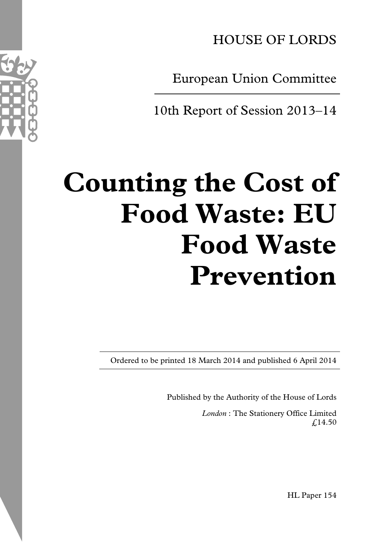HOUSE OF LORDS

European Union Committee

10th Report of Session 2013–14

# **Counting the Cost of Food Waste: EU Food Waste Prevention**

Ordered to be printed 18 March 2014 and published 6 April 2014

Published by the Authority of the House of Lords

*London* : The Stationery Office Limited  $f(14.50)$ 

HL Paper 154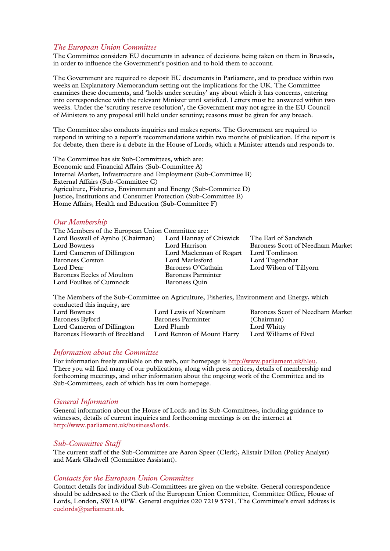#### *The European Union Committee*

The Committee considers EU documents in advance of decisions being taken on them in Brussels, in order to influence the Government's position and to hold them to account.

The Government are required to deposit EU documents in Parliament, and to produce within two weeks an Explanatory Memorandum setting out the implications for the UK. The Committee examines these documents, and 'holds under scrutiny' any about which it has concerns, entering into correspondence with the relevant Minister until satisfied. Letters must be answered within two weeks. Under the 'scrutiny reserve resolution', the Government may not agree in the EU Council of Ministers to any proposal still held under scrutiny; reasons must be given for any breach.

The Committee also conducts inquiries and makes reports. The Government are required to respond in writing to a report's recommendations within two months of publication. If the report is for debate, then there is a debate in the House of Lords, which a Minister attends and responds to.

The Committee has six Sub-Committees, which are: Economic and Financial Affairs (Sub-Committee A) Internal Market, Infrastructure and Employment (Sub-Committee B) External Affairs (Sub-Committee C) Agriculture, Fisheries, Environment and Energy (Sub-Committee D) Justice, Institutions and Consumer Protection (Sub-Committee E) Home Affairs, Health and Education (Sub-Committee F)

#### *Our Membership*

| The Members of the European Union Committee are: |                           |                                  |
|--------------------------------------------------|---------------------------|----------------------------------|
| Lord Boswell of Aynho (Chairman)                 | Lord Hannay of Chiswick   | The Earl of Sandwich             |
| Lord Bowness                                     | Lord Harrison             | Baroness Scott of Needham Market |
| Lord Cameron of Dillington                       | Lord Maclennan of Rogart  | Lord Tomlinson                   |
| <b>Baroness Corston</b>                          | Lord Marlesford           | Lord Tugendhat                   |
| Lord Dear                                        | Baroness O'Cathain        | Lord Wilson of Tillyorn          |
| Baroness Eccles of Moulton                       | <b>Baroness Parminter</b> |                                  |
| Lord Foulkes of Cumnock                          | Baroness Ouin             |                                  |
|                                                  |                           |                                  |

The Members of the Sub-Committee on Agriculture, Fisheries, Environment and Energy, which conducted this inquiry, are

| Lord Bowness                  | Lord Lewis of Newnham      | Baroness Scott of Needham Market |
|-------------------------------|----------------------------|----------------------------------|
| Baroness Byford               | <b>Baroness Parminter</b>  | (Chairman)                       |
| Lord Cameron of Dillington    | Lord Plumb                 | Lord Whitty                      |
| Baroness Howarth of Breckland | Lord Renton of Mount Harry | Lord Williams of Elvel           |

#### *Information about the Committee*

For information freely available on the web, our homepage is http://www.parliament.uk/hleu. There you will find many of our publications, along with press notices, details of membership and forthcoming meetings, and other information about the ongoing work of the Committee and its Sub-Committees, each of which has its own homepage.

#### *General Information*

General information about the House of Lords and its Sub-Committees, including guidance to witnesses, details of current inquiries and forthcoming meetings is on the internet at http://www.parliament.uk/business/lords.

#### *Sub-Committee Staff*

The current staff of the Sub-Committee are Aaron Speer (Clerk), Alistair Dillon (Policy Analyst) and Mark Gladwell (Committee Assistant).

#### *Contacts for the European Union Committee*

Contact details for individual Sub-Committees are given on the website. General correspondence should be addressed to the Clerk of the European Union Committee, Committee Office, House of Lords, London, SW1A 0PW. General enquiries 020 7219 5791. The Committee's email address is euclords@parliament.uk.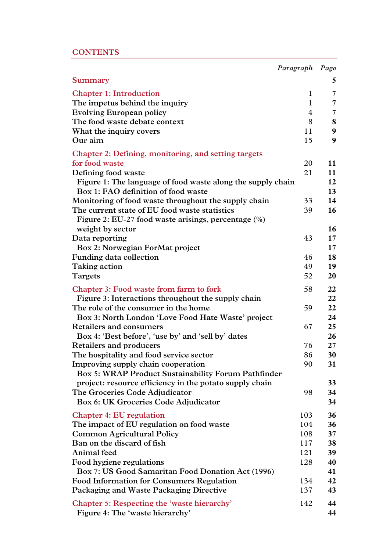# **CONTENTS**

|                                                                        | Paragraph    | Page            |
|------------------------------------------------------------------------|--------------|-----------------|
| Summary                                                                |              | 5               |
| <b>Chapter 1: Introduction</b>                                         | 1            | $\overline{7}$  |
| The impetus behind the inquiry                                         | $\mathbf{1}$ | 7               |
| <b>Evolving European policy</b>                                        | 4            | $\overline{7}$  |
| The food waste debate context                                          | 8            | 8               |
| What the inquiry covers                                                | 11           | 9               |
| Our aim                                                                | 15           | 9               |
|                                                                        |              |                 |
| Chapter 2: Defining, monitoring, and setting targets<br>for food waste | 20           | 11              |
|                                                                        |              |                 |
| Defining food waste                                                    | 21           | 11              |
| Figure 1: The language of food waste along the supply chain            |              | 12              |
| Box 1: FAO definition of food waste                                    |              | 13              |
| Monitoring of food waste throughout the supply chain                   | 33           | 14              |
| The current state of EU food waste statistics                          | 39           | 16              |
| Figure 2: EU-27 food waste arisings, percentage (%)                    |              |                 |
| weight by sector                                                       |              | 16              |
| Data reporting                                                         | 43           | 17 <sub>2</sub> |
| Box 2: Norwegian ForMat project                                        |              | 17              |
| Funding data collection                                                | 46           | 18              |
| <b>Taking action</b>                                                   | 49           | 19              |
| <b>Targets</b>                                                         | 52           | 20              |
| Chapter 3: Food waste from farm to fork                                | 58           | 22              |
| Figure 3: Interactions throughout the supply chain                     |              | 22              |
| The role of the consumer in the home                                   | 59           | 22              |
| Box 3: North London 'Love Food Hate Waste' project                     |              | 24              |
| <b>Retailers and consumers</b>                                         | 67           | 25              |
| Box 4: 'Best before', 'use by' and 'sell by' dates                     |              | 26              |
| Retailers and producers                                                | 76           | $27\,$          |
| The hospitality and food service sector                                | 86           | 30              |
| Improving supply chain cooperation                                     | 90           | 31              |
| Box 5: WRAP Product Sustainability Forum Pathfinder                    |              |                 |
| project: resource efficiency in the potato supply chain                |              | 33              |
| The Groceries Code Adjudicator                                         | 98           | 34              |
| Box 6: UK Groceries Code Adjudicator                                   |              | 34              |
| <b>Chapter 4: EU regulation</b>                                        | 103          | 36              |
|                                                                        | 104          | 36              |
| The impact of EU regulation on food waste                              |              |                 |
| <b>Common Agricultural Policy</b>                                      | 108          | 37              |
| Ban on the discard of fish                                             | 117          | 38              |
| Animal feed                                                            | 121          | 39              |
| Food hygiene regulations                                               | 128          | 40              |
| Box 7: US Good Samaritan Food Donation Act (1996)                      |              | 41              |
| <b>Food Information for Consumers Regulation</b>                       | 134          | 42              |
| Packaging and Waste Packaging Directive                                | 137          | 43              |
| Chapter 5: Respecting the 'waste hierarchy'                            | 142          | 44              |
| Figure 4: The 'waste hierarchy'                                        |              | 44              |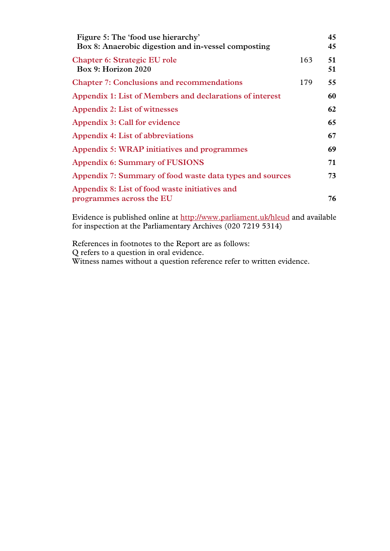| Figure 5: The 'food use hierarchy'<br>Box 8: Anaerobic digestion and in-vessel composting |     | 45<br>45 |
|-------------------------------------------------------------------------------------------|-----|----------|
| Chapter 6: Strategic EU role<br>Box 9: Horizon 2020                                       | 163 | 51<br>51 |
| <b>Chapter 7: Conclusions and recommendations</b>                                         | 179 | 55       |
| Appendix 1: List of Members and declarations of interest                                  |     | 60       |
| Appendix 2: List of witnesses                                                             |     | 62       |
| Appendix 3: Call for evidence                                                             |     | 65       |
| Appendix 4: List of abbreviations                                                         |     | 67       |
| Appendix 5: WRAP initiatives and programmes                                               |     | 69       |
| <b>Appendix 6: Summary of FUSIONS</b>                                                     |     | 71       |
| Appendix 7: Summary of food waste data types and sources                                  |     | 73       |
| Appendix 8: List of food waste initiatives and                                            |     |          |
| programmes across the EU                                                                  |     | 76       |

Evidence is published online at http://www.parliament.uk/hleud and available for inspection at the Parliamentary Archives (020 7219 5314)

References in footnotes to the Report are as follows: Q refers to a question in oral evidence. Witness names without a question reference refer to written evidence.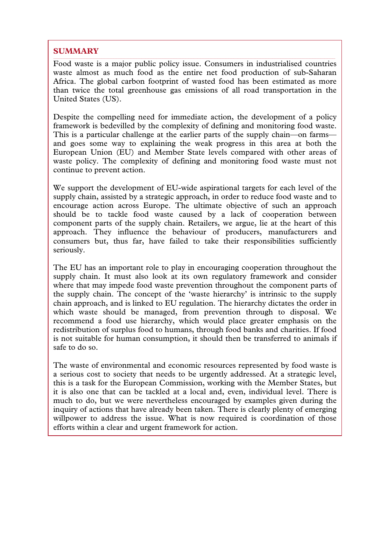# **SUMMARY**

Food waste is a major public policy issue. Consumers in industrialised countries waste almost as much food as the entire net food production of sub-Saharan Africa. The global carbon footprint of wasted food has been estimated as more than twice the total greenhouse gas emissions of all road transportation in the United States (US).

Despite the compelling need for immediate action, the development of a policy framework is bedevilled by the complexity of defining and monitoring food waste. This is a particular challenge at the earlier parts of the supply chain—on farms and goes some way to explaining the weak progress in this area at both the European Union (EU) and Member State levels compared with other areas of waste policy. The complexity of defining and monitoring food waste must not continue to prevent action.

We support the development of EU-wide aspirational targets for each level of the supply chain, assisted by a strategic approach, in order to reduce food waste and to encourage action across Europe. The ultimate objective of such an approach should be to tackle food waste caused by a lack of cooperation between component parts of the supply chain. Retailers, we argue, lie at the heart of this approach. They influence the behaviour of producers, manufacturers and consumers but, thus far, have failed to take their responsibilities sufficiently seriously.

The EU has an important role to play in encouraging cooperation throughout the supply chain. It must also look at its own regulatory framework and consider where that may impede food waste prevention throughout the component parts of the supply chain. The concept of the 'waste hierarchy' is intrinsic to the supply chain approach, and is linked to EU regulation. The hierarchy dictates the order in which waste should be managed, from prevention through to disposal. We recommend a food use hierarchy, which would place greater emphasis on the redistribution of surplus food to humans, through food banks and charities. If food is not suitable for human consumption, it should then be transferred to animals if safe to do so.

The waste of environmental and economic resources represented by food waste is a serious cost to society that needs to be urgently addressed. At a strategic level, this is a task for the European Commission, working with the Member States, but it is also one that can be tackled at a local and, even, individual level. There is much to do, but we were nevertheless encouraged by examples given during the inquiry of actions that have already been taken. There is clearly plenty of emerging willpower to address the issue. What is now required is coordination of those efforts within a clear and urgent framework for action.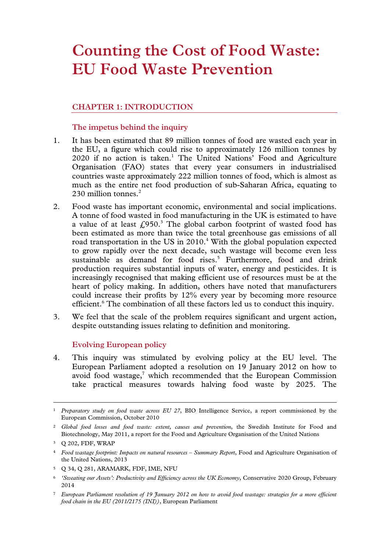# **Counting the Cost of Food Waste: EU Food Waste Prevention**

# **CHAPTER 1: INTRODUCTION**

# **The impetus behind the inquiry**

- 1. It has been estimated that 89 million tonnes of food are wasted each year in the EU, a figure which could rise to approximately 126 million tonnes by 2020 if no action is taken.<sup>1</sup> The United Nations' Food and Agriculture Organisation (FAO) states that every year consumers in industrialised countries waste approximately 222 million tonnes of food, which is almost as much as the entire net food production of sub-Saharan Africa, equating to 230 million tonnes.<sup>2</sup>
- 2. Food waste has important economic, environmental and social implications. A tonne of food wasted in food manufacturing in the UK is estimated to have a value of at least  $\text{\textsterling}950$ .<sup>3</sup> The global carbon footprint of wasted food has been estimated as more than twice the total greenhouse gas emissions of all road transportation in the US in 2010.<sup>4</sup> With the global population expected to grow rapidly over the next decade, such wastage will become even less sustainable as demand for food rises.<sup>5</sup> Furthermore, food and drink production requires substantial inputs of water, energy and pesticides. It is increasingly recognised that making efficient use of resources must be at the heart of policy making. In addition, others have noted that manufacturers could increase their profits by 12% every year by becoming more resource efficient.<sup>6</sup> The combination of all these factors led us to conduct this inquiry.
- 3. We feel that the scale of the problem requires significant and urgent action, despite outstanding issues relating to definition and monitoring.

### **Evolving European policy**

4. This inquiry was stimulated by evolving policy at the EU level. The European Parliament adopted a resolution on 19 January 2012 on how to avoid food wastage, $7$  which recommended that the European Commission take practical measures towards halving food waste by 2025. The

 <sup>1</sup> *Preparatory study on food waste across EU 27*, BIO Intelligence Service, a report commissioned by the European Commission, October 2010

<sup>2</sup> *Global food losses and food waste: extent, causes and prevention*, the Swedish Institute for Food and Biotechnology, May 2011, a report for the Food and Agriculture Organisation of the United Nations

<sup>3</sup> Q 202, FDF, WRAP

<sup>4</sup> *Food wastage footprint: Impacts on natural resources – Summary Report*, Food and Agriculture Organisation of the United Nations, 2013

<sup>5</sup> Q 34, Q 281, ARAMARK, FDF, IME, NFU

<sup>6</sup> *'Sweating our Assets': Productivity and Efficiency across the UK Economy*, Conservative 2020 Group, February 2014

<sup>7</sup> *European Parliament resolution of 19 January 2012 on how to avoid food wastage: strategies for a more efficient food chain in the EU (2011/2175 (INI))*, European Parliament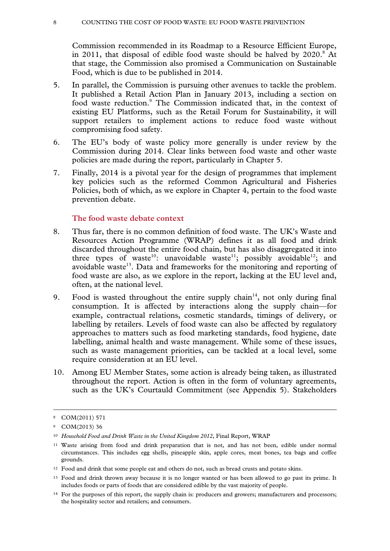#### 8 COUNTING THE COST OF FOOD WASTE: EU FOOD WASTE PREVENTION

Commission recommended in its Roadmap to a Resource Efficient Europe, in 2011, that disposal of edible food waste should be halved by  $2020$ .<sup>8</sup> At that stage, the Commission also promised a Communication on Sustainable Food, which is due to be published in 2014.

- 5. In parallel, the Commission is pursuing other avenues to tackle the problem. It published a Retail Action Plan in January 2013, including a section on food waste reduction.<sup>9</sup> The Commission indicated that, in the context of existing EU Platforms, such as the Retail Forum for Sustainability, it will support retailers to implement actions to reduce food waste without compromising food safety.
- 6. The EU's body of waste policy more generally is under review by the Commission during 2014. Clear links between food waste and other waste policies are made during the report, particularly in Chapter 5.
- 7. Finally, 2014 is a pivotal year for the design of programmes that implement key policies such as the reformed Common Agricultural and Fisheries Policies, both of which, as we explore in Chapter 4, pertain to the food waste prevention debate.

# **The food waste debate context**

- 8. Thus far, there is no common definition of food waste. The UK's Waste and Resources Action Programme (WRAP) defines it as all food and drink discarded throughout the entire food chain, but has also disaggregated it into three types of waste<sup>10</sup>: unavoidable waste<sup>11</sup>; possibly avoidable<sup>12</sup>; and avoidable waste<sup>13</sup>. Data and frameworks for the monitoring and reporting of food waste are also, as we explore in the report, lacking at the EU level and, often, at the national level.
- 9. Food is wasted throughout the entire supply chain<sup>14</sup>, not only during final consumption. It is affected by interactions along the supply chain—for example, contractual relations, cosmetic standards, timings of delivery, or labelling by retailers. Levels of food waste can also be affected by regulatory approaches to matters such as food marketing standards, food hygiene, date labelling, animal health and waste management. While some of these issues, such as waste management priorities, can be tackled at a local level, some require consideration at an EU level.
- 10. Among EU Member States, some action is already being taken, as illustrated throughout the report. Action is often in the form of voluntary agreements, such as the UK's Courtauld Commitment (see Appendix 5). Stakeholders

 <sup>8</sup> COM(2011) 571

<sup>9</sup> COM(2013) 36

<sup>10</sup> *Household Food and Drink Waste in the United Kingdom 2012*, Final Report, WRAP

<sup>11</sup> Waste arising from food and drink preparation that is not, and has not been, edible under normal circumstances. This includes egg shells, pineapple skin, apple cores, meat bones, tea bags and coffee grounds.

<sup>&</sup>lt;sup>12</sup> Food and drink that some people eat and others do not, such as bread crusts and potato skins.

<sup>&</sup>lt;sup>13</sup> Food and drink thrown away because it is no longer wanted or has been allowed to go past its prime. It includes foods or parts of foods that are considered edible by the vast majority of people.

<sup>&</sup>lt;sup>14</sup> For the purposes of this report, the supply chain is: producers and growers; manufacturers and processors; the hospitality sector and retailers; and consumers.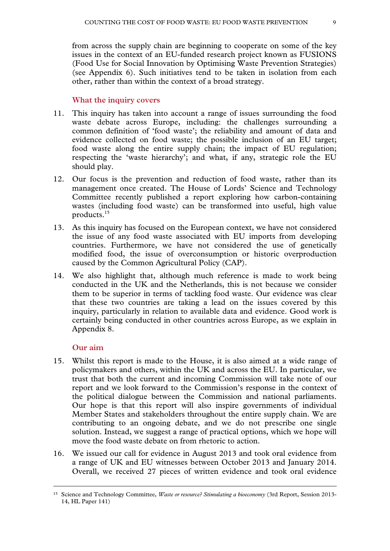from across the supply chain are beginning to cooperate on some of the key issues in the context of an EU-funded research project known as FUSIONS (Food Use for Social Innovation by Optimising Waste Prevention Strategies) (see Appendix 6). Such initiatives tend to be taken in isolation from each other, rather than within the context of a broad strategy.

#### **What the inquiry covers**

- 11. This inquiry has taken into account a range of issues surrounding the food waste debate across Europe, including: the challenges surrounding a common definition of 'food waste'; the reliability and amount of data and evidence collected on food waste; the possible inclusion of an EU target; food waste along the entire supply chain; the impact of EU regulation; respecting the 'waste hierarchy'; and what, if any, strategic role the EU should play.
- 12. Our focus is the prevention and reduction of food waste, rather than its management once created. The House of Lords' Science and Technology Committee recently published a report exploring how carbon-containing wastes (including food waste) can be transformed into useful, high value products.15
- 13. As this inquiry has focused on the European context, we have not considered the issue of any food waste associated with EU imports from developing countries. Furthermore, we have not considered the use of genetically modified food, the issue of overconsumption or historic overproduction caused by the Common Agricultural Policy (CAP).
- 14. We also highlight that, although much reference is made to work being conducted in the UK and the Netherlands, this is not because we consider them to be superior in terms of tackling food waste. Our evidence was clear that these two countries are taking a lead on the issues covered by this inquiry, particularly in relation to available data and evidence. Good work is certainly being conducted in other countries across Europe, as we explain in Appendix 8.

#### **Our aim**

- 15. Whilst this report is made to the House, it is also aimed at a wide range of policymakers and others, within the UK and across the EU. In particular, we trust that both the current and incoming Commission will take note of our report and we look forward to the Commission's response in the context of the political dialogue between the Commission and national parliaments. Our hope is that this report will also inspire governments of individual Member States and stakeholders throughout the entire supply chain. We are contributing to an ongoing debate, and we do not prescribe one single solution. Instead, we suggest a range of practical options, which we hope will move the food waste debate on from rhetoric to action.
- 16. We issued our call for evidence in August 2013 and took oral evidence from a range of UK and EU witnesses between October 2013 and January 2014. Overall, we received 27 pieces of written evidence and took oral evidence

 <sup>15</sup> Science and Technology Committee, *Waste or resource? Stimulating a bioeconomy* (3rd Report, Session 2013- 14, HL Paper 141)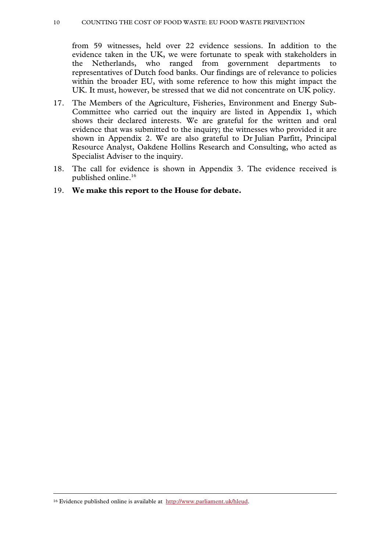#### 10 COUNTING THE COST OF FOOD WASTE: EU FOOD WASTE PREVENTION

from 59 witnesses, held over 22 evidence sessions. In addition to the evidence taken in the UK, we were fortunate to speak with stakeholders in the Netherlands, who ranged from government departments to representatives of Dutch food banks. Our findings are of relevance to policies within the broader EU, with some reference to how this might impact the UK. It must, however, be stressed that we did not concentrate on UK policy.

- 17. The Members of the Agriculture, Fisheries, Environment and Energy Sub-Committee who carried out the inquiry are listed in Appendix 1, which shows their declared interests. We are grateful for the written and oral evidence that was submitted to the inquiry; the witnesses who provided it are shown in Appendix 2. We are also grateful to Dr Julian Parfitt, Principal Resource Analyst, Oakdene Hollins Research and Consulting, who acted as Specialist Adviser to the inquiry.
- 18. The call for evidence is shown in Appendix 3. The evidence received is published online.16
- 19. **We make this report to the House for debate.**

 <sup>16</sup> Evidence published online is available at http://www.parliament.uk/hleud.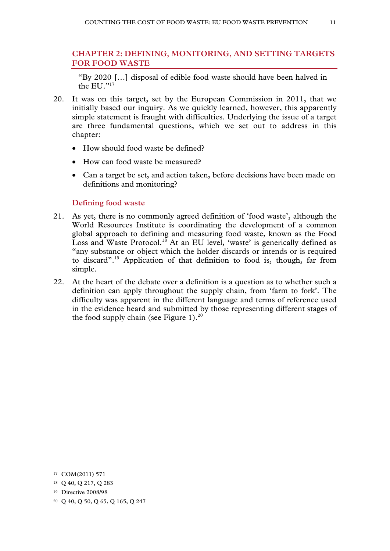# **CHAPTER 2: DEFINING, MONITORING, AND SETTING TARGETS FOR FOOD WASTE**

"By 2020 […] disposal of edible food waste should have been halved in the EU."17

- 20. It was on this target, set by the European Commission in 2011, that we initially based our inquiry. As we quickly learned, however, this apparently simple statement is fraught with difficulties. Underlying the issue of a target are three fundamental questions, which we set out to address in this chapter:
	- How should food waste be defined?
	- How can food waste be measured?
	- Can a target be set, and action taken, before decisions have been made on definitions and monitoring?

# **Defining food waste**

- 21. As yet, there is no commonly agreed definition of 'food waste', although the World Resources Institute is coordinating the development of a common global approach to defining and measuring food waste, known as the Food Loss and Waste Protocol.<sup>18</sup> At an EU level, 'waste' is generically defined as "any substance or object which the holder discards or intends or is required to discard".19 Application of that definition to food is, though, far from simple.
- 22. At the heart of the debate over a definition is a question as to whether such a definition can apply throughout the supply chain, from 'farm to fork'. The difficulty was apparent in the different language and terms of reference used in the evidence heard and submitted by those representing different stages of the food supply chain (see Figure 1). $^{20}$

 <sup>17</sup> COM(2011) 571

<sup>18</sup> Q 40, Q 217, Q 283

<sup>19</sup> Directive 2008/98

<sup>20</sup> Q 40, Q 50, Q 65, Q 165, Q 247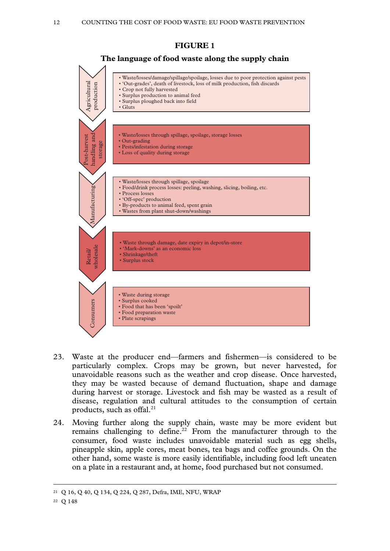

- 23. Waste at the producer end—farmers and fishermen—is considered to be particularly complex. Crops may be grown, but never harvested, for unavoidable reasons such as the weather and crop disease. Once harvested, they may be wasted because of demand fluctuation, shape and damage during harvest or storage. Livestock and fish may be wasted as a result of disease, regulation and cultural attitudes to the consumption of certain products, such as offal. $21$
- 24. Moving further along the supply chain, waste may be more evident but remains challenging to define.<sup>22</sup> From the manufacturer through to the consumer, food waste includes unavoidable material such as egg shells, pineapple skin, apple cores, meat bones, tea bags and coffee grounds. On the other hand, some waste is more easily identifiable, including food left uneaten on a plate in a restaurant and, at home, food purchased but not consumed.

 <sup>21</sup> Q 16, Q 40, Q 134, Q 224, Q 287, Defra, IME, NFU, WRAP

<sup>22</sup> Q 148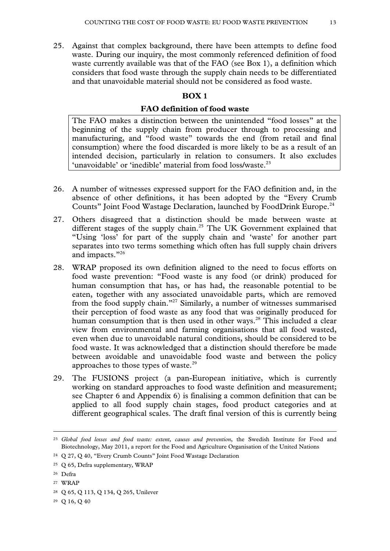25. Against that complex background, there have been attempts to define food waste. During our inquiry, the most commonly referenced definition of food waste currently available was that of the FAO (see Box 1), a definition which considers that food waste through the supply chain needs to be differentiated and that unavoidable material should not be considered as food waste.

# **BOX 1**

# **FAO definition of food waste**

The FAO makes a distinction between the unintended "food losses" at the beginning of the supply chain from producer through to processing and manufacturing, and "food waste" towards the end (from retail and final consumption) where the food discarded is more likely to be as a result of an intended decision, particularly in relation to consumers. It also excludes 'unavoidable' or 'inedible' material from food loss/waste.<sup>23</sup>

- 26. A number of witnesses expressed support for the FAO definition and, in the absence of other definitions, it has been adopted by the "Every Crumb Counts" Joint Food Wastage Declaration, launched by FoodDrink Europe.<sup>24</sup>
- 27. Others disagreed that a distinction should be made between waste at different stages of the supply chain.<sup>25</sup> The UK Government explained that "Using 'loss' for part of the supply chain and 'waste' for another part separates into two terms something which often has full supply chain drivers and impacts."<sup>26</sup>
- 28. WRAP proposed its own definition aligned to the need to focus efforts on food waste prevention: "Food waste is any food (or drink) produced for human consumption that has, or has had, the reasonable potential to be eaten, together with any associated unavoidable parts, which are removed from the food supply chain."27 Similarly, a number of witnesses summarised their perception of food waste as any food that was originally produced for human consumption that is then used in other ways. $28$  This included a clear view from environmental and farming organisations that all food wasted, even when due to unavoidable natural conditions, should be considered to be food waste. It was acknowledged that a distinction should therefore be made between avoidable and unavoidable food waste and between the policy approaches to those types of waste.<sup>29</sup>
- 29. The FUSIONS project (a pan-European initiative, which is currently working on standard approaches to food waste definition and measurement; see Chapter 6 and Appendix 6) is finalising a common definition that can be applied to all food supply chain stages, food product categories and at different geographical scales. The draft final version of this is currently being

29 Q 16, Q 40

 <sup>23</sup> *Global food losses and food waste: extent, causes and prevention*, the Swedish Institute for Food and Biotechnology, May 2011, a report for the Food and Agriculture Organisation of the United Nations

<sup>24</sup> Q 27, Q 40, "Every Crumb Counts" Joint Food Wastage Declaration

<sup>25</sup> Q 65, Defra supplementary, WRAP

<sup>26</sup> Defra

<sup>27</sup> WRAP

<sup>28</sup> Q 65, Q 113, Q 134, Q 265, Unilever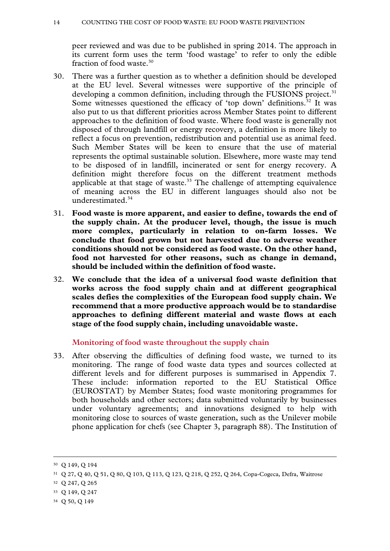peer reviewed and was due to be published in spring 2014. The approach in its current form uses the term 'food wastage' to refer to only the edible fraction of food waste.30

- 30. There was a further question as to whether a definition should be developed at the EU level. Several witnesses were supportive of the principle of developing a common definition, including through the FUSIONS project.<sup>31</sup> Some witnesses questioned the efficacy of 'top down' definitions.<sup>32</sup> It was also put to us that different priorities across Member States point to different approaches to the definition of food waste. Where food waste is generally not disposed of through landfill or energy recovery, a definition is more likely to reflect a focus on prevention, redistribution and potential use as animal feed. Such Member States will be keen to ensure that the use of material represents the optimal sustainable solution. Elsewhere, more waste may tend to be disposed of in landfill, incinerated or sent for energy recovery. A definition might therefore focus on the different treatment methods applicable at that stage of waste. $33$  The challenge of attempting equivalence of meaning across the EU in different languages should also not be underestimated.<sup>34</sup>
- 31. **Food waste is more apparent, and easier to define, towards the end of the supply chain. At the producer level, though, the issue is much more complex, particularly in relation to on-farm losses. We conclude that food grown but not harvested due to adverse weather conditions should not be considered as food waste. On the other hand, food not harvested for other reasons, such as change in demand, should be included within the definition of food waste.**
- 32. **We conclude that the idea of a universal food waste definition that works across the food supply chain and at different geographical scales defies the complexities of the European food supply chain. We recommend that a more productive approach would be to standardise approaches to defining different material and waste flows at each stage of the food supply chain, including unavoidable waste.**

### **Monitoring of food waste throughout the supply chain**

33. After observing the difficulties of defining food waste, we turned to its monitoring. The range of food waste data types and sources collected at different levels and for different purposes is summarised in Appendix 7. These include: information reported to the EU Statistical Office (EUROSTAT) by Member States; food waste monitoring programmes for both households and other sectors; data submitted voluntarily by businesses under voluntary agreements; and innovations designed to help with monitoring close to sources of waste generation, such as the Unilever mobile phone application for chefs (see Chapter 3, paragraph 88). The Institution of

- 33 Q 149, Q 247
- 34 Q 50, Q 149

 <sup>30</sup> Q 149, Q 194

<sup>31</sup> Q 27, Q 40, Q 51, Q 80, Q 103, Q 113, Q 123, Q 218, Q 252, Q 264, Copa-Cogeca, Defra, Waitrose

<sup>32</sup> Q 247, Q 265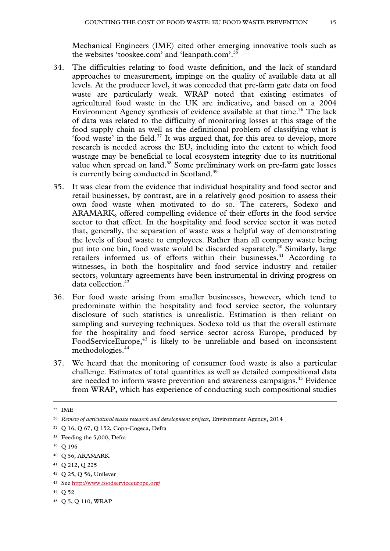Mechanical Engineers (IME) cited other emerging innovative tools such as the websites 'tooskee.com' and 'leanpath.com'.35

- 34. The difficulties relating to food waste definition, and the lack of standard approaches to measurement, impinge on the quality of available data at all levels. At the producer level, it was conceded that pre-farm gate data on food waste are particularly weak. WRAP noted that existing estimates of agricultural food waste in the UK are indicative, and based on a 2004 Environment Agency synthesis of evidence available at that time.<sup>36</sup> The lack of data was related to the difficulty of monitoring losses at this stage of the food supply chain as well as the definitional problem of classifying what is 'food waste' in the field. $37$  It was argued that, for this area to develop, more research is needed across the EU, including into the extent to which food wastage may be beneficial to local ecosystem integrity due to its nutritional value when spread on land.<sup>38</sup> Some preliminary work on pre-farm gate losses is currently being conducted in Scotland.<sup>39</sup>
- 35. It was clear from the evidence that individual hospitality and food sector and retail businesses, by contrast, are in a relatively good position to assess their own food waste when motivated to do so. The caterers, Sodexo and ARAMARK, offered compelling evidence of their efforts in the food service sector to that effect. In the hospitality and food service sector it was noted that, generally, the separation of waste was a helpful way of demonstrating the levels of food waste to employees. Rather than all company waste being put into one bin, food waste would be discarded separately.<sup>40</sup> Similarly, large retailers informed us of efforts within their businesses.<sup>41</sup> According to witnesses, in both the hospitality and food service industry and retailer sectors, voluntary agreements have been instrumental in driving progress on data collection.42
- 36. For food waste arising from smaller businesses, however, which tend to predominate within the hospitality and food service sector, the voluntary disclosure of such statistics is unrealistic. Estimation is then reliant on sampling and surveying techniques. Sodexo told us that the overall estimate for the hospitality and food service sector across Europe, produced by FoodServiceEurope,<sup>43</sup> is likely to be unreliable and based on inconsistent methodologies.44
- 37. We heard that the monitoring of consumer food waste is also a particular challenge. Estimates of total quantities as well as detailed compositional data are needed to inform waste prevention and awareness campaigns.<sup>45</sup> Evidence from WRAP, which has experience of conducting such compositional studies

44 Q 52

 <sup>35</sup> IME

<sup>36</sup> *Review of agricultural waste research and development projects*, Environment Agency, 2014

<sup>37</sup> Q 16, Q 67, Q 152, Copa-Cogeca, Defra

<sup>38</sup> Feeding the 5,000, Defra

<sup>39</sup> Q 196

<sup>40</sup> Q 56, ARAMARK

<sup>41</sup> Q 212, Q 225

<sup>42</sup> Q 25, Q 56, Unilever

<sup>43</sup> See http://www.foodserviceeurope.org/

<sup>45</sup> Q 5, Q 110, WRAP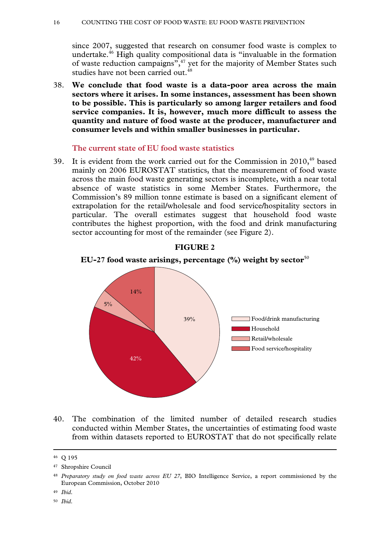#### 16 COUNTING THE COST OF FOOD WASTE: EU FOOD WASTE PREVENTION

since 2007, suggested that research on consumer food waste is complex to undertake.46 High quality compositional data is "invaluable in the formation of waste reduction campaigns",<sup>47</sup> yet for the majority of Member States such studies have not been carried out.<sup>48</sup>

38. **We conclude that food waste is a data-poor area across the main sectors where it arises. In some instances, assessment has been shown to be possible. This is particularly so among larger retailers and food service companies. It is, however, much more difficult to assess the quantity and nature of food waste at the producer, manufacturer and consumer levels and within smaller businesses in particular.** 

#### **The current state of EU food waste statistics**

39. It is evident from the work carried out for the Commission in  $2010<sub>19</sub>$  based mainly on 2006 EUROSTAT statistics, that the measurement of food waste across the main food waste generating sectors is incomplete, with a near total absence of waste statistics in some Member States. Furthermore, the Commission's 89 million tonne estimate is based on a significant element of extrapolation for the retail/wholesale and food service/hospitality sectors in particular. The overall estimates suggest that household food waste contributes the highest proportion, with the food and drink manufacturing sector accounting for most of the remainder (see Figure 2).



#### **FIGURE 2**

**EU-27 food waste arisings, percentage (%) weight by sector**<sup>50</sup>

40. The combination of the limited number of detailed research studies conducted within Member States, the uncertainties of estimating food waste from within datasets reported to EUROSTAT that do not specifically relate

- <sup>49</sup> *Ibid*.
- <sup>50</sup> *Ibid*.

 <sup>46</sup> Q 195

<sup>47</sup> Shropshire Council

<sup>48</sup> *Preparatory study on food waste across EU 27*, BIO Intelligence Service, a report commissioned by the European Commission, October 2010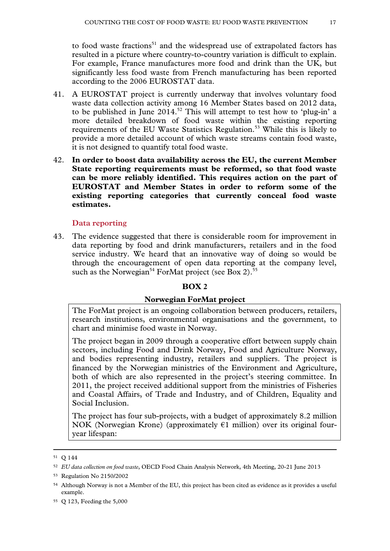to food waste fractions<sup>51</sup> and the widespread use of extrapolated factors has resulted in a picture where country-to-country variation is difficult to explain. For example, France manufactures more food and drink than the UK, but significantly less food waste from French manufacturing has been reported according to the 2006 EUROSTAT data.

- 41. A EUROSTAT project is currently underway that involves voluntary food waste data collection activity among 16 Member States based on 2012 data, to be published in June  $2014<sup>52</sup>$ . This will attempt to test how to 'plug-in' a more detailed breakdown of food waste within the existing reporting requirements of the EU Waste Statistics Regulation.<sup>53</sup> While this is likely to provide a more detailed account of which waste streams contain food waste, it is not designed to quantify total food waste.
- 42. **In order to boost data availability across the EU, the current Member State reporting requirements must be reformed, so that food waste can be more reliably identified. This requires action on the part of EUROSTAT and Member States in order to reform some of the existing reporting categories that currently conceal food waste estimates.**

### **Data reporting**

43. The evidence suggested that there is considerable room for improvement in data reporting by food and drink manufacturers, retailers and in the food service industry. We heard that an innovative way of doing so would be through the encouragement of open data reporting at the company level, such as the Norwegian<sup>54</sup> ForMat project (see Box 2).<sup>55</sup>

### **BOX 2**

### **Norwegian ForMat project**

The ForMat project is an ongoing collaboration between producers, retailers, research institutions, environmental organisations and the government, to chart and minimise food waste in Norway.

The project began in 2009 through a cooperative effort between supply chain sectors, including Food and Drink Norway, Food and Agriculture Norway, and bodies representing industry, retailers and suppliers. The project is financed by the Norwegian ministries of the Environment and Agriculture, both of which are also represented in the project's steering committee. In 2011, the project received additional support from the ministries of Fisheries and Coastal Affairs, of Trade and Industry, and of Children, Equality and Social Inclusion.

The project has four sub-projects, with a budget of approximately 8.2 million NOK (Norwegian Krone) (approximately  $\epsilon$ 1 million) over its original fouryear lifespan:

 <sup>51</sup> Q 144

<sup>52</sup> *EU data collection on food waste*, OECD Food Chain Analysis Network, 4th Meeting, 20-21 June 2013

<sup>53</sup> Regulation No 2150/2002

<sup>54</sup> Although Norway is not a Member of the EU, this project has been cited as evidence as it provides a useful example.

<sup>55</sup> Q 123, Feeding the 5,000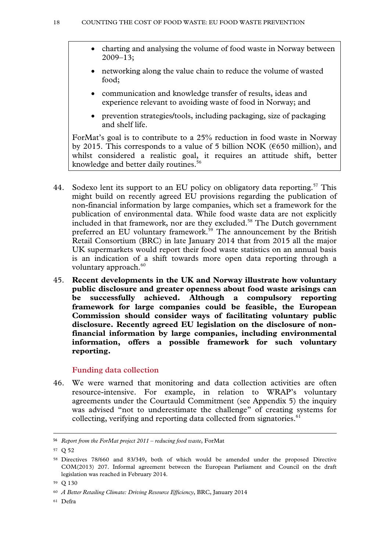- charting and analysing the volume of food waste in Norway between 2009–13;
- networking along the value chain to reduce the volume of wasted food;
- communication and knowledge transfer of results, ideas and experience relevant to avoiding waste of food in Norway; and
- prevention strategies/tools, including packaging, size of packaging and shelf life.

ForMat's goal is to contribute to a 25% reduction in food waste in Norway by 2015. This corresponds to a value of 5 billion NOK ( $\epsilon$ 650 million), and whilst considered a realistic goal, it requires an attitude shift, better knowledge and better daily routines.<sup>56</sup>

- 44. Sodexo lent its support to an EU policy on obligatory data reporting.<sup>57</sup> This might build on recently agreed EU provisions regarding the publication of non-financial information by large companies, which set a framework for the publication of environmental data. While food waste data are not explicitly included in that framework, nor are they excluded.<sup>58</sup> The Dutch government preferred an EU voluntary framework.<sup>59</sup> The announcement by the British Retail Consortium (BRC) in late January 2014 that from 2015 all the major UK supermarkets would report their food waste statistics on an annual basis is an indication of a shift towards more open data reporting through a voluntary approach. $60$
- 45. **Recent developments in the UK and Norway illustrate how voluntary public disclosure and greater openness about food waste arisings can be successfully achieved. Although a compulsory reporting framework for large companies could be feasible, the European Commission should consider ways of facilitating voluntary public disclosure. Recently agreed EU legislation on the disclosure of nonfinancial information by large companies, including environmental information, offers a possible framework for such voluntary reporting.**

### **Funding data collection**

46. We were warned that monitoring and data collection activities are often resource-intensive. For example, in relation to WRAP's voluntary agreements under the Courtauld Commitment (see Appendix 5) the inquiry was advised "not to underestimate the challenge" of creating systems for collecting, verifying and reporting data collected from signatories.<sup>61</sup>

1

<sup>56</sup> *Report from the ForMat project 2011 – reducing food waste*, ForMat

<sup>57</sup> Q 52

<sup>58</sup> Directives 78/660 and 83/349, both of which would be amended under the proposed Directive COM(2013) 207. Informal agreement between the European Parliament and Council on the draft legislation was reached in February 2014.

<sup>59</sup> Q 130

<sup>60</sup> *A Better Retailing Climate: Driving Resource Efficiency*, BRC, January 2014

<sup>61</sup> Defra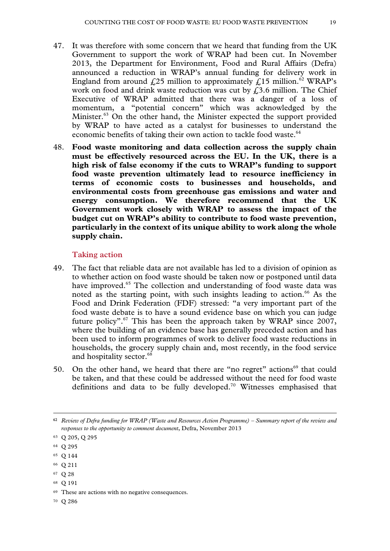- 47. It was therefore with some concern that we heard that funding from the UK Government to support the work of WRAP had been cut. In November 2013, the Department for Environment, Food and Rural Affairs (Defra) announced a reduction in WRAP's annual funding for delivery work in England from around £25 million to approximately £15 million.<sup>62</sup> WRAP's work on food and drink waste reduction was cut by  $f(3.6)$  million. The Chief Executive of WRAP admitted that there was a danger of a loss of momentum, a "potential concern" which was acknowledged by the Minister.<sup>63</sup> On the other hand, the Minister expected the support provided by WRAP to have acted as a catalyst for businesses to understand the economic benefits of taking their own action to tackle food waste.<sup>64</sup>
- 48. **Food waste monitoring and data collection across the supply chain must be effectively resourced across the EU. In the UK, there is a high risk of false economy if the cuts to WRAP's funding to support food waste prevention ultimately lead to resource inefficiency in terms of economic costs to businesses and households, and environmental costs from greenhouse gas emissions and water and energy consumption. We therefore recommend that the UK Government work closely with WRAP to assess the impact of the budget cut on WRAP's ability to contribute to food waste prevention, particularly in the context of its unique ability to work along the whole supply chain.**

#### **Taking action**

- 49. The fact that reliable data are not available has led to a division of opinion as to whether action on food waste should be taken now or postponed until data have improved.<sup>65</sup> The collection and understanding of food waste data was noted as the starting point, with such insights leading to action.<sup>66</sup> As the Food and Drink Federation (FDF) stressed: "a very important part of the food waste debate is to have a sound evidence base on which you can judge future policy".<sup>67</sup> This has been the approach taken by WRAP since 2007, where the building of an evidence base has generally preceded action and has been used to inform programmes of work to deliver food waste reductions in households, the grocery supply chain and, most recently, in the food service and hospitality sector.<sup>68</sup>
- 50. On the other hand, we heard that there are "no regret" actions<sup>69</sup> that could be taken, and that these could be addressed without the need for food waste definitions and data to be fully developed.<sup>70</sup> Witnesses emphasised that

<u>.</u>

- 66 Q 211
- 67 Q 28
- 68 Q 191

70 Q 286

<sup>62</sup> *Review of Defra funding for WRAP (Waste and Resources Action Programme) – Summary report of the review and responses to the opportunity to comment document*, Defra, November 2013

<sup>63</sup> Q 205, Q 295

<sup>64</sup> Q 295

<sup>65</sup> Q 144

<sup>69</sup> These are actions with no negative consequences.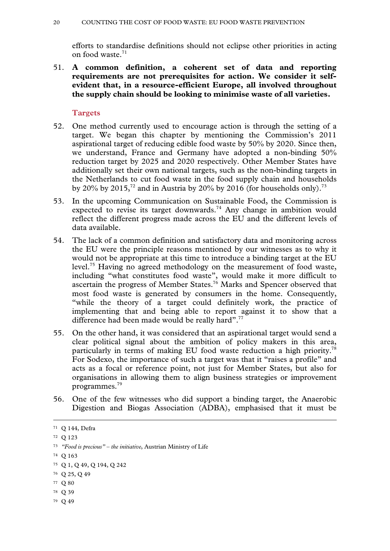efforts to standardise definitions should not eclipse other priorities in acting on food waste.<sup>71</sup>

51. **A common definition, a coherent set of data and reporting requirements are not prerequisites for action. We consider it selfevident that, in a resource-efficient Europe, all involved throughout the supply chain should be looking to minimise waste of all varieties.**

#### **Targets**

- 52. One method currently used to encourage action is through the setting of a target. We began this chapter by mentioning the Commission's 2011 aspirational target of reducing edible food waste by 50% by 2020. Since then, we understand, France and Germany have adopted a non-binding 50% reduction target by 2025 and 2020 respectively. Other Member States have additionally set their own national targets, such as the non-binding targets in the Netherlands to cut food waste in the food supply chain and households by 20% by 2015,<sup>72</sup> and in Austria by 20% by 2016 (for households only).<sup>73</sup>
- 53. In the upcoming Communication on Sustainable Food, the Commission is expected to revise its target downwards.<sup>74</sup> Any change in ambition would reflect the different progress made across the EU and the different levels of data available.
- 54. The lack of a common definition and satisfactory data and monitoring across the EU were the principle reasons mentioned by our witnesses as to why it would not be appropriate at this time to introduce a binding target at the EU level.75 Having no agreed methodology on the measurement of food waste, including "what constitutes food waste", would make it more difficult to ascertain the progress of Member States.<sup>76</sup> Marks and Spencer observed that most food waste is generated by consumers in the home. Consequently, "while the theory of a target could definitely work, the practice of implementing that and being able to report against it to show that a difference had been made would be really hard".<sup>77</sup>
- 55. On the other hand, it was considered that an aspirational target would send a clear political signal about the ambition of policy makers in this area, particularly in terms of making EU food waste reduction a high priority.78 For Sodexo, the importance of such a target was that it "raises a profile" and acts as a focal or reference point, not just for Member States, but also for organisations in allowing them to align business strategies or improvement programmes.79
- 56. One of the few witnesses who did support a binding target, the Anaerobic Digestion and Biogas Association (ADBA), emphasised that it must be

78 Q 39

 <sup>71</sup> Q 144, Defra

<sup>72</sup> Q 123

<sup>73</sup> *"Food is precious" – the initiative*, Austrian Ministry of Life

<sup>74</sup> Q 163

<sup>75</sup> Q 1, Q 49, Q 194, Q 242

<sup>76</sup> Q 25, Q 49

<sup>77</sup> Q 80

<sup>79</sup> Q 49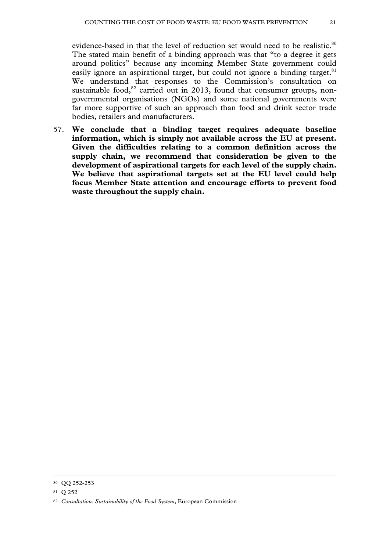evidence-based in that the level of reduction set would need to be realistic.<sup>80</sup> The stated main benefit of a binding approach was that "to a degree it gets around politics" because any incoming Member State government could easily ignore an aspirational target, but could not ignore a binding target. $81$ We understand that responses to the Commission's consultation on sustainable food, $82$  carried out in 2013, found that consumer groups, nongovernmental organisations (NGOs) and some national governments were far more supportive of such an approach than food and drink sector trade bodies, retailers and manufacturers.

57. **We conclude that a binding target requires adequate baseline information, which is simply not available across the EU at present. Given the difficulties relating to a common definition across the supply chain, we recommend that consideration be given to the development of aspirational targets for each level of the supply chain. We believe that aspirational targets set at the EU level could help focus Member State attention and encourage efforts to prevent food waste throughout the supply chain.**

 <sup>80</sup> QQ 252-253

<sup>81</sup> Q 252

<sup>82</sup> *Consultation: Sustainability of the Food System*, European Commission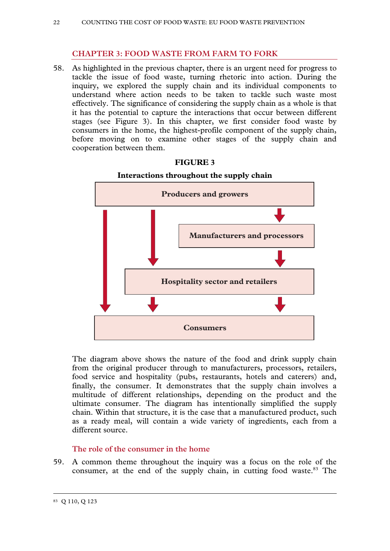# **CHAPTER 3: FOOD WASTE FROM FARM TO FORK**

58. As highlighted in the previous chapter, there is an urgent need for progress to tackle the issue of food waste, turning rhetoric into action. During the inquiry, we explored the supply chain and its individual components to understand where action needs to be taken to tackle such waste most effectively. The significance of considering the supply chain as a whole is that it has the potential to capture the interactions that occur between different stages (see Figure 3). In this chapter, we first consider food waste by consumers in the home, the highest-profile component of the supply chain, before moving on to examine other stages of the supply chain and cooperation between them.



#### **FIGURE 3**

#### **Interactions throughout the supply chain**

The diagram above shows the nature of the food and drink supply chain from the original producer through to manufacturers, processors, retailers, food service and hospitality (pubs, restaurants, hotels and caterers) and, finally, the consumer. It demonstrates that the supply chain involves a multitude of different relationships, depending on the product and the ultimate consumer. The diagram has intentionally simplified the supply chain. Within that structure, it is the case that a manufactured product, such as a ready meal, will contain a wide variety of ingredients, each from a different source.

### **The role of the consumer in the home**

59. A common theme throughout the inquiry was a focus on the role of the consumer, at the end of the supply chain, in cutting food waste.<sup>83</sup> The

 <sup>83</sup> Q 110, Q 123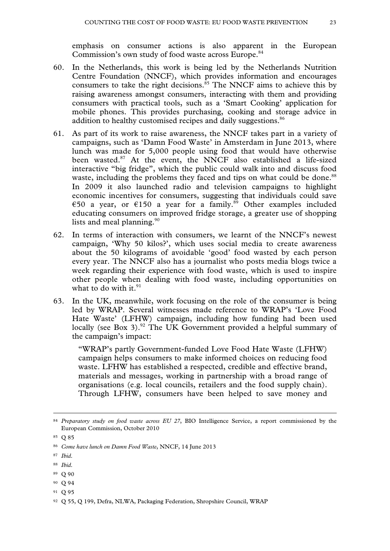emphasis on consumer actions is also apparent in the European Commission's own study of food waste across Europe.<sup>84</sup>

- 60. In the Netherlands, this work is being led by the Netherlands Nutrition Centre Foundation (NNCF), which provides information and encourages consumers to take the right decisions.<sup>85</sup> The NNCF aims to achieve this by raising awareness amongst consumers, interacting with them and providing consumers with practical tools, such as a 'Smart Cooking' application for mobile phones. This provides purchasing, cooking and storage advice in addition to healthy customised recipes and daily suggestions.<sup>86</sup>
- 61. As part of its work to raise awareness, the NNCF takes part in a variety of campaigns, such as 'Damn Food Waste' in Amsterdam in June 2013, where lunch was made for 5,000 people using food that would have otherwise been wasted.<sup>87</sup> At the event, the NNCF also established a life-sized interactive "big fridge", which the public could walk into and discuss food waste, including the problems they faced and tips on what could be done.<sup>88</sup> In 2009 it also launched radio and television campaigns to highlight economic incentives for consumers, suggesting that individuals could save €50 a year, or €150 a year for a family.<sup>89</sup> Other examples included educating consumers on improved fridge storage, a greater use of shopping lists and meal planning.  $90^\circ$
- 62. In terms of interaction with consumers, we learnt of the NNCF's newest campaign, 'Why 50 kilos?', which uses social media to create awareness about the 50 kilograms of avoidable 'good' food wasted by each person every year. The NNCF also has a journalist who posts media blogs twice a week regarding their experience with food waste, which is used to inspire other people when dealing with food waste, including opportunities on what to do with it. $91$
- 63. In the UK, meanwhile, work focusing on the role of the consumer is being led by WRAP. Several witnesses made reference to WRAP's 'Love Food Hate Waste' (LFHW) campaign, including how funding had been used locally (see Box 3).<sup>92</sup> The UK Government provided a helpful summary of the campaign's impact:

"WRAP's partly Government-funded Love Food Hate Waste (LFHW) campaign helps consumers to make informed choices on reducing food waste. LFHW has established a respected, credible and effective brand, materials and messages, working in partnership with a broad range of organisations (e.g. local councils, retailers and the food supply chain). Through LFHW, consumers have been helped to save money and

91 Q 95

 <sup>84</sup> *Preparatory study on food waste across EU 27*, BIO Intelligence Service, a report commissioned by the European Commission, October 2010

<sup>85</sup> Q 85

<sup>86</sup> *Come have lunch on Damn Food Waste*, NNCF, 14 June 2013

<sup>87</sup> *Ibid*.

<sup>88</sup> *Ibid*.

<sup>89</sup> Q 90

<sup>90</sup> Q 94

<sup>92</sup> Q 55, Q 199, Defra, NLWA, Packaging Federation, Shropshire Council, WRAP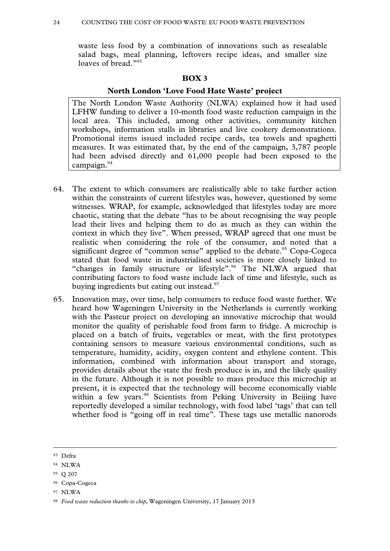waste less food by a combination of innovations such as resealable salad bags, meal planning, leftovers recipe ideas, and smaller size loaves of bread."<sup>93</sup>

#### **BOX 3**

### **North London 'Love Food Hate Waste' project**

The North London Waste Authority (NLWA) explained how it had used LFHW funding to deliver a 10-month food waste reduction campaign in the local area. This included, among other activities, community kitchen workshops, information stalls in libraries and live cookery demonstrations. Promotional items issued included recipe cards, tea towels and spaghetti measures. It was estimated that, by the end of the campaign, 3,787 people had been advised directly and 61,000 people had been exposed to the campaign.<sup>94</sup>

- 64. The extent to which consumers are realistically able to take further action within the constraints of current lifestyles was, however, questioned by some witnesses. WRAP, for example, acknowledged that lifestyles today are more chaotic, stating that the debate "has to be about recognising the way people lead their lives and helping them to do as much as they can within the context in which they live". When pressed, WRAP agreed that one must be realistic when considering the role of the consumer, and noted that a significant degree of "common sense" applied to the debate.<sup>95</sup> Copa-Cogeca stated that food waste in industrialised societies is more closely linked to "changes in family structure or lifestyle".<sup>96</sup> The NLWA argued that contributing factors to food waste include lack of time and lifestyle, such as buying ingredients but eating out instead.<sup>97</sup>
- 65. Innovation may, over time, help consumers to reduce food waste further. We heard how Wageningen University in the Netherlands is currently working with the Pasteur project on developing an innovative microchip that would monitor the quality of perishable food from farm to fridge. A microchip is placed on a batch of fruits, vegetables or meat, with the first prototypes containing sensors to measure various environmental conditions, such as temperature, humidity, acidity, oxygen content and ethylene content. This information, combined with information about transport and storage, provides details about the state the fresh produce is in, and the likely quality in the future. Although it is not possible to mass produce this microchip at present, it is expected that the technology will become economically viable within a few years.<sup>98</sup> Scientists from Peking University in Beijing have reportedly developed a similar technology, with food label 'tags' that can tell whether food is "going off in real time". These tags use metallic nanorods

97 NLWA

 <sup>93</sup> Defra

<sup>94</sup> NLWA

<sup>95</sup> Q 207

<sup>96</sup> Copa-Cogeca

<sup>98</sup> *Food waste reduction thanks to chip*, Wageningen University, 17 January 2013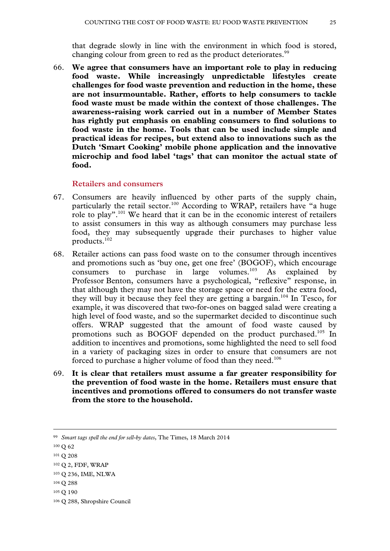that degrade slowly in line with the environment in which food is stored, changing colour from green to red as the product deteriorates.<sup>99</sup>

66. **We agree that consumers have an important role to play in reducing food waste. While increasingly unpredictable lifestyles create challenges for food waste prevention and reduction in the home, these are not insurmountable. Rather, efforts to help consumers to tackle food waste must be made within the context of those challenges. The awareness-raising work carried out in a number of Member States has rightly put emphasis on enabling consumers to find solutions to food waste in the home. Tools that can be used include simple and practical ideas for recipes, but extend also to innovations such as the Dutch 'Smart Cooking' mobile phone application and the innovative microchip and food label 'tags' that can monitor the actual state of food.** 

#### **Retailers and consumers**

- 67. Consumers are heavily influenced by other parts of the supply chain, particularly the retail sector.<sup>100</sup> According to WRAP, retailers have "a huge role to play".<sup>101</sup> We heard that it can be in the economic interest of retailers to assist consumers in this way as although consumers may purchase less food, they may subsequently upgrade their purchases to higher value products.102
- 68. Retailer actions can pass food waste on to the consumer through incentives and promotions such as 'buy one, get one free' (BOGOF), which encourage consumers to purchase in large volumes.<sup>103</sup> As explained by Professor Benton, consumers have a psychological, "reflexive" response, in that although they may not have the storage space or need for the extra food, they will buy it because they feel they are getting a bargain.<sup>104</sup> In Tesco, for example, it was discovered that two-for-ones on bagged salad were creating a high level of food waste, and so the supermarket decided to discontinue such offers. WRAP suggested that the amount of food waste caused by promotions such as BOGOF depended on the product purchased.<sup>105</sup> In addition to incentives and promotions, some highlighted the need to sell food in a variety of packaging sizes in order to ensure that consumers are not forced to purchase a higher volume of food than they need.<sup>106</sup>
- 69. **It is clear that retailers must assume a far greater responsibility for the prevention of food waste in the home. Retailers must ensure that incentives and promotions offered to consumers do not transfer waste from the store to the household.**

 <sup>99</sup> *Smart tags spell the end for sell-by dates*, The Times, 18 March 2014

<sup>100</sup> Q 62

<sup>101</sup> Q 208

<sup>102</sup> Q 2, FDF, WRAP

<sup>103</sup> Q 236, IME, NLWA

<sup>104</sup> Q 288

<sup>105</sup> Q 190

<sup>106</sup> Q 288, Shropshire Council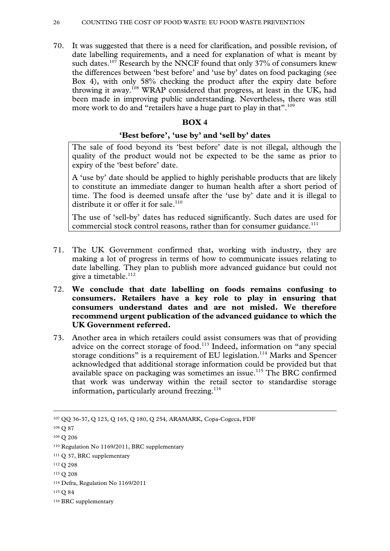70. It was suggested that there is a need for clarification, and possible revision, of date labelling requirements, and a need for explanation of what is meant by such dates.<sup>107</sup> Research by the NNCF found that only 37% of consumers knew the differences between 'best before' and 'use by' dates on food packaging (see Box 4), with only 58% checking the product after the expiry date before throwing it away.108 WRAP considered that progress, at least in the UK, had been made in improving public understanding. Nevertheless, there was still more work to do and "retailers have a huge part to play in that".<sup>109</sup>

#### **BOX 4**

#### **'Best before', 'use by' and 'sell by' dates**

The sale of food beyond its 'best before' date is not illegal, although the quality of the product would not be expected to be the same as prior to expiry of the 'best before' date.

A 'use by' date should be applied to highly perishable products that are likely to constitute an immediate danger to human health after a short period of time. The food is deemed unsafe after the 'use by' date and it is illegal to distribute it or offer it for sale.<sup>110</sup>

The use of 'sell-by' dates has reduced significantly. Such dates are used for commercial stock control reasons, rather than for consumer guidance.<sup>111</sup>

- 71. The UK Government confirmed that, working with industry, they are making a lot of progress in terms of how to communicate issues relating to date labelling. They plan to publish more advanced guidance but could not give a timetable.<sup>112</sup>
- 72. **We conclude that date labelling on foods remains confusing to consumers. Retailers have a key role to play in ensuring that consumers understand dates and are not misled. We therefore recommend urgent publication of the advanced guidance to which the UK Government referred.**
- 73. Another area in which retailers could assist consumers was that of providing advice on the correct storage of food.<sup>113</sup> Indeed, information on "any special storage conditions" is a requirement of EU legislation.<sup>114</sup> Marks and Spencer acknowledged that additional storage information could be provided but that available space on packaging was sometimes an issue.<sup>115</sup> The BRC confirmed that work was underway within the retail sector to standardise storage information, particularly around freezing.<sup>116</sup>

 <sup>107</sup> QQ 36-37, Q 123, Q 165, Q 180, Q 254, ARAMARK, Copa-Cogeca, FDF

<sup>108</sup> Q 87

<sup>109</sup> Q 206

<sup>110</sup> Regulation No 1169/2011, BRC supplementary

<sup>111</sup> Q 37, BRC supplementary

<sup>112</sup> Q 298

<sup>113</sup> Q 208

<sup>114</sup> Defra, Regulation No 1169/2011

<sup>115</sup> Q 84

<sup>116</sup> BRC supplementary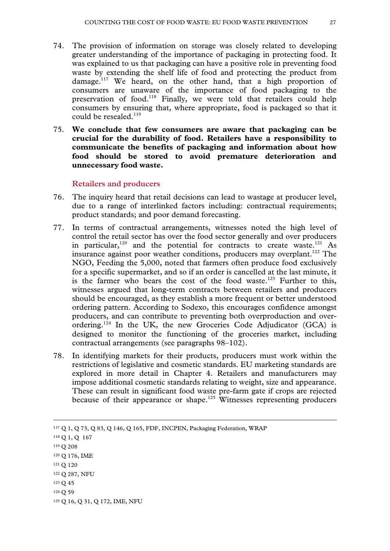- 74. The provision of information on storage was closely related to developing greater understanding of the importance of packaging in protecting food. It was explained to us that packaging can have a positive role in preventing food waste by extending the shelf life of food and protecting the product from damage.<sup>117</sup> We heard, on the other hand, that a high proportion of consumers are unaware of the importance of food packaging to the preservation of food.118 Finally, we were told that retailers could help consumers by ensuring that, where appropriate, food is packaged so that it could be resealed.<sup>119</sup>
- 75. **We conclude that few consumers are aware that packaging can be crucial for the durability of food. Retailers have a responsibility to communicate the benefits of packaging and information about how food should be stored to avoid premature deterioration and unnecessary food waste.**

#### **Retailers and producers**

- 76. The inquiry heard that retail decisions can lead to wastage at producer level, due to a range of interlinked factors including: contractual requirements; product standards; and poor demand forecasting.
- 77. In terms of contractual arrangements, witnesses noted the high level of control the retail sector has over the food sector generally and over producers in particular,<sup>120</sup> and the potential for contracts to create waste.<sup>121</sup> As insurance against poor weather conditions, producers may overplant.<sup>122</sup> The NGO, Feeding the 5,000, noted that farmers often produce food exclusively for a specific supermarket, and so if an order is cancelled at the last minute, it is the farmer who bears the cost of the food waste.<sup>123</sup> Further to this, witnesses argued that long-term contracts between retailers and producers should be encouraged, as they establish a more frequent or better understood ordering pattern. According to Sodexo, this encourages confidence amongst producers, and can contribute to preventing both overproduction and overordering.<sup>124</sup> In the UK, the new Groceries Code Adjudicator (GCA) is designed to monitor the functioning of the groceries market, including contractual arrangements (see paragraphs 98–102).
- 78. In identifying markets for their products, producers must work within the restrictions of legislative and cosmetic standards. EU marketing standards are explored in more detail in Chapter 4. Retailers and manufacturers may impose additional cosmetic standards relating to weight, size and appearance. These can result in significant food waste pre-farm gate if crops are rejected because of their appearance or shape.<sup>125</sup> Witnesses representing producers

121 Q 120

124 Q 59

 <sup>117</sup> Q 1, Q 73, Q 83, Q 146, Q 165, FDF, INCPEN, Packaging Federation, WRAP

<sup>118</sup> Q 1, Q 167

<sup>119</sup> Q 208

<sup>120</sup> Q 176, IME

<sup>122</sup> Q 287, NFU

<sup>123</sup> Q 45

<sup>125</sup> Q 16, Q 31, Q 172, IME, NFU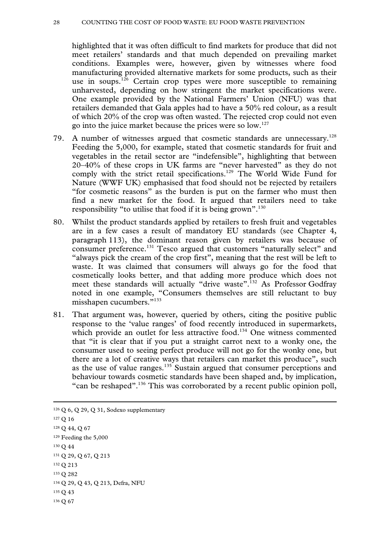#### 28 COUNTING THE COST OF FOOD WASTE: EU FOOD WASTE PREVENTION

highlighted that it was often difficult to find markets for produce that did not meet retailers' standards and that much depended on prevailing market conditions. Examples were, however, given by witnesses where food manufacturing provided alternative markets for some products, such as their use in soups.<sup>126</sup> Certain crop types were more susceptible to remaining unharvested, depending on how stringent the market specifications were. One example provided by the National Farmers' Union (NFU) was that retailers demanded that Gala apples had to have a 50% red colour, as a result of which 20% of the crop was often wasted. The rejected crop could not even go into the juice market because the prices were so low.127

- 79. A number of witnesses argued that cosmetic standards are unnecessary.<sup>128</sup> Feeding the 5,000, for example, stated that cosmetic standards for fruit and vegetables in the retail sector are "indefensible", highlighting that between 20–40% of these crops in UK farms are "never harvested" as they do not comply with the strict retail specifications.<sup>129</sup> The World Wide Fund for Nature (WWF UK) emphasised that food should not be rejected by retailers "for cosmetic reasons" as the burden is put on the farmer who must then find a new market for the food. It argued that retailers need to take responsibility "to utilise that food if it is being grown".<sup>130</sup>
- 80. Whilst the product standards applied by retailers to fresh fruit and vegetables are in a few cases a result of mandatory EU standards (see Chapter 4, paragraph 113), the dominant reason given by retailers was because of consumer preference.131 Tesco argued that customers "naturally select" and "always pick the cream of the crop first", meaning that the rest will be left to waste. It was claimed that consumers will always go for the food that cosmetically looks better, and that adding more produce which does not meet these standards will actually "drive waste".<sup>132</sup> As Professor Godfray noted in one example, "Consumers themselves are still reluctant to buy misshapen cucumbers."133
- 81. That argument was, however, queried by others, citing the positive public response to the 'value ranges' of food recently introduced in supermarkets, which provide an outlet for less attractive food.<sup>134</sup> One witness commented that "it is clear that if you put a straight carrot next to a wonky one, the consumer used to seeing perfect produce will not go for the wonky one, but there are a lot of creative ways that retailers can market this produce", such as the use of value ranges.<sup>135</sup> Sustain argued that consumer perceptions and behaviour towards cosmetic standards have been shaped and, by implication, "can be reshaped".<sup>136</sup> This was corroborated by a recent public opinion poll,

 126 Q 6, Q 29, Q 31, Sodexo supplementary 127 Q 16 128 Q 44, Q 67 129 Feeding the 5,000 130 Q 44 131 Q 29, Q 67, Q 213 132 Q 213 133 Q 282 134 Q 29, Q 43, Q 213, Defra, NFU 135 Q 43 136 Q 67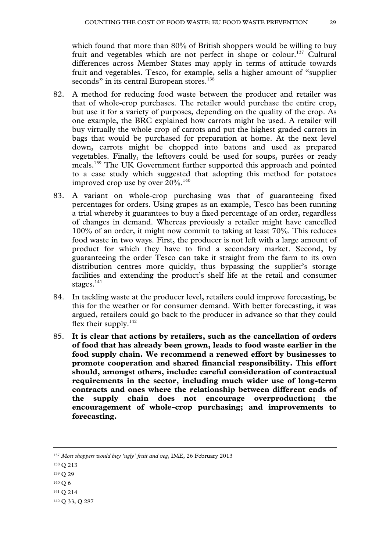which found that more than 80% of British shoppers would be willing to buy fruit and vegetables which are not perfect in shape or colour.<sup>137</sup> Cultural differences across Member States may apply in terms of attitude towards fruit and vegetables. Tesco, for example, sells a higher amount of "supplier seconds" in its central European stores.<sup>138</sup>

- 82. A method for reducing food waste between the producer and retailer was that of whole-crop purchases. The retailer would purchase the entire crop, but use it for a variety of purposes, depending on the quality of the crop. As one example, the BRC explained how carrots might be used. A retailer will buy virtually the whole crop of carrots and put the highest graded carrots in bags that would be purchased for preparation at home. At the next level down, carrots might be chopped into batons and used as prepared vegetables. Finally, the leftovers could be used for soups, purées or ready meals.139 The UK Government further supported this approach and pointed to a case study which suggested that adopting this method for potatoes improved crop use by over  $20\%$ .<sup>140</sup>
- 83. A variant on whole-crop purchasing was that of guaranteeing fixed percentages for orders. Using grapes as an example, Tesco has been running a trial whereby it guarantees to buy a fixed percentage of an order, regardless of changes in demand. Whereas previously a retailer might have cancelled 100% of an order, it might now commit to taking at least 70%. This reduces food waste in two ways. First, the producer is not left with a large amount of product for which they have to find a secondary market. Second, by guaranteeing the order Tesco can take it straight from the farm to its own distribution centres more quickly, thus bypassing the supplier's storage facilities and extending the product's shelf life at the retail and consumer stages. $141$
- 84. In tackling waste at the producer level, retailers could improve forecasting, be this for the weather or for consumer demand. With better forecasting, it was argued, retailers could go back to the producer in advance so that they could flex their supply. $142$
- 85. **It is clear that actions by retailers, such as the cancellation of orders of food that has already been grown, leads to food waste earlier in the food supply chain. We recommend a renewed effort by businesses to promote cooperation and shared financial responsibility. This effort should, amongst others, include: careful consideration of contractual requirements in the sector, including much wider use of long-term contracts and ones where the relationship between different ends of the supply chain does not encourage overproduction; the encouragement of whole-crop purchasing; and improvements to forecasting.**

- 138 Q 213
- 139 Q 29
- 140 Q 6
- 141 Q 214

 <sup>137</sup> *Most shoppers would buy 'ugly' fruit and veg*, IME, 26 February 2013

<sup>142</sup> Q 33, Q 287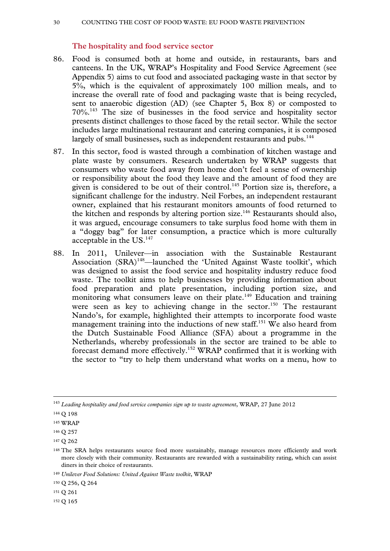#### **The hospitality and food service sector**

- 86. Food is consumed both at home and outside, in restaurants, bars and canteens. In the UK, WRAP's Hospitality and Food Service Agreement (see Appendix 5) aims to cut food and associated packaging waste in that sector by 5%, which is the equivalent of approximately 100 million meals, and to increase the overall rate of food and packaging waste that is being recycled, sent to anaerobic digestion (AD) (see Chapter 5, Box 8) or composted to 70%.143 The size of businesses in the food service and hospitality sector presents distinct challenges to those faced by the retail sector. While the sector includes large multinational restaurant and catering companies, it is composed largely of small businesses, such as independent restaurants and pubs.<sup>144</sup>
- 87. In this sector, food is wasted through a combination of kitchen wastage and plate waste by consumers. Research undertaken by WRAP suggests that consumers who waste food away from home don't feel a sense of ownership or responsibility about the food they leave and the amount of food they are given is considered to be out of their control.<sup>145</sup> Portion size is, therefore, a significant challenge for the industry. Neil Forbes, an independent restaurant owner, explained that his restaurant monitors amounts of food returned to the kitchen and responds by altering portion size.<sup>146</sup> Restaurants should also, it was argued, encourage consumers to take surplus food home with them in a "doggy bag" for later consumption, a practice which is more culturally acceptable in the US.<sup>147</sup>
- 88. In 2011, Unilever—in association with the Sustainable Restaurant Association (SRA)<sup>148</sup>—launched the 'United Against Waste toolkit', which was designed to assist the food service and hospitality industry reduce food waste. The toolkit aims to help businesses by providing information about food preparation and plate presentation, including portion size, and monitoring what consumers leave on their plate.<sup>149</sup> Education and training were seen as key to achieving change in the sector.<sup>150</sup> The restaurant Nando's, for example, highlighted their attempts to incorporate food waste management training into the inductions of new staff.<sup>151</sup> We also heard from the Dutch Sustainable Food Alliance (SFA) about a programme in the Netherlands, whereby professionals in the sector are trained to be able to forecast demand more effectively.152 WRAP confirmed that it is working with the sector to "try to help them understand what works on a menu, how to

 <sup>143</sup> *Leading hospitality and food service companies sign up to waste agreement*, WRAP, 27 June 2012

<sup>144</sup> Q 198

<sup>145</sup> WRAP

<sup>146</sup> Q 257

<sup>147</sup> Q 262

<sup>&</sup>lt;sup>148</sup> The SRA helps restaurants source food more sustainably, manage resources more efficiently and work more closely with their community. Restaurants are rewarded with a sustainability rating, which can assist diners in their choice of restaurants.

<sup>149</sup> *Unilever Food Solutions: United Against Waste toolkit*, WRAP

<sup>150</sup> Q 256, Q 264

<sup>151</sup> Q 261

<sup>152</sup> Q 165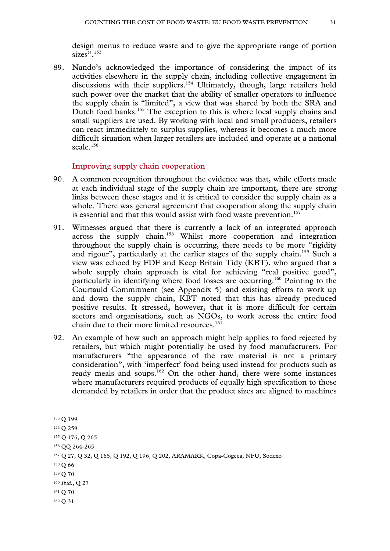design menus to reduce waste and to give the appropriate range of portion  $sizes$ <sup>3, 153</sup>

89. Nando's acknowledged the importance of considering the impact of its activities elsewhere in the supply chain, including collective engagement in discussions with their suppliers.<sup>154</sup> Ultimately, though, large retailers hold such power over the market that the ability of smaller operators to influence the supply chain is "limited", a view that was shared by both the SRA and Dutch food banks.<sup>155</sup> The exception to this is where local supply chains and small suppliers are used. By working with local and small producers, retailers can react immediately to surplus supplies, whereas it becomes a much more difficult situation when larger retailers are included and operate at a national scale.<sup>156</sup>

#### **Improving supply chain cooperation**

- 90. A common recognition throughout the evidence was that, while efforts made at each individual stage of the supply chain are important, there are strong links between these stages and it is critical to consider the supply chain as a whole. There was general agreement that cooperation along the supply chain is essential and that this would assist with food waste prevention.<sup>157</sup>
- 91. Witnesses argued that there is currently a lack of an integrated approach across the supply chain.<sup>158</sup> Whilst more cooperation and integration throughout the supply chain is occurring, there needs to be more "rigidity and rigour", particularly at the earlier stages of the supply chain.<sup>159</sup> Such a view was echoed by FDF and Keep Britain Tidy (KBT), who argued that a whole supply chain approach is vital for achieving "real positive good", particularly in identifying where food losses are occurring.160 Pointing to the Courtauld Commitment (see Appendix 5) and existing efforts to work up and down the supply chain, KBT noted that this has already produced positive results. It stressed, however, that it is more difficult for certain sectors and organisations, such as NGOs, to work across the entire food chain due to their more limited resources.<sup>161</sup>
- 92. An example of how such an approach might help applies to food rejected by retailers, but which might potentially be used by food manufacturers. For manufacturers "the appearance of the raw material is not a primary consideration", with 'imperfect' food being used instead for products such as ready meals and soups.162 On the other hand, there were some instances where manufacturers required products of equally high specification to those demanded by retailers in order that the product sizes are aligned to machines

162 Q 31

 <sup>153</sup> Q 199

<sup>154</sup> Q 259

<sup>155</sup> Q 176, Q 265

<sup>156</sup> QQ 264-265

<sup>157</sup> Q 27, Q 32, Q 165, Q 192, Q 196, Q 202, ARAMARK, Copa-Cogeca, NFU, Sodexo

<sup>158</sup> Q 66

<sup>159</sup> Q 70

<sup>160</sup> *Ibid*., Q 27

<sup>161</sup> Q 70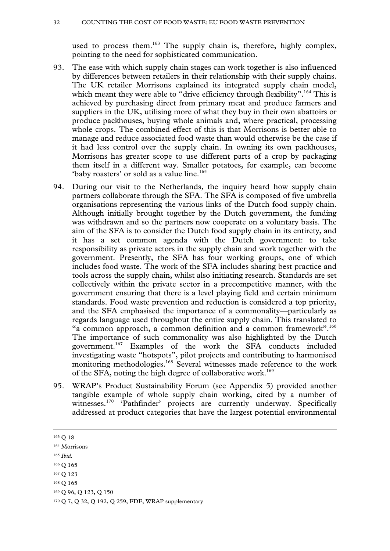used to process them.<sup>163</sup> The supply chain is, therefore, highly complex, pointing to the need for sophisticated communication.

- 93. The ease with which supply chain stages can work together is also influenced by differences between retailers in their relationship with their supply chains. The UK retailer Morrisons explained its integrated supply chain model, which meant they were able to "drive efficiency through flexibility".<sup>164</sup> This is achieved by purchasing direct from primary meat and produce farmers and suppliers in the UK, utilising more of what they buy in their own abattoirs or produce packhouses, buying whole animals and, where practical, processing whole crops. The combined effect of this is that Morrisons is better able to manage and reduce associated food waste than would otherwise be the case if it had less control over the supply chain. In owning its own packhouses, Morrisons has greater scope to use different parts of a crop by packaging them itself in a different way. Smaller potatoes, for example, can become 'baby roasters' or sold as a value line.<sup>165</sup>
- 94. During our visit to the Netherlands, the inquiry heard how supply chain partners collaborate through the SFA. The SFA is composed of five umbrella organisations representing the various links of the Dutch food supply chain. Although initially brought together by the Dutch government, the funding was withdrawn and so the partners now cooperate on a voluntary basis. The aim of the SFA is to consider the Dutch food supply chain in its entirety, and it has a set common agenda with the Dutch government: to take responsibility as private actors in the supply chain and work together with the government. Presently, the SFA has four working groups, one of which includes food waste. The work of the SFA includes sharing best practice and tools across the supply chain, whilst also initiating research. Standards are set collectively within the private sector in a precompetitive manner, with the government ensuring that there is a level playing field and certain minimum standards. Food waste prevention and reduction is considered a top priority, and the SFA emphasised the importance of a commonality—particularly as regards language used throughout the entire supply chain. This translated to "a common approach, a common definition and a common framework".<sup>166</sup> The importance of such commonality was also highlighted by the Dutch government.167 Examples of the work the SFA conducts included investigating waste "hotspots", pilot projects and contributing to harmonised monitoring methodologies.<sup>168</sup> Several witnesses made reference to the work of the SFA, noting the high degree of collaborative work.<sup>169</sup>
- 95. WRAP's Product Sustainability Forum (see Appendix 5) provided another tangible example of whole supply chain working, cited by a number of witnesses.<sup>170</sup> 'Pathfinder' projects are currently underway. Specifically addressed at product categories that have the largest potential environmental

- <sup>165</sup> *Ibid*.
- 166 Q 165

169 Q 96, Q 123, Q 150

 <sup>163</sup> Q 18

<sup>164</sup> Morrisons

<sup>167</sup> Q 123

<sup>168</sup> Q 165

<sup>170</sup> Q 7, Q 32, Q 192, Q 259, FDF, WRAP supplementary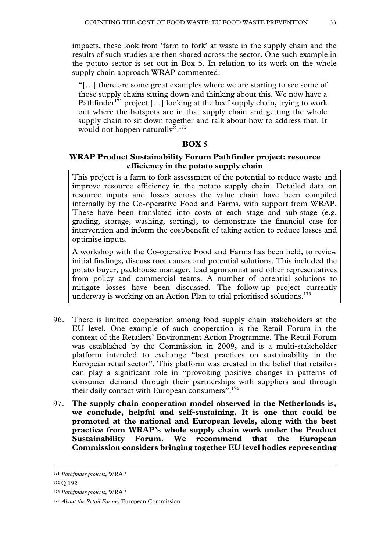impacts, these look from 'farm to fork' at waste in the supply chain and the results of such studies are then shared across the sector. One such example in the potato sector is set out in Box 5. In relation to its work on the whole supply chain approach WRAP commented:

"[…] there are some great examples where we are starting to see some of those supply chains sitting down and thinking about this. We now have a Pathfinder<sup>171</sup> project [...] looking at the beef supply chain, trying to work out where the hotspots are in that supply chain and getting the whole supply chain to sit down together and talk about how to address that. It would not happen naturally".<sup>172</sup>

# **BOX 5**

# **WRAP Product Sustainability Forum Pathfinder project: resource efficiency in the potato supply chain**

This project is a farm to fork assessment of the potential to reduce waste and improve resource efficiency in the potato supply chain. Detailed data on resource inputs and losses across the value chain have been compiled internally by the Co-operative Food and Farms, with support from WRAP. These have been translated into costs at each stage and sub-stage (e.g. grading, storage, washing, sorting), to demonstrate the financial case for intervention and inform the cost/benefit of taking action to reduce losses and optimise inputs.

A workshop with the Co-operative Food and Farms has been held, to review initial findings, discuss root causes and potential solutions. This included the potato buyer, packhouse manager, lead agronomist and other representatives from policy and commercial teams. A number of potential solutions to mitigate losses have been discussed. The follow-up project currently underway is working on an Action Plan to trial prioritised solutions.<sup>173</sup>

- 96. There is limited cooperation among food supply chain stakeholders at the EU level. One example of such cooperation is the Retail Forum in the context of the Retailers' Environment Action Programme. The Retail Forum was established by the Commission in 2009, and is a multi-stakeholder platform intended to exchange "best practices on sustainability in the European retail sector". This platform was created in the belief that retailers can play a significant role in "provoking positive changes in patterns of consumer demand through their partnerships with suppliers and through their daily contact with European consumers".<sup>174</sup>
- 97. **The supply chain cooperation model observed in the Netherlands is, we conclude, helpful and self-sustaining. It is one that could be promoted at the national and European levels, along with the best practice from WRAP's whole supply chain work under the Product Sustainability Forum. We recommend that the European Commission considers bringing together EU level bodies representing**

 <sup>171</sup> *Pathfinder projects*, WRAP

<sup>172</sup> Q 192

<sup>173</sup> *Pathfinder projects*, WRAP

<sup>174</sup> *About the Retail Forum*, European Commission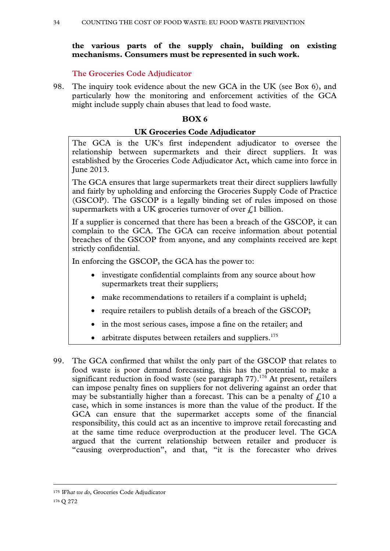# **the various parts of the supply chain, building on existing mechanisms. Consumers must be represented in such work.**

**The Groceries Code Adjudicator** 

98. The inquiry took evidence about the new GCA in the UK (see Box 6), and particularly how the monitoring and enforcement activities of the GCA might include supply chain abuses that lead to food waste.

# **BOX 6**

### **UK Groceries Code Adjudicator**

The GCA is the UK's first independent adjudicator to oversee the relationship between supermarkets and their direct suppliers. It was established by the Groceries Code Adjudicator Act, which came into force in June 2013.

The GCA ensures that large supermarkets treat their direct suppliers lawfully and fairly by upholding and enforcing the Groceries Supply Code of Practice (GSCOP). The GSCOP is a legally binding set of rules imposed on those supermarkets with a UK groceries turnover of over  $\mathcal{L}$ 1 billion.

If a supplier is concerned that there has been a breach of the GSCOP, it can complain to the GCA. The GCA can receive information about potential breaches of the GSCOP from anyone, and any complaints received are kept strictly confidential.

In enforcing the GSCOP, the GCA has the power to:

- investigate confidential complaints from any source about how supermarkets treat their suppliers;
- make recommendations to retailers if a complaint is upheld;
- require retailers to publish details of a breach of the GSCOP;
- in the most serious cases, impose a fine on the retailer; and
- arbitrate disputes between retailers and suppliers.<sup>175</sup>
- 99. The GCA confirmed that whilst the only part of the GSCOP that relates to food waste is poor demand forecasting, this has the potential to make a significant reduction in food waste (see paragraph  $77$ ).<sup>176</sup> At present, retailers can impose penalty fines on suppliers for not delivering against an order that may be substantially higher than a forecast. This can be a penalty of  $\mathcal{L}10$  a case, which in some instances is more than the value of the product. If the GCA can ensure that the supermarket accepts some of the financial responsibility, this could act as an incentive to improve retail forecasting and at the same time reduce overproduction at the producer level. The GCA argued that the current relationship between retailer and producer is "causing overproduction", and that, "it is the forecaster who drives

175 *What we do*, Groceries Code Adjudicator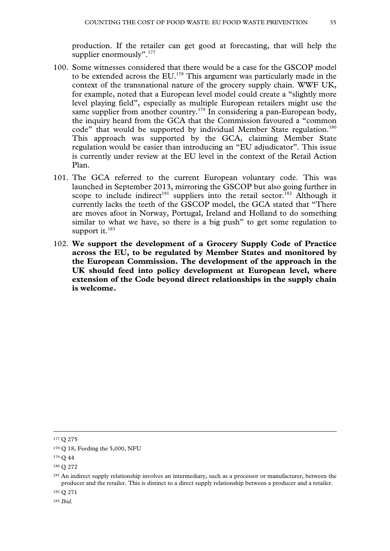production. If the retailer can get good at forecasting, that will help the supplier enormously".<sup>177</sup>

- 100. Some witnesses considered that there would be a case for the GSCOP model to be extended across the EU.178 This argument was particularly made in the context of the transnational nature of the grocery supply chain. WWF UK, for example, noted that a European level model could create a "slightly more level playing field", especially as multiple European retailers might use the same supplier from another country.<sup>179</sup> In considering a pan-European body, the inquiry heard from the GCA that the Commission favoured a "common code" that would be supported by individual Member State regulation.<sup>180</sup> This approach was supported by the GCA, claiming Member State regulation would be easier than introducing an "EU adjudicator". This issue is currently under review at the EU level in the context of the Retail Action Plan.
- 101. The GCA referred to the current European voluntary code. This was launched in September 2013, mirroring the GSCOP but also going further in scope to include indirect<sup>181</sup> suppliers into the retail sector.<sup>182</sup> Although it currently lacks the teeth of the GSCOP model, the GCA stated that "There are moves afoot in Norway, Portugal, Ireland and Holland to do something similar to what we have, so there is a big push" to get some regulation to support it. $183$
- 102. **We support the development of a Grocery Supply Code of Practice across the EU, to be regulated by Member States and monitored by the European Commission. The development of the approach in the UK should feed into policy development at European level, where extension of the Code beyond direct relationships in the supply chain is welcome.**

182 Q 271

<sup>183</sup> *Ibid*.

 <sup>177</sup> Q 275

<sup>178</sup> Q 18, Feeding the 5,000, NFU

<sup>179</sup> Q 44

<sup>180</sup> Q 272

<sup>&</sup>lt;sup>181</sup> An indirect supply relationship involves an intermediary, such as a processor or manufacturer, between the producer and the retailer. This is distinct to a direct supply relationship between a producer and a retailer.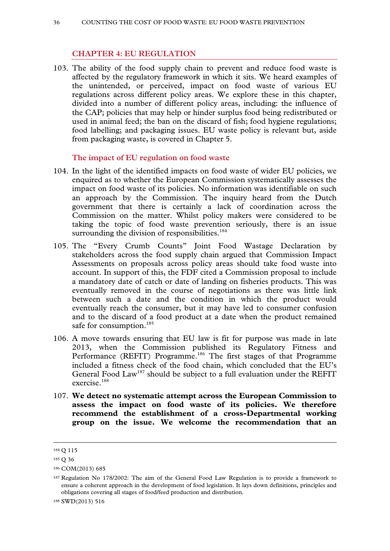### **CHAPTER 4: EU REGULATION**

103. The ability of the food supply chain to prevent and reduce food waste is affected by the regulatory framework in which it sits. We heard examples of the unintended, or perceived, impact on food waste of various EU regulations across different policy areas. We explore these in this chapter, divided into a number of different policy areas, including: the influence of the CAP; policies that may help or hinder surplus food being redistributed or used in animal feed; the ban on the discard of fish; food hygiene regulations; food labelling; and packaging issues. EU waste policy is relevant but, aside from packaging waste, is covered in Chapter 5.

#### **The impact of EU regulation on food waste**

- 104. In the light of the identified impacts on food waste of wider EU policies, we enquired as to whether the European Commission systematically assesses the impact on food waste of its policies. No information was identifiable on such an approach by the Commission. The inquiry heard from the Dutch government that there is certainly a lack of coordination across the Commission on the matter. Whilst policy makers were considered to be taking the topic of food waste prevention seriously, there is an issue surrounding the division of responsibilities. $184$
- 105. The "Every Crumb Counts" Joint Food Wastage Declaration by stakeholders across the food supply chain argued that Commission Impact Assessments on proposals across policy areas should take food waste into account. In support of this, the FDF cited a Commission proposal to include a mandatory date of catch or date of landing on fisheries products. This was eventually removed in the course of negotiations as there was little link between such a date and the condition in which the product would eventually reach the consumer, but it may have led to consumer confusion and to the discard of a food product at a date when the product remained safe for consumption.<sup>185</sup>
- 106. A move towards ensuring that EU law is fit for purpose was made in late 2013, when the Commission published its Regulatory Fitness and Performance (REFIT) Programme.<sup>186</sup> The first stages of that Programme included a fitness check of the food chain, which concluded that the EU's General Food Law<sup>187</sup> should be subject to a full evaluation under the REFIT exercise.<sup>188</sup>
- 107. **We detect no systematic attempt across the European Commission to assess the impact on food waste of its policies. We therefore recommend the establishment of a cross-Departmental working group on the issue. We welcome the recommendation that an**

 <sup>184</sup> Q 115

<sup>185</sup> Q 36

<sup>186</sup> COM(2013) 685

<sup>187</sup> Regulation No 178/2002: The aim of the General Food Law Regulation is to provide a framework to ensure a coherent approach in the development of food legislation. It lays down definitions, principles and obligations covering all stages of food/feed production and distribution.

<sup>188</sup> SWD(2013) 516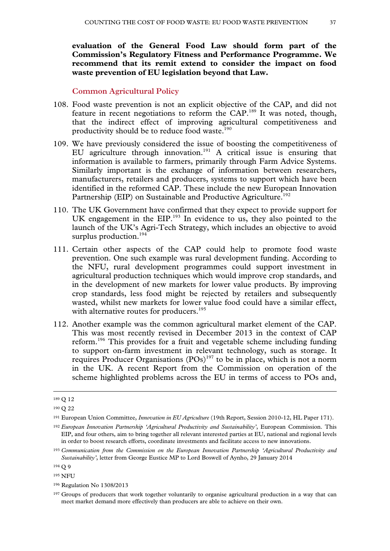**evaluation of the General Food Law should form part of the Commission's Regulatory Fitness and Performance Programme. We recommend that its remit extend to consider the impact on food waste prevention of EU legislation beyond that Law.**

### **Common Agricultural Policy**

- 108. Food waste prevention is not an explicit objective of the CAP, and did not feature in recent negotiations to reform the CAP.189 It was noted, though, that the indirect effect of improving agricultural competitiveness and productivity should be to reduce food waste.<sup>190</sup>
- 109. We have previously considered the issue of boosting the competitiveness of EU agriculture through innovation.<sup>191</sup> A critical issue is ensuring that information is available to farmers, primarily through Farm Advice Systems. Similarly important is the exchange of information between researchers, manufacturers, retailers and producers, systems to support which have been identified in the reformed CAP. These include the new European Innovation Partnership (EIP) on Sustainable and Productive Agriculture.<sup>192</sup>
- 110. The UK Government have confirmed that they expect to provide support for UK engagement in the  $EIP$ <sup>193</sup>. In evidence to us, they also pointed to the launch of the UK's Agri-Tech Strategy, which includes an objective to avoid surplus production.<sup>194</sup>
- 111. Certain other aspects of the CAP could help to promote food waste prevention. One such example was rural development funding. According to the NFU, rural development programmes could support investment in agricultural production techniques which would improve crop standards, and in the development of new markets for lower value products. By improving crop standards, less food might be rejected by retailers and subsequently wasted, whilst new markets for lower value food could have a similar effect, with alternative routes for producers.<sup>195</sup>
- 112. Another example was the common agricultural market element of the CAP. This was most recently revised in December 2013 in the context of CAP reform.196 This provides for a fruit and vegetable scheme including funding to support on-farm investment in relevant technology, such as storage. It requires Producer Organisations (POs)<sup>197</sup> to be in place, which is not a norm in the UK. A recent Report from the Commission on operation of the scheme highlighted problems across the EU in terms of access to POs and,

 <sup>189</sup> Q 12

<sup>190</sup> Q 22

<sup>191</sup> European Union Committee, *Innovation in EU Agriculture* (19th Report, Session 2010-12, HL Paper 171).

<sup>192</sup> *European Innovation Partnership 'Agricultural Productivity and Sustainability'*, European Commission. This EIP, and four others, aim to bring together all relevant interested parties at EU, national and regional levels in order to boost research efforts, coordinate investments and facilitate access to new innovations.

<sup>193</sup> *Communication from the Commission on the European Innovation Partnership 'Agricultural Productivity and Sustainability'*, letter from George Eustice MP to Lord Boswell of Aynho, 29 January 2014

<sup>194</sup> Q 9

<sup>195</sup> NFU

<sup>196</sup> Regulation No 1308/2013

<sup>197</sup> Groups of producers that work together voluntarily to organise agricultural production in a way that can meet market demand more effectively than producers are able to achieve on their own.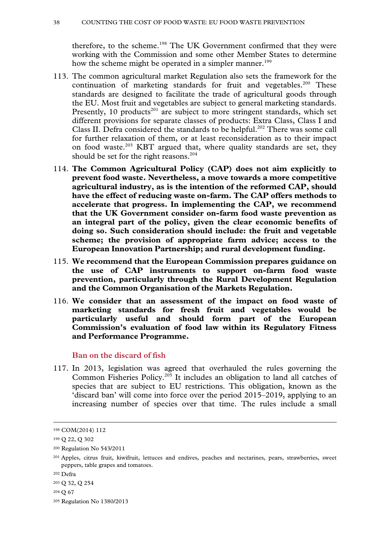therefore, to the scheme.<sup>198</sup> The UK Government confirmed that they were working with the Commission and some other Member States to determine how the scheme might be operated in a simpler manner.<sup>199</sup>

- 113. The common agricultural market Regulation also sets the framework for the continuation of marketing standards for fruit and vegetables.<sup>200</sup> These standards are designed to facilitate the trade of agricultural goods through the EU. Most fruit and vegetables are subject to general marketing standards. Presently, 10 products<sup>201</sup> are subject to more stringent standards, which set different provisions for separate classes of products: Extra Class, Class I and Class II. Defra considered the standards to be helpful.<sup>202</sup> There was some call for further relaxation of them, or at least reconsideration as to their impact on food waste.<sup>203</sup> KBT argued that, where quality standards are set, they should be set for the right reasons.<sup>204</sup>
- 114. **The Common Agricultural Policy (CAP) does not aim explicitly to prevent food waste. Nevertheless, a move towards a more competitive agricultural industry, as is the intention of the reformed CAP, should have the effect of reducing waste on-farm. The CAP offers methods to accelerate that progress. In implementing the CAP, we recommend that the UK Government consider on-farm food waste prevention as an integral part of the policy, given the clear economic benefits of doing so. Such consideration should include: the fruit and vegetable scheme; the provision of appropriate farm advice; access to the European Innovation Partnership; and rural development funding.**
- 115. **We recommend that the European Commission prepares guidance on the use of CAP instruments to support on-farm food waste prevention, particularly through the Rural Development Regulation and the Common Organisation of the Markets Regulation.**
- 116. **We consider that an assessment of the impact on food waste of marketing standards for fresh fruit and vegetables would be particularly useful and should form part of the European Commission's evaluation of food law within its Regulatory Fitness and Performance Programme.**

### **Ban on the discard of fish**

117. In 2013, legislation was agreed that overhauled the rules governing the Common Fisheries Policy.205 It includes an obligation to land all catches of species that are subject to EU restrictions. This obligation, known as the 'discard ban' will come into force over the period 2015–2019, applying to an increasing number of species over that time. The rules include a small

 <sup>198</sup> COM(2014) 112

<sup>199</sup> Q 22, Q 302

<sup>200</sup> Regulation No 543/2011

<sup>201</sup> Apples, citrus fruit, kiwifruit, lettuces and endives, peaches and nectarines, pears, strawberries, sweet peppers, table grapes and tomatoes.

<sup>202</sup> Defra

<sup>203</sup> Q 32, Q 254

<sup>204</sup> Q 67

<sup>205</sup> Regulation No 1380/2013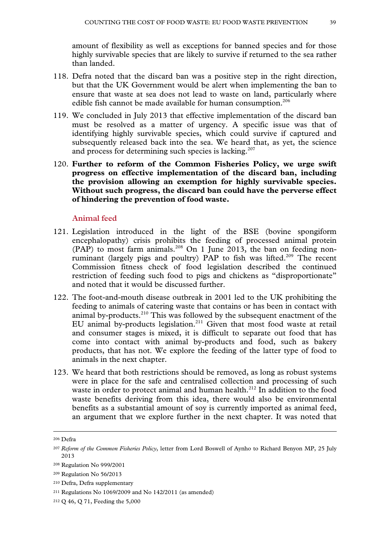amount of flexibility as well as exceptions for banned species and for those highly survivable species that are likely to survive if returned to the sea rather than landed.

- 118. Defra noted that the discard ban was a positive step in the right direction, but that the UK Government would be alert when implementing the ban to ensure that waste at sea does not lead to waste on land, particularly where edible fish cannot be made available for human consumption.<sup>206</sup>
- 119. We concluded in July 2013 that effective implementation of the discard ban must be resolved as a matter of urgency. A specific issue was that of identifying highly survivable species, which could survive if captured and subsequently released back into the sea. We heard that, as yet, the science and process for determining such species is lacking. $207$
- 120. **Further to reform of the Common Fisheries Policy, we urge swift progress on effective implementation of the discard ban, including the provision allowing an exemption for highly survivable species. Without such progress, the discard ban could have the perverse effect of hindering the prevention of food waste.**

### **Animal feed**

- 121. Legislation introduced in the light of the BSE (bovine spongiform encephalopathy) crisis prohibits the feeding of processed animal protein  $(PAP)$  to most farm animals.<sup>208</sup> On 1 June 2013, the ban on feeding nonruminant (largely pigs and poultry) PAP to fish was lifted.<sup>209</sup> The recent Commission fitness check of food legislation described the continued restriction of feeding such food to pigs and chickens as "disproportionate" and noted that it would be discussed further.
- 122. The foot-and-mouth disease outbreak in 2001 led to the UK prohibiting the feeding to animals of catering waste that contains or has been in contact with animal by-products.<sup>210</sup> This was followed by the subsequent enactment of the EU animal by-products legislation.211 Given that most food waste at retail and consumer stages is mixed, it is difficult to separate out food that has come into contact with animal by-products and food, such as bakery products, that has not. We explore the feeding of the latter type of food to animals in the next chapter.
- 123. We heard that both restrictions should be removed, as long as robust systems were in place for the safe and centralised collection and processing of such waste in order to protect animal and human health.<sup>212</sup> In addition to the food waste benefits deriving from this idea, there would also be environmental benefits as a substantial amount of soy is currently imported as animal feed, an argument that we explore further in the next chapter. It was noted that

 <sup>206</sup> Defra

<sup>207</sup> *Reform of the Common Fisheries Policy*, letter from Lord Boswell of Aynho to Richard Benyon MP, 25 July 2013

<sup>208</sup> Regulation No 999/2001

<sup>209</sup> Regulation No 56/2013

<sup>210</sup> Defra, Defra supplementary

<sup>211</sup> Regulations No 1069/2009 and No 142/2011 (as amended)

<sup>212</sup> Q 46, Q 71, Feeding the 5,000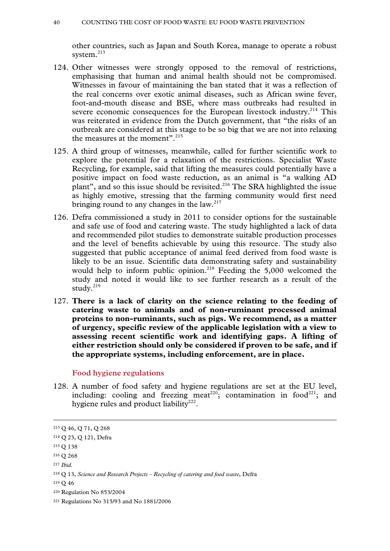other countries, such as Japan and South Korea, manage to operate a robust system.<sup>213</sup>

- 124. Other witnesses were strongly opposed to the removal of restrictions, emphasising that human and animal health should not be compromised. Witnesses in favour of maintaining the ban stated that it was a reflection of the real concerns over exotic animal diseases, such as African swine fever, foot-and-mouth disease and BSE, where mass outbreaks had resulted in severe economic consequences for the European livestock industry.<sup>214</sup> This was reiterated in evidence from the Dutch government, that "the risks of an outbreak are considered at this stage to be so big that we are not into relaxing the measures at the moment". $^{215}$
- 125. A third group of witnesses, meanwhile, called for further scientific work to explore the potential for a relaxation of the restrictions. Specialist Waste Recycling, for example, said that lifting the measures could potentially have a positive impact on food waste reduction, as an animal is "a walking AD plant", and so this issue should be revisited.<sup>216</sup> The SRA highlighted the issue as highly emotive, stressing that the farming community would first need bringing round to any changes in the law. $217$
- 126. Defra commissioned a study in 2011 to consider options for the sustainable and safe use of food and catering waste. The study highlighted a lack of data and recommended pilot studies to demonstrate suitable production processes and the level of benefits achievable by using this resource. The study also suggested that public acceptance of animal feed derived from food waste is likely to be an issue. Scientific data demonstrating safety and sustainability would help to inform public opinion.<sup>218</sup> Feeding the 5,000 welcomed the study and noted it would like to see further research as a result of the study.<sup>219</sup>
- 127. **There is a lack of clarity on the science relating to the feeding of catering waste to animals and of non-ruminant processed animal proteins to non-ruminants, such as pigs. We recommend, as a matter of urgency, specific review of the applicable legislation with a view to assessing recent scientific work and identifying gaps. A lifting of either restriction should only be considered if proven to be safe, and if the appropriate systems, including enforcement, are in place.**

#### **Food hygiene regulations**

128. A number of food safety and hygiene regulations are set at the EU level, including: cooling and freezing meat<sup>220</sup>; contamination in food<sup>221</sup>; and hygiene rules and product liability<sup>222</sup>.

 <sup>213</sup> Q 46, Q 71, Q 268

<sup>214</sup> Q 23, Q 121, Defra

<sup>215</sup> Q 138

<sup>216</sup> Q 268

<sup>217</sup> *Ibid*.

<sup>218</sup> Q 13, *Science and Research Projects – Recycling of catering and food waste*, Defra

<sup>219</sup> Q 46

<sup>220</sup> Regulation No 853/2004

<sup>221</sup> Regulations No 315/93 and No 1881/2006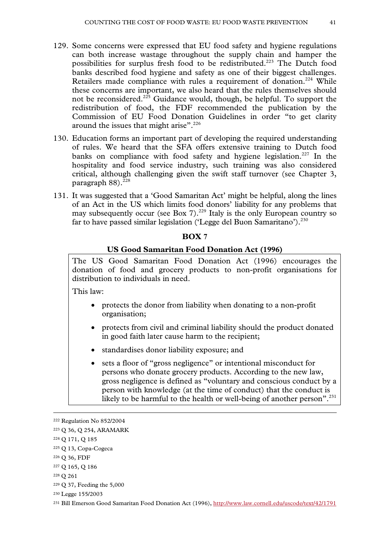- 129. Some concerns were expressed that EU food safety and hygiene regulations can both increase wastage throughout the supply chain and hamper the possibilities for surplus fresh food to be redistributed.<sup>223</sup> The Dutch food banks described food hygiene and safety as one of their biggest challenges. Retailers made compliance with rules a requirement of donation.<sup>224</sup> While these concerns are important, we also heard that the rules themselves should not be reconsidered.<sup>225</sup> Guidance would, though, be helpful. To support the redistribution of food, the FDF recommended the publication by the Commission of EU Food Donation Guidelines in order "to get clarity around the issues that might arise".<sup>226</sup>
- 130. Education forms an important part of developing the required understanding of rules. We heard that the SFA offers extensive training to Dutch food banks on compliance with food safety and hygiene legislation.<sup>227</sup> In the hospitality and food service industry, such training was also considered critical, although challenging given the swift staff turnover (see Chapter 3, paragraph  $88$ ).<sup>228</sup>
- 131. It was suggested that a 'Good Samaritan Act' might be helpful, along the lines of an Act in the US which limits food donors' liability for any problems that may subsequently occur (see Box 7).<sup>229</sup> Italy is the only European country so far to have passed similar legislation ('Legge del Buon Samaritano').<sup>230</sup>

#### **BOX 7**

### **US Good Samaritan Food Donation Act (1996)**

The US Good Samaritan Food Donation Act (1996) encourages the donation of food and grocery products to non-profit organisations for distribution to individuals in need.

This law:

- protects the donor from liability when donating to a non-profit organisation;
- protects from civil and criminal liability should the product donated in good faith later cause harm to the recipient;
- standardises donor liability exposure; and
- sets a floor of "gross negligence" or intentional misconduct for persons who donate grocery products. According to the new law, gross negligence is defined as "voluntary and conscious conduct by a person with knowledge (at the time of conduct) that the conduct is likely to be harmful to the health or well-being of another person".<sup>231</sup>

 <sup>222</sup> Regulation No 852/2004

<sup>223</sup> Q 36, Q 254, ARAMARK

<sup>224</sup> Q 171, Q 185

<sup>225</sup> Q 13, Copa-Cogeca

<sup>226</sup> Q 36, FDF

<sup>227</sup> Q 165, Q 186

<sup>228</sup> Q 261

<sup>229</sup> Q 37, Feeding the 5,000

<sup>230</sup> Legge 155/2003

<sup>231</sup> Bill Emerson Good Samaritan Food Donation Act (1996), http://www.law.cornell.edu/uscode/text/42/1791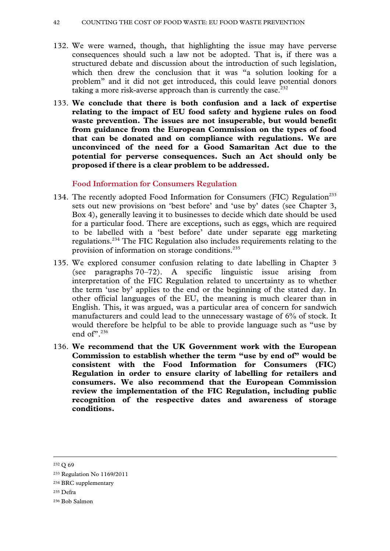- 132. We were warned, though, that highlighting the issue may have perverse consequences should such a law not be adopted. That is, if there was a structured debate and discussion about the introduction of such legislation, which then drew the conclusion that it was "a solution looking for a problem" and it did not get introduced, this could leave potential donors taking a more risk-averse approach than is currently the case.<sup>232</sup>
- 133. **We conclude that there is both confusion and a lack of expertise relating to the impact of EU food safety and hygiene rules on food waste prevention. The issues are not insuperable, but would benefit from guidance from the European Commission on the types of food that can be donated and on compliance with regulations. We are unconvinced of the need for a Good Samaritan Act due to the potential for perverse consequences. Such an Act should only be proposed if there is a clear problem to be addressed.**

# **Food Information for Consumers Regulation**

- 134. The recently adopted Food Information for Consumers (FIC) Regulation<sup>233</sup> sets out new provisions on 'best before' and 'use by' dates (see Chapter 3, Box 4), generally leaving it to businesses to decide which date should be used for a particular food. There are exceptions, such as eggs, which are required to be labelled with a 'best before' date under separate egg marketing regulations.234 The FIC Regulation also includes requirements relating to the provision of information on storage conditions.<sup>235</sup>
- 135. We explored consumer confusion relating to date labelling in Chapter 3 (see paragraphs 70–72). A specific linguistic issue arising from interpretation of the FIC Regulation related to uncertainty as to whether the term 'use by' applies to the end or the beginning of the stated day. In other official languages of the EU, the meaning is much clearer than in English. This, it was argued, was a particular area of concern for sandwich manufacturers and could lead to the unnecessary wastage of 6% of stock. It would therefore be helpful to be able to provide language such as "use by end of  $236$
- 136. **We recommend that the UK Government work with the European Commission to establish whether the term "use by end of" would be consistent with the Food Information for Consumers (FIC) Regulation in order to ensure clarity of labelling for retailers and consumers. We also recommend that the European Commission review the implementation of the FIC Regulation, including public recognition of the respective dates and awareness of storage conditions.**

232 Q 69

235 Defra

<sup>233</sup> Regulation No 1169/2011

<sup>234</sup> BRC supplementary

<sup>236</sup> Bob Salmon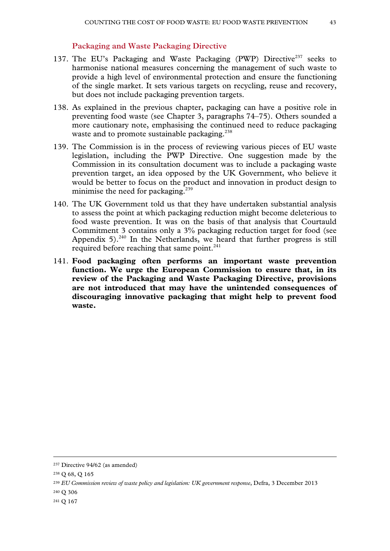### **Packaging and Waste Packaging Directive**

- 137. The EU's Packaging and Waste Packaging (PWP) Directive<sup>237</sup> seeks to harmonise national measures concerning the management of such waste to provide a high level of environmental protection and ensure the functioning of the single market. It sets various targets on recycling, reuse and recovery, but does not include packaging prevention targets.
- 138. As explained in the previous chapter, packaging can have a positive role in preventing food waste (see Chapter 3, paragraphs 74–75). Others sounded a more cautionary note, emphasising the continued need to reduce packaging waste and to promote sustainable packaging.<sup>238</sup>
- 139. The Commission is in the process of reviewing various pieces of EU waste legislation, including the PWP Directive. One suggestion made by the Commission in its consultation document was to include a packaging waste prevention target, an idea opposed by the UK Government, who believe it would be better to focus on the product and innovation in product design to minimise the need for packaging.<sup>239</sup>
- 140. The UK Government told us that they have undertaken substantial analysis to assess the point at which packaging reduction might become deleterious to food waste prevention. It was on the basis of that analysis that Courtauld Commitment 3 contains only a 3% packaging reduction target for food (see Appendix  $5$ ).<sup>240</sup> In the Netherlands, we heard that further progress is still required before reaching that same point.<sup>241</sup>
- 141. **Food packaging often performs an important waste prevention function. We urge the European Commission to ensure that, in its review of the Packaging and Waste Packaging Directive, provisions are not introduced that may have the unintended consequences of discouraging innovative packaging that might help to prevent food waste.**

- 240 Q 306
- 241 Q 167

 <sup>237</sup> Directive 94/62 (as amended)

<sup>238</sup> Q 68, Q 165

<sup>239</sup> *EU Commission review of waste policy and legislation: UK government response*, Defra, 3 December 2013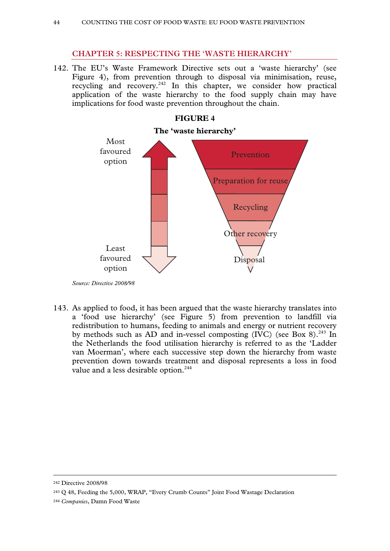# **CHAPTER 5: RESPECTING THE 'WASTE HIERARCHY'**

142. The EU's Waste Framework Directive sets out a 'waste hierarchy' (see Figure 4), from prevention through to disposal via minimisation, reuse, recycling and recovery.<sup>242</sup> In this chapter, we consider how practical application of the waste hierarchy to the food supply chain may have implications for food waste prevention throughout the chain.



*Source: Directive 2008/98* 

143. As applied to food, it has been argued that the waste hierarchy translates into a 'food use hierarchy' (see Figure 5) from prevention to landfill via redistribution to humans, feeding to animals and energy or nutrient recovery by methods such as AD and in-vessel composting (IVC) (see Box 8).<sup>243</sup> In the Netherlands the food utilisation hierarchy is referred to as the 'Ladder van Moerman', where each successive step down the hierarchy from waste prevention down towards treatment and disposal represents a loss in food value and a less desirable option.<sup>244</sup>

 <sup>242</sup> Directive 2008/98

<sup>243</sup> Q 48, Feeding the 5,000, WRAP, "Every Crumb Counts" Joint Food Wastage Declaration

<sup>244</sup> *Companies*, Damn Food Waste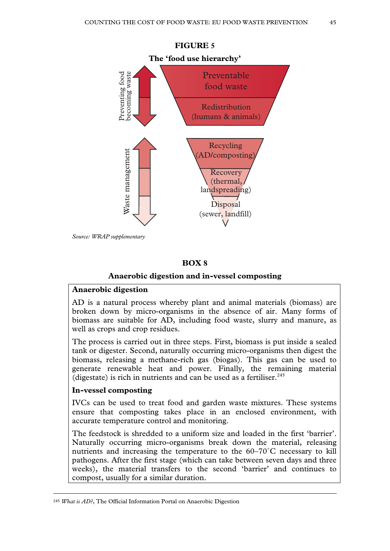

*Source: WRAP supplementary* 

### **BOX 8**

#### **Anaerobic digestion and in-vessel composting**

### **Anaerobic digestion**

AD is a natural process whereby plant and animal materials (biomass) are broken down by micro-organisms in the absence of air. Many forms of biomass are suitable for AD, including food waste, slurry and manure, as well as crops and crop residues.

The process is carried out in three steps. First, biomass is put inside a sealed tank or digester. Second, naturally occurring micro-organisms then digest the biomass, releasing a methane-rich gas (biogas). This gas can be used to generate renewable heat and power. Finally, the remaining material (digestate) is rich in nutrients and can be used as a fertiliser. $245$ 

### **In-vessel composting**

IVCs can be used to treat food and garden waste mixtures. These systems ensure that composting takes place in an enclosed environment, with accurate temperature control and monitoring.

The feedstock is shredded to a uniform size and loaded in the first 'barrier'. Naturally occurring micro-organisms break down the material, releasing nutrients and increasing the temperature to the 60–70˚C necessary to kill pathogens. After the first stage (which can take between seven days and three weeks), the material transfers to the second 'barrier' and continues to compost, usually for a similar duration.

 <sup>245</sup> *What is AD?*, The Official Information Portal on Anaerobic Digestion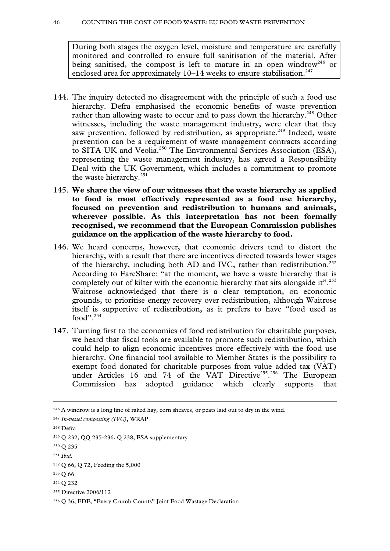During both stages the oxygen level, moisture and temperature are carefully monitored and controlled to ensure full sanitisation of the material. After being sanitised, the compost is left to mature in an open windrow<sup>246</sup> or enclosed area for approximately  $10-14$  weeks to ensure stabilisation.<sup>247</sup>

- 144. The inquiry detected no disagreement with the principle of such a food use hierarchy. Defra emphasised the economic benefits of waste prevention rather than allowing waste to occur and to pass down the hierarchy.<sup>248</sup> Other witnesses, including the waste management industry, were clear that they saw prevention, followed by redistribution, as appropriate.<sup>249</sup> Indeed, waste prevention can be a requirement of waste management contracts according to SITA UK and Veolia.250 The Environmental Services Association (ESA), representing the waste management industry, has agreed a Responsibility Deal with the UK Government, which includes a commitment to promote the waste hierarchy. $251$
- 145. **We share the view of our witnesses that the waste hierarchy as applied to food is most effectively represented as a food use hierarchy, focused on prevention and redistribution to humans and animals, wherever possible. As this interpretation has not been formally recognised, we recommend that the European Commission publishes guidance on the application of the waste hierarchy to food.**
- 146. We heard concerns, however, that economic drivers tend to distort the hierarchy, with a result that there are incentives directed towards lower stages of the hierarchy, including both AD and IVC, rather than redistribution.<sup>252</sup> According to FareShare: "at the moment, we have a waste hierarchy that is completely out of kilter with the economic hierarchy that sits alongside it".<sup>253</sup> Waitrose acknowledged that there is a clear temptation, on economic grounds, to prioritise energy recovery over redistribution, although Waitrose itself is supportive of redistribution, as it prefers to have "food used as food". $254$
- 147. Turning first to the economics of food redistribution for charitable purposes, we heard that fiscal tools are available to promote such redistribution, which could help to align economic incentives more effectively with the food use hierarchy. One financial tool available to Member States is the possibility to exempt food donated for charitable purposes from value added tax (VAT) under Articles 16 and 74 of the VAT Directive<sup>255</sup>, 256 The European Commission has adopted guidance which clearly supports that

 <sup>246</sup> A windrow is a long line of raked hay, corn sheaves, or peats laid out to dry in the wind.

<sup>247</sup> *In-vessel composting (IVC)*, WRAP

<sup>248</sup> Defra

<sup>249</sup> Q 232, QQ 235-236, Q 238, ESA supplementary

<sup>250</sup> Q 235

<sup>251</sup> *Ibid*.

<sup>252</sup> Q 66, Q 72, Feeding the 5,000

<sup>253</sup> Q 66

<sup>254</sup> Q 232

<sup>255</sup> Directive 2006/112

<sup>256</sup> Q 36, FDF, "Every Crumb Counts" Joint Food Wastage Declaration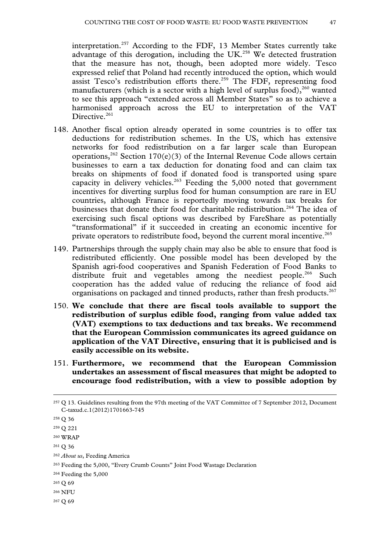interpretation.<sup>257</sup> According to the FDF, 13 Member States currently take advantage of this derogation, including the UK. $^{258}$  We detected frustration that the measure has not, though, been adopted more widely. Tesco expressed relief that Poland had recently introduced the option, which would assist Tesco's redistribution efforts there.<sup>259</sup> The FDF, representing food manufacturers (which is a sector with a high level of surplus food),  $260$  wanted to see this approach "extended across all Member States" so as to achieve a harmonised approach across the EU to interpretation of the VAT Directive.<sup>261</sup>

- 148. Another fiscal option already operated in some countries is to offer tax deductions for redistribution schemes. In the US, which has extensive networks for food redistribution on a far larger scale than European operations,<sup>262</sup> Section 170(e)(3) of the Internal Revenue Code allows certain businesses to earn a tax deduction for donating food and can claim tax breaks on shipments of food if donated food is transported using spare capacity in delivery vehicles.<sup>263</sup> Feeding the 5,000 noted that government incentives for diverting surplus food for human consumption are rare in EU countries, although France is reportedly moving towards tax breaks for businesses that donate their food for charitable redistribution.<sup>264</sup> The idea of exercising such fiscal options was described by FareShare as potentially "transformational" if it succeeded in creating an economic incentive for private operators to redistribute food, beyond the current moral incentive.<sup>265</sup>
- 149. Partnerships through the supply chain may also be able to ensure that food is redistributed efficiently. One possible model has been developed by the Spanish agri-food cooperatives and Spanish Federation of Food Banks to distribute fruit and vegetables among the neediest people.<sup>266</sup> Such cooperation has the added value of reducing the reliance of food aid organisations on packaged and tinned products, rather than fresh products.<sup>267</sup>
- 150. **We conclude that there are fiscal tools available to support the redistribution of surplus edible food, ranging from value added tax (VAT) exemptions to tax deductions and tax breaks. We recommend that the European Commission communicates its agreed guidance on application of the VAT Directive, ensuring that it is publicised and is easily accessible on its website.**
- 151. **Furthermore, we recommend that the European Commission undertakes an assessment of fiscal measures that might be adopted to encourage food redistribution, with a view to possible adoption by**

- 264 Feeding the 5,000
- 265 Q 69
- 266 NFU

267 Q 69

 <sup>257</sup> Q 13. Guidelines resulting from the 97th meeting of the VAT Committee of 7 September 2012, Document C-taxud.c.1(2012)1701663-745

<sup>258</sup> Q 36

<sup>259</sup> Q 221

<sup>260</sup> WRAP

<sup>261</sup> Q 36

<sup>262</sup> *About us*, Feeding America

<sup>263</sup> Feeding the 5,000, "Every Crumb Counts" Joint Food Wastage Declaration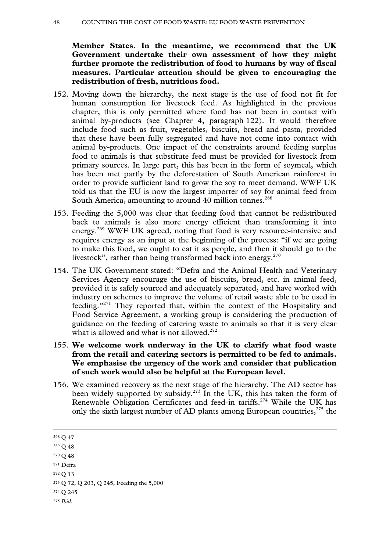#### 48 COUNTING THE COST OF FOOD WASTE: EU FOOD WASTE PREVENTION

**Member States. In the meantime, we recommend that the UK Government undertake their own assessment of how they might further promote the redistribution of food to humans by way of fiscal measures. Particular attention should be given to encouraging the redistribution of fresh, nutritious food.**

- 152. Moving down the hierarchy, the next stage is the use of food not fit for human consumption for livestock feed. As highlighted in the previous chapter, this is only permitted where food has not been in contact with animal by-products (see Chapter 4, paragraph 122). It would therefore include food such as fruit, vegetables, biscuits, bread and pasta, provided that these have been fully segregated and have not come into contact with animal by-products. One impact of the constraints around feeding surplus food to animals is that substitute feed must be provided for livestock from primary sources. In large part, this has been in the form of soymeal, which has been met partly by the deforestation of South American rainforest in order to provide sufficient land to grow the soy to meet demand. WWF UK told us that the EU is now the largest importer of soy for animal feed from South America, amounting to around 40 million tonnes.<sup>268</sup>
- 153. Feeding the 5,000 was clear that feeding food that cannot be redistributed back to animals is also more energy efficient than transforming it into energy.269 WWF UK agreed, noting that food is very resource-intensive and requires energy as an input at the beginning of the process: "if we are going to make this food, we ought to eat it as people, and then it should go to the livestock", rather than being transformed back into energy. $270$
- 154. The UK Government stated: "Defra and the Animal Health and Veterinary Services Agency encourage the use of biscuits, bread, etc. in animal feed, provided it is safely sourced and adequately separated, and have worked with industry on schemes to improve the volume of retail waste able to be used in feeding."271 They reported that, within the context of the Hospitality and Food Service Agreement, a working group is considering the production of guidance on the feeding of catering waste to animals so that it is very clear what is allowed and what is not allowed.<sup>272</sup>
- 155. **We welcome work underway in the UK to clarify what food waste from the retail and catering sectors is permitted to be fed to animals. We emphasise the urgency of the work and consider that publication of such work would also be helpful at the European level.**
- 156. We examined recovery as the next stage of the hierarchy. The AD sector has been widely supported by subsidy.<sup>273</sup> In the UK, this has taken the form of Renewable Obligation Certificates and feed-in tariffs.274 While the UK has only the sixth largest number of AD plants among European countries,<sup>275</sup> the

- 270 Q 48
- 271 Defra
- 272 Q 13

- 274 Q 245
- <sup>275</sup> *Ibid*.

 <sup>268</sup> Q 47

<sup>269</sup> Q 48

<sup>273</sup> Q 72, Q 203, Q 245, Feeding the 5,000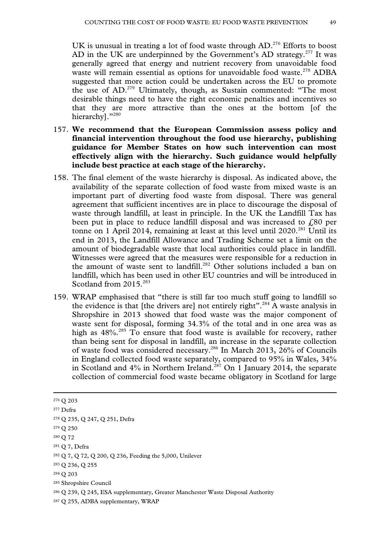UK is unusual in treating a lot of food waste through AD.<sup>276</sup> Efforts to boost AD in the UK are underpinned by the Government's AD strategy.<sup>277</sup> It was generally agreed that energy and nutrient recovery from unavoidable food waste will remain essential as options for unavoidable food waste.<sup>278</sup> ADBA suggested that more action could be undertaken across the EU to promote the use of AD.279 Ultimately, though, as Sustain commented: "The most desirable things need to have the right economic penalties and incentives so that they are more attractive than the ones at the bottom [of the hierarchy]."280

- 157. **We recommend that the European Commission assess policy and financial intervention throughout the food use hierarchy, publishing guidance for Member States on how such intervention can most effectively align with the hierarchy. Such guidance would helpfully include best practice at each stage of the hierarchy.**
- 158. The final element of the waste hierarchy is disposal. As indicated above, the availability of the separate collection of food waste from mixed waste is an important part of diverting food waste from disposal. There was general agreement that sufficient incentives are in place to discourage the disposal of waste through landfill, at least in principle. In the UK the Landfill Tax has been put in place to reduce landfill disposal and was increased to  $f<sub>0</sub>80$  per tonne on 1 April 2014, remaining at least at this level until  $2020$ <sup>281</sup> Until its end in 2013, the Landfill Allowance and Trading Scheme set a limit on the amount of biodegradable waste that local authorities could place in landfill. Witnesses were agreed that the measures were responsible for a reduction in the amount of waste sent to landfill.<sup>282</sup> Other solutions included a ban on landfill, which has been used in other EU countries and will be introduced in Scotland from 2015<sup>283</sup>
- 159. WRAP emphasised that "there is still far too much stuff going to landfill so the evidence is that [the drivers are] not entirely right".284 A waste analysis in Shropshire in 2013 showed that food waste was the major component of waste sent for disposal, forming 34.3% of the total and in one area was as high as  $48\%$ .<sup>285</sup> To ensure that food waste is available for recovery, rather than being sent for disposal in landfill, an increase in the separate collection of waste food was considered necessary.286 In March 2013, 26% of Councils in England collected food waste separately, compared to 95% in Wales, 34% in Scotland and  $4\%$  in Northern Ireland.<sup>287</sup> On 1 January 2014, the separate collection of commercial food waste became obligatory in Scotland for large

 <sup>276</sup> Q 203 277 Defra

<sup>278</sup> Q 235, Q 247, Q 251, Defra

<sup>279</sup> Q 250

<sup>280</sup> Q 72

<sup>281</sup> Q 7, Defra

<sup>282</sup> Q 7, Q 72, Q 200, Q 236, Feeding the 5,000, Unilever

<sup>283</sup> Q 236, Q 255

<sup>284</sup> Q 203

<sup>285</sup> Shropshire Council

<sup>286</sup> Q 239, Q 245, ESA supplementary, Greater Manchester Waste Disposal Authority

<sup>287</sup> Q 255, ADBA supplementary, WRAP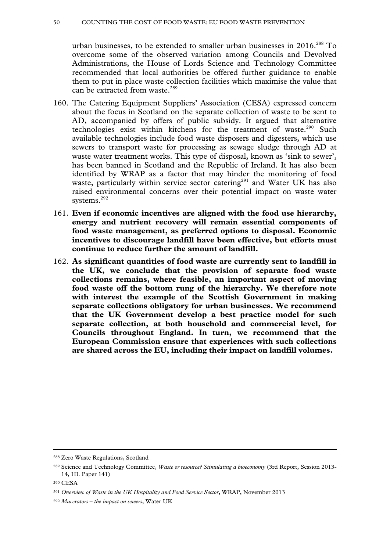#### 50 COUNTING THE COST OF FOOD WASTE: EU FOOD WASTE PREVENTION

urban businesses, to be extended to smaller urban businesses in 2016.<sup>288</sup> To overcome some of the observed variation among Councils and Devolved Administrations, the House of Lords Science and Technology Committee recommended that local authorities be offered further guidance to enable them to put in place waste collection facilities which maximise the value that can be extracted from waste.<sup>289</sup>

- 160. The Catering Equipment Suppliers' Association (CESA) expressed concern about the focus in Scotland on the separate collection of waste to be sent to AD, accompanied by offers of public subsidy. It argued that alternative technologies exist within kitchens for the treatment of waste.<sup>290</sup> Such available technologies include food waste disposers and digesters, which use sewers to transport waste for processing as sewage sludge through AD at waste water treatment works. This type of disposal, known as 'sink to sewer', has been banned in Scotland and the Republic of Ireland. It has also been identified by WRAP as a factor that may hinder the monitoring of food waste, particularly within service sector catering<sup>291</sup> and Water UK has also raised environmental concerns over their potential impact on waste water systems.<sup>292</sup>
- 161. **Even if economic incentives are aligned with the food use hierarchy, energy and nutrient recovery will remain essential components of food waste management, as preferred options to disposal. Economic incentives to discourage landfill have been effective, but efforts must continue to reduce further the amount of landfill.**
- 162. **As significant quantities of food waste are currently sent to landfill in the UK, we conclude that the provision of separate food waste collections remains, where feasible, an important aspect of moving food waste off the bottom rung of the hierarchy. We therefore note with interest the example of the Scottish Government in making separate collections obligatory for urban businesses. We recommend that the UK Government develop a best practice model for such separate collection, at both household and commercial level, for Councils throughout England. In turn, we recommend that the European Commission ensure that experiences with such collections are shared across the EU, including their impact on landfill volumes.**

 <sup>288</sup> Zero Waste Regulations, Scotland

<sup>289</sup> Science and Technology Committee, *Waste or resource? Stimulating a bioeconomy* (3rd Report, Session 2013- 14, HL Paper 141)

<sup>290</sup> CESA

<sup>291</sup> *Overview of Waste in the UK Hospitality and Food Service Sector*, WRAP, November 2013

<sup>292</sup> *Macerators – the impact on sewers*, Water UK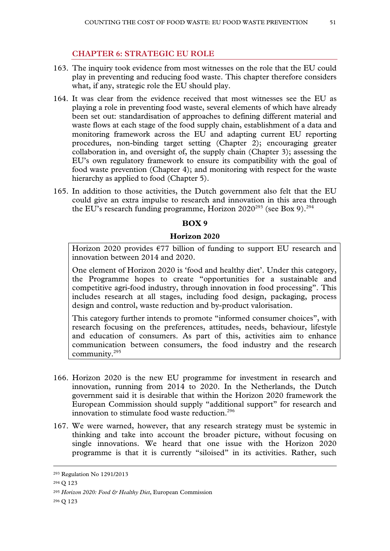# **CHAPTER 6: STRATEGIC EU ROLE**

- 163. The inquiry took evidence from most witnesses on the role that the EU could play in preventing and reducing food waste. This chapter therefore considers what, if any, strategic role the EU should play.
- 164. It was clear from the evidence received that most witnesses see the EU as playing a role in preventing food waste, several elements of which have already been set out: standardisation of approaches to defining different material and waste flows at each stage of the food supply chain, establishment of a data and monitoring framework across the EU and adapting current EU reporting procedures, non-binding target setting (Chapter 2); encouraging greater collaboration in, and oversight of, the supply chain (Chapter 3); assessing the EU's own regulatory framework to ensure its compatibility with the goal of food waste prevention (Chapter 4); and monitoring with respect for the waste hierarchy as applied to food (Chapter 5).
- 165. In addition to those activities, the Dutch government also felt that the EU could give an extra impulse to research and innovation in this area through the EU's research funding programme, Horizon  $2020^{293}$  (see Box 9).<sup>294</sup>

## **BOX 9**

#### **Horizon 2020**

Horizon 2020 provides  $\epsilon$ 77 billion of funding to support EU research and innovation between 2014 and 2020.

One element of Horizon 2020 is 'food and healthy diet'. Under this category, the Programme hopes to create "opportunities for a sustainable and competitive agri-food industry, through innovation in food processing". This includes research at all stages, including food design, packaging, process design and control, waste reduction and by-product valorisation.

This category further intends to promote "informed consumer choices", with research focusing on the preferences, attitudes, needs, behaviour, lifestyle and education of consumers. As part of this, activities aim to enhance communication between consumers, the food industry and the research community.295

- 166. Horizon 2020 is the new EU programme for investment in research and innovation, running from 2014 to 2020. In the Netherlands, the Dutch government said it is desirable that within the Horizon 2020 framework the European Commission should supply "additional support" for research and innovation to stimulate food waste reduction.<sup>296</sup>
- 167. We were warned, however, that any research strategy must be systemic in thinking and take into account the broader picture, without focusing on single innovations. We heard that one issue with the Horizon 2020 programme is that it is currently "siloised" in its activities. Rather, such

 <sup>293</sup> Regulation No 1291/2013

<sup>294</sup> Q 123

<sup>295</sup> *Horizon 2020: Food & Healthy Diet*, European Commission

<sup>296</sup> Q 123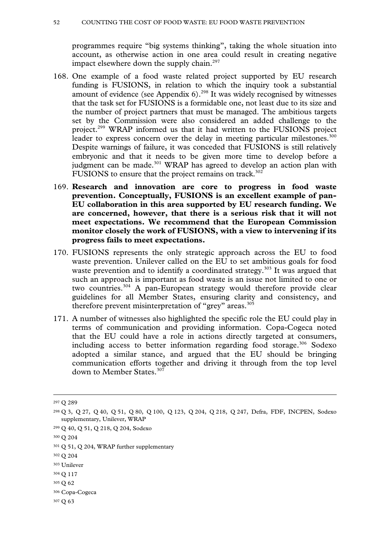programmes require "big systems thinking", taking the whole situation into account, as otherwise action in one area could result in creating negative impact elsewhere down the supply chain.<sup>297</sup>

- 168. One example of a food waste related project supported by EU research funding is FUSIONS, in relation to which the inquiry took a substantial amount of evidence (see Appendix  $6$ ).<sup>298</sup> It was widely recognised by witnesses that the task set for FUSIONS is a formidable one, not least due to its size and the number of project partners that must be managed. The ambitious targets set by the Commission were also considered an added challenge to the project.299 WRAP informed us that it had written to the FUSIONS project leader to express concern over the delay in meeting particular milestones.<sup>300</sup> Despite warnings of failure, it was conceded that FUSIONS is still relatively embryonic and that it needs to be given more time to develop before a judgment can be made.<sup>301</sup> WRAP has agreed to develop an action plan with FUSIONS to ensure that the project remains on track.<sup>302</sup>
- 169. **Research and innovation are core to progress in food waste prevention. Conceptually, FUSIONS is an excellent example of pan-EU collaboration in this area supported by EU research funding. We are concerned, however, that there is a serious risk that it will not meet expectations. We recommend that the European Commission monitor closely the work of FUSIONS, with a view to intervening if its progress fails to meet expectations.**
- 170. FUSIONS represents the only strategic approach across the EU to food waste prevention. Unilever called on the EU to set ambitious goals for food waste prevention and to identify a coordinated strategy.<sup>303</sup> It was argued that such an approach is important as food waste is an issue not limited to one or two countries.304 A pan-European strategy would therefore provide clear guidelines for all Member States, ensuring clarity and consistency, and therefore prevent misinterpretation of "grey" areas.<sup>305</sup>
- 171. A number of witnesses also highlighted the specific role the EU could play in terms of communication and providing information. Copa-Cogeca noted that the EU could have a role in actions directly targeted at consumers, including access to better information regarding food storage.<sup>306</sup> Sodexo adopted a similar stance, and argued that the EU should be bringing communication efforts together and driving it through from the top level down to Member States.<sup>307</sup>

- 302 Q 204
- 303 Unilever
- 304 Q 117
- 305 Q 62
- 306 Copa-Cogeca
- 307 Q 63

 <sup>297</sup> Q 289

<sup>298</sup> Q 3, Q 27, Q 40, Q 51, Q 80, Q 100, Q 123, Q 204, Q 218, Q 247, Defra, FDF, INCPEN, Sodexo supplementary, Unilever, WRAP

<sup>299</sup> Q 40, Q 51, Q 218, Q 204, Sodexo

<sup>300</sup> Q 204

<sup>&</sup>lt;sup>301</sup> Q 51, Q 204, WRAP further supplementary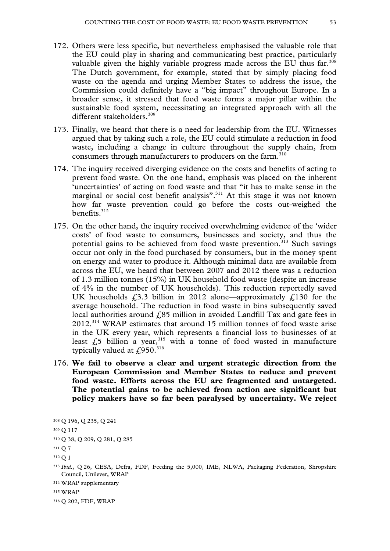- 172. Others were less specific, but nevertheless emphasised the valuable role that the EU could play in sharing and communicating best practice, particularly valuable given the highly variable progress made across the EU thus far.<sup>308</sup> The Dutch government, for example, stated that by simply placing food waste on the agenda and urging Member States to address the issue, the Commission could definitely have a "big impact" throughout Europe. In a broader sense, it stressed that food waste forms a major pillar within the sustainable food system, necessitating an integrated approach with all the different stakeholders.<sup>309</sup>
- 173. Finally, we heard that there is a need for leadership from the EU. Witnesses argued that by taking such a role, the EU could stimulate a reduction in food waste, including a change in culture throughout the supply chain, from consumers through manufacturers to producers on the farm.<sup>310</sup>
- 174. The inquiry received diverging evidence on the costs and benefits of acting to prevent food waste. On the one hand, emphasis was placed on the inherent 'uncertainties' of acting on food waste and that "it has to make sense in the marginal or social cost benefit analysis".<sup>311</sup> At this stage it was not known how far waste prevention could go before the costs out-weighed the benefits.<sup>312</sup>
- 175. On the other hand, the inquiry received overwhelming evidence of the 'wider costs' of food waste to consumers, businesses and society, and thus the potential gains to be achieved from food waste prevention.<sup>313</sup> Such savings occur not only in the food purchased by consumers, but in the money spent on energy and water to produce it. Although minimal data are available from across the EU, we heard that between 2007 and 2012 there was a reduction of 1.3 million tonnes (15%) in UK household food waste (despite an increase of 4% in the number of UK households). This reduction reportedly saved UK households  $\epsilon$ , 3.3 billion in 2012 alone—approximately  $\epsilon$ , 130 for the average household. The reduction in food waste in bins subsequently saved local authorities around  $\ell$ 85 million in avoided Landfill Tax and gate fees in 2012.314 WRAP estimates that around 15 million tonnes of food waste arise in the UK every year, which represents a financial loss to businesses of at least  $f<sub>0</sub>5$  billion a year,<sup>315</sup> with a tonne of food wasted in manufacture typically valued at £950.<sup>316</sup>
- 176. **We fail to observe a clear and urgent strategic direction from the European Commission and Member States to reduce and prevent food waste. Efforts across the EU are fragmented and untargeted. The potential gains to be achieved from action are significant but policy makers have so far been paralysed by uncertainty. We reject**

 <sup>308</sup> Q 196, Q 235, Q 241

<sup>309</sup> Q 117

<sup>310</sup> Q 38, Q 209, Q 281, Q 285

 $311 \Omega$  7

<sup>312</sup> Q 1

<sup>313</sup> *Ibid*., Q 26, CESA, Defra, FDF, Feeding the 5,000, IME, NLWA, Packaging Federation, Shropshire Council, Unilever, WRAP

<sup>314</sup> WRAP supplementary

<sup>315</sup> WRAP

<sup>316</sup> Q 202, FDF, WRAP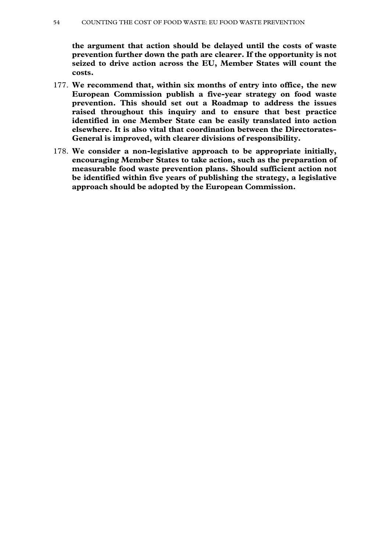**the argument that action should be delayed until the costs of waste prevention further down the path are clearer. If the opportunity is not seized to drive action across the EU, Member States will count the costs.**

- 177. **We recommend that, within six months of entry into office, the new European Commission publish a five-year strategy on food waste prevention. This should set out a Roadmap to address the issues raised throughout this inquiry and to ensure that best practice identified in one Member State can be easily translated into action elsewhere. It is also vital that coordination between the Directorates-General is improved, with clearer divisions of responsibility.**
- 178. **We consider a non-legislative approach to be appropriate initially, encouraging Member States to take action, such as the preparation of measurable food waste prevention plans. Should sufficient action not be identified within five years of publishing the strategy, a legislative approach should be adopted by the European Commission.**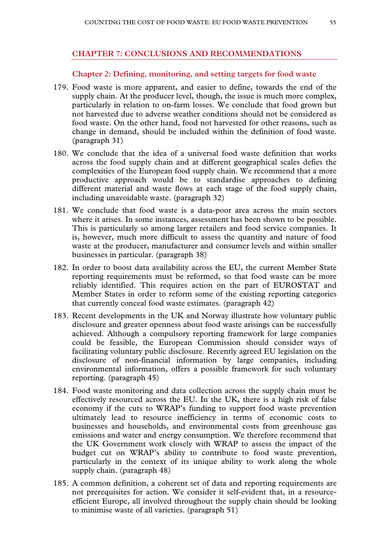### **CHAPTER 7: CONCLUSIONS AND RECOMMENDATIONS**

#### **Chapter 2: Defining, monitoring, and setting targets for food waste**

- 179. Food waste is more apparent, and easier to define, towards the end of the supply chain. At the producer level, though, the issue is much more complex, particularly in relation to on-farm losses. We conclude that food grown but not harvested due to adverse weather conditions should not be considered as food waste. On the other hand, food not harvested for other reasons, such as change in demand, should be included within the definition of food waste. (paragraph 31)
- 180. We conclude that the idea of a universal food waste definition that works across the food supply chain and at different geographical scales defies the complexities of the European food supply chain. We recommend that a more productive approach would be to standardise approaches to defining different material and waste flows at each stage of the food supply chain, including unavoidable waste. (paragraph 32)
- 181. We conclude that food waste is a data-poor area across the main sectors where it arises. In some instances, assessment has been shown to be possible. This is particularly so among larger retailers and food service companies. It is, however, much more difficult to assess the quantity and nature of food waste at the producer, manufacturer and consumer levels and within smaller businesses in particular. (paragraph 38)
- 182. In order to boost data availability across the EU, the current Member State reporting requirements must be reformed, so that food waste can be more reliably identified. This requires action on the part of EUROSTAT and Member States in order to reform some of the existing reporting categories that currently conceal food waste estimates. (paragraph 42)
- 183. Recent developments in the UK and Norway illustrate how voluntary public disclosure and greater openness about food waste arisings can be successfully achieved. Although a compulsory reporting framework for large companies could be feasible, the European Commission should consider ways of facilitating voluntary public disclosure. Recently agreed EU legislation on the disclosure of non-financial information by large companies, including environmental information, offers a possible framework for such voluntary reporting. (paragraph 45)
- 184. Food waste monitoring and data collection across the supply chain must be effectively resourced across the EU. In the UK, there is a high risk of false economy if the cuts to WRAP's funding to support food waste prevention ultimately lead to resource inefficiency in terms of economic costs to businesses and households, and environmental costs from greenhouse gas emissions and water and energy consumption. We therefore recommend that the UK Government work closely with WRAP to assess the impact of the budget cut on WRAP's ability to contribute to food waste prevention, particularly in the context of its unique ability to work along the whole supply chain. (paragraph 48)
- 185. A common definition, a coherent set of data and reporting requirements are not prerequisites for action. We consider it self-evident that, in a resourceefficient Europe, all involved throughout the supply chain should be looking to minimise waste of all varieties. (paragraph 51)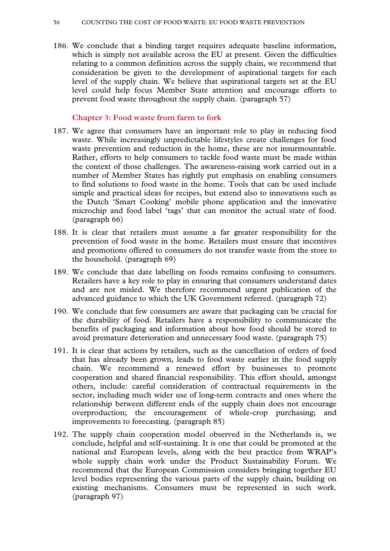186. We conclude that a binding target requires adequate baseline information, which is simply not available across the EU at present. Given the difficulties relating to a common definition across the supply chain, we recommend that consideration be given to the development of aspirational targets for each level of the supply chain. We believe that aspirational targets set at the EU level could help focus Member State attention and encourage efforts to prevent food waste throughout the supply chain. (paragraph 57)

### **Chapter 3: Food waste from farm to fork**

- 187. We agree that consumers have an important role to play in reducing food waste. While increasingly unpredictable lifestyles create challenges for food waste prevention and reduction in the home, these are not insurmountable. Rather, efforts to help consumers to tackle food waste must be made within the context of those challenges. The awareness-raising work carried out in a number of Member States has rightly put emphasis on enabling consumers to find solutions to food waste in the home. Tools that can be used include simple and practical ideas for recipes, but extend also to innovations such as the Dutch 'Smart Cooking' mobile phone application and the innovative microchip and food label 'tags' that can monitor the actual state of food. (paragraph 66)
- 188. It is clear that retailers must assume a far greater responsibility for the prevention of food waste in the home. Retailers must ensure that incentives and promotions offered to consumers do not transfer waste from the store to the household. (paragraph 69)
- 189. We conclude that date labelling on foods remains confusing to consumers. Retailers have a key role to play in ensuring that consumers understand dates and are not misled. We therefore recommend urgent publication of the advanced guidance to which the UK Government referred. (paragraph 72)
- 190. We conclude that few consumers are aware that packaging can be crucial for the durability of food. Retailers have a responsibility to communicate the benefits of packaging and information about how food should be stored to avoid premature deterioration and unnecessary food waste. (paragraph 75)
- 191. It is clear that actions by retailers, such as the cancellation of orders of food that has already been grown, leads to food waste earlier in the food supply chain. We recommend a renewed effort by businesses to promote cooperation and shared financial responsibility. This effort should, amongst others, include: careful consideration of contractual requirements in the sector, including much wider use of long-term contracts and ones where the relationship between different ends of the supply chain does not encourage overproduction; the encouragement of whole-crop purchasing; and improvements to forecasting. (paragraph 85)
- 192. The supply chain cooperation model observed in the Netherlands is, we conclude, helpful and self-sustaining. It is one that could be promoted at the national and European levels, along with the best practice from WRAP's whole supply chain work under the Product Sustainability Forum. We recommend that the European Commission considers bringing together EU level bodies representing the various parts of the supply chain, building on existing mechanisms. Consumers must be represented in such work. (paragraph 97)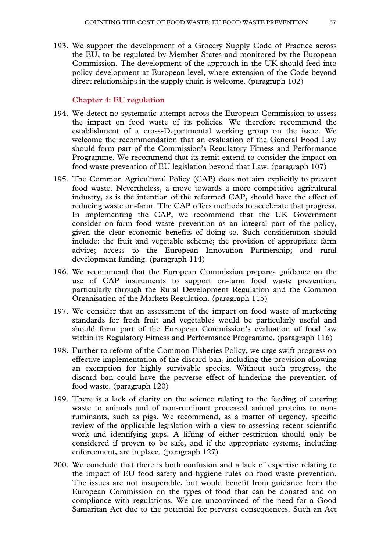193. We support the development of a Grocery Supply Code of Practice across the EU, to be regulated by Member States and monitored by the European Commission. The development of the approach in the UK should feed into policy development at European level, where extension of the Code beyond direct relationships in the supply chain is welcome. (paragraph 102)

### **Chapter 4: EU regulation**

- 194. We detect no systematic attempt across the European Commission to assess the impact on food waste of its policies. We therefore recommend the establishment of a cross-Departmental working group on the issue. We welcome the recommendation that an evaluation of the General Food Law should form part of the Commission's Regulatory Fitness and Performance Programme. We recommend that its remit extend to consider the impact on food waste prevention of EU legislation beyond that Law. (paragraph 107)
- 195. The Common Agricultural Policy (CAP) does not aim explicitly to prevent food waste. Nevertheless, a move towards a more competitive agricultural industry, as is the intention of the reformed CAP, should have the effect of reducing waste on-farm. The CAP offers methods to accelerate that progress. In implementing the CAP, we recommend that the UK Government consider on-farm food waste prevention as an integral part of the policy, given the clear economic benefits of doing so. Such consideration should include: the fruit and vegetable scheme; the provision of appropriate farm advice; access to the European Innovation Partnership; and rural development funding. (paragraph 114)
- 196. We recommend that the European Commission prepares guidance on the use of CAP instruments to support on-farm food waste prevention, particularly through the Rural Development Regulation and the Common Organisation of the Markets Regulation. (paragraph 115)
- 197. We consider that an assessment of the impact on food waste of marketing standards for fresh fruit and vegetables would be particularly useful and should form part of the European Commission's evaluation of food law within its Regulatory Fitness and Performance Programme. (paragraph 116)
- 198. Further to reform of the Common Fisheries Policy, we urge swift progress on effective implementation of the discard ban, including the provision allowing an exemption for highly survivable species. Without such progress, the discard ban could have the perverse effect of hindering the prevention of food waste. (paragraph 120)
- 199. There is a lack of clarity on the science relating to the feeding of catering waste to animals and of non-ruminant processed animal proteins to nonruminants, such as pigs. We recommend, as a matter of urgency, specific review of the applicable legislation with a view to assessing recent scientific work and identifying gaps. A lifting of either restriction should only be considered if proven to be safe, and if the appropriate systems, including enforcement, are in place. (paragraph 127)
- 200. We conclude that there is both confusion and a lack of expertise relating to the impact of EU food safety and hygiene rules on food waste prevention. The issues are not insuperable, but would benefit from guidance from the European Commission on the types of food that can be donated and on compliance with regulations. We are unconvinced of the need for a Good Samaritan Act due to the potential for perverse consequences. Such an Act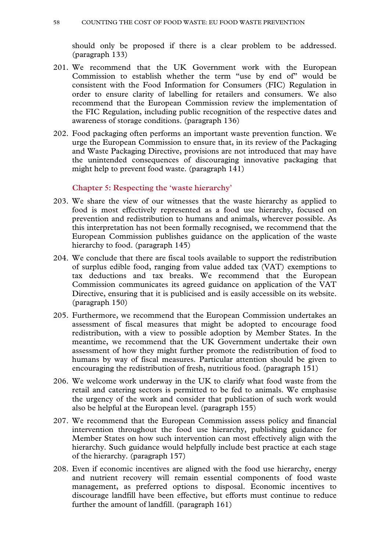should only be proposed if there is a clear problem to be addressed. (paragraph 133)

- 201. We recommend that the UK Government work with the European Commission to establish whether the term "use by end of" would be consistent with the Food Information for Consumers (FIC) Regulation in order to ensure clarity of labelling for retailers and consumers. We also recommend that the European Commission review the implementation of the FIC Regulation, including public recognition of the respective dates and awareness of storage conditions. (paragraph 136)
- 202. Food packaging often performs an important waste prevention function. We urge the European Commission to ensure that, in its review of the Packaging and Waste Packaging Directive, provisions are not introduced that may have the unintended consequences of discouraging innovative packaging that might help to prevent food waste. (paragraph 141)

#### **Chapter 5: Respecting the 'waste hierarchy'**

- 203. We share the view of our witnesses that the waste hierarchy as applied to food is most effectively represented as a food use hierarchy, focused on prevention and redistribution to humans and animals, wherever possible. As this interpretation has not been formally recognised, we recommend that the European Commission publishes guidance on the application of the waste hierarchy to food. (paragraph 145)
- 204. We conclude that there are fiscal tools available to support the redistribution of surplus edible food, ranging from value added tax (VAT) exemptions to tax deductions and tax breaks. We recommend that the European Commission communicates its agreed guidance on application of the VAT Directive, ensuring that it is publicised and is easily accessible on its website. (paragraph 150)
- 205. Furthermore, we recommend that the European Commission undertakes an assessment of fiscal measures that might be adopted to encourage food redistribution, with a view to possible adoption by Member States. In the meantime, we recommend that the UK Government undertake their own assessment of how they might further promote the redistribution of food to humans by way of fiscal measures. Particular attention should be given to encouraging the redistribution of fresh, nutritious food. (paragraph 151)
- 206. We welcome work underway in the UK to clarify what food waste from the retail and catering sectors is permitted to be fed to animals. We emphasise the urgency of the work and consider that publication of such work would also be helpful at the European level. (paragraph 155)
- 207. We recommend that the European Commission assess policy and financial intervention throughout the food use hierarchy, publishing guidance for Member States on how such intervention can most effectively align with the hierarchy. Such guidance would helpfully include best practice at each stage of the hierarchy. (paragraph 157)
- 208. Even if economic incentives are aligned with the food use hierarchy, energy and nutrient recovery will remain essential components of food waste management, as preferred options to disposal. Economic incentives to discourage landfill have been effective, but efforts must continue to reduce further the amount of landfill. (paragraph 161)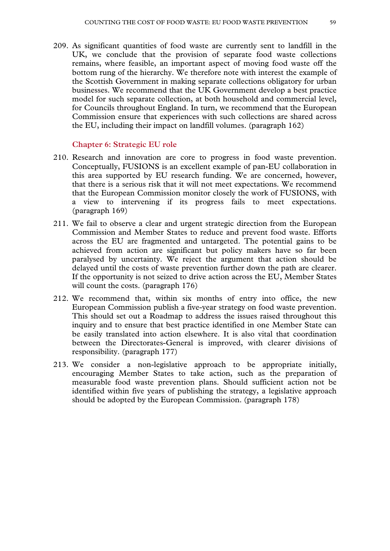209. As significant quantities of food waste are currently sent to landfill in the UK, we conclude that the provision of separate food waste collections remains, where feasible, an important aspect of moving food waste off the bottom rung of the hierarchy. We therefore note with interest the example of the Scottish Government in making separate collections obligatory for urban businesses. We recommend that the UK Government develop a best practice model for such separate collection, at both household and commercial level, for Councils throughout England. In turn, we recommend that the European Commission ensure that experiences with such collections are shared across the EU, including their impact on landfill volumes. (paragraph 162)

#### **Chapter 6: Strategic EU role**

- 210. Research and innovation are core to progress in food waste prevention. Conceptually, FUSIONS is an excellent example of pan-EU collaboration in this area supported by EU research funding. We are concerned, however, that there is a serious risk that it will not meet expectations. We recommend that the European Commission monitor closely the work of FUSIONS, with a view to intervening if its progress fails to meet expectations. (paragraph 169)
- 211. We fail to observe a clear and urgent strategic direction from the European Commission and Member States to reduce and prevent food waste. Efforts across the EU are fragmented and untargeted. The potential gains to be achieved from action are significant but policy makers have so far been paralysed by uncertainty. We reject the argument that action should be delayed until the costs of waste prevention further down the path are clearer. If the opportunity is not seized to drive action across the EU, Member States will count the costs. (paragraph 176)
- 212. We recommend that, within six months of entry into office, the new European Commission publish a five-year strategy on food waste prevention. This should set out a Roadmap to address the issues raised throughout this inquiry and to ensure that best practice identified in one Member State can be easily translated into action elsewhere. It is also vital that coordination between the Directorates-General is improved, with clearer divisions of responsibility. (paragraph 177)
- 213. We consider a non-legislative approach to be appropriate initially, encouraging Member States to take action, such as the preparation of measurable food waste prevention plans. Should sufficient action not be identified within five years of publishing the strategy, a legislative approach should be adopted by the European Commission. (paragraph 178)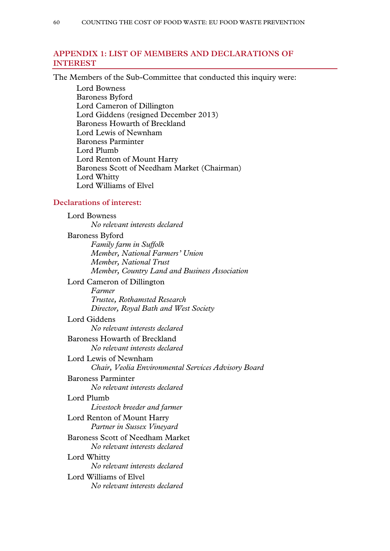# **APPENDIX 1: LIST OF MEMBERS AND DECLARATIONS OF INTEREST**

The Members of the Sub-Committee that conducted this inquiry were:

Lord Bowness Baroness Byford Lord Cameron of Dillington Lord Giddens (resigned December 2013) Baroness Howarth of Breckland Lord Lewis of Newnham Baroness Parminter Lord Plumb Lord Renton of Mount Harry Baroness Scott of Needham Market (Chairman) Lord Whitty Lord Williams of Elvel

### **Declarations of interest:**

Lord Bowness *No relevant interests declared*  Baroness Byford *Family farm in Suffolk Member, National Farmers' Union Member, National Trust Member, Country Land and Business Association*  Lord Cameron of Dillington *Farmer Trustee, Rothamsted Research Director, Royal Bath and West Society*  Lord Giddens *No relevant interests declared*  Baroness Howarth of Breckland *No relevant interests declared*  Lord Lewis of Newnham *Chair, Veolia Environmental Services Advisory Board*  Baroness Parminter *No relevant interests declared*  Lord Plumb *Livestock breeder and farmer*  Lord Renton of Mount Harry *Partner in Sussex Vineyard*  Baroness Scott of Needham Market *No relevant interests declared*  Lord Whitty *No relevant interests declared*  Lord Williams of Elvel *No relevant interests declared*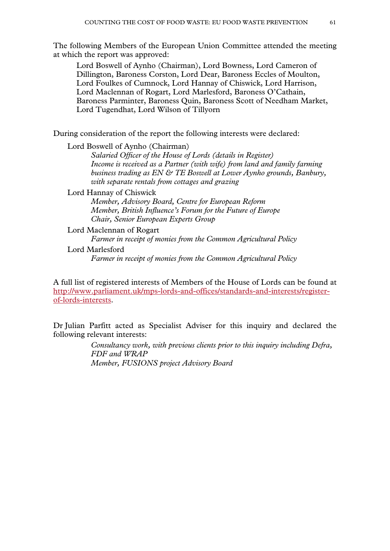The following Members of the European Union Committee attended the meeting at which the report was approved:

Lord Boswell of Aynho (Chairman), Lord Bowness, Lord Cameron of Dillington, Baroness Corston, Lord Dear, Baroness Eccles of Moulton, Lord Foulkes of Cumnock, Lord Hannay of Chiswick, Lord Harrison, Lord Maclennan of Rogart, Lord Marlesford, Baroness O'Cathain, Baroness Parminter, Baroness Quin, Baroness Scott of Needham Market, Lord Tugendhat, Lord Wilson of Tillyorn

During consideration of the report the following interests were declared:

Lord Boswell of Aynho (Chairman) *Salaried Officer of the House of Lords (details in Register) Income is received as a Partner (with wife) from land and family farming business trading as EN & TE Boswell at Lower Aynho grounds, Banbury, with separate rentals from cottages and grazing* 

Lord Hannay of Chiswick

*Member, Advisory Board, Centre for European Reform Member, British Influence's Forum for the Future of Europe Chair, Senior European Experts Group* 

Lord Maclennan of Rogart *Farmer in receipt of monies from the Common Agricultural Policy*  Lord Marlesford *Farmer in receipt of monies from the Common Agricultural Policy* 

A full list of registered interests of Members of the House of Lords can be found at http://www.parliament.uk/mps-lords-and-offices/standards-and-interests/registerof-lords-interests.

Dr Julian Parfitt acted as Specialist Adviser for this inquiry and declared the following relevant interests:

> *Consultancy work, with previous clients prior to this inquiry including Defra, FDF and WRAP Member, FUSIONS project Advisory Board*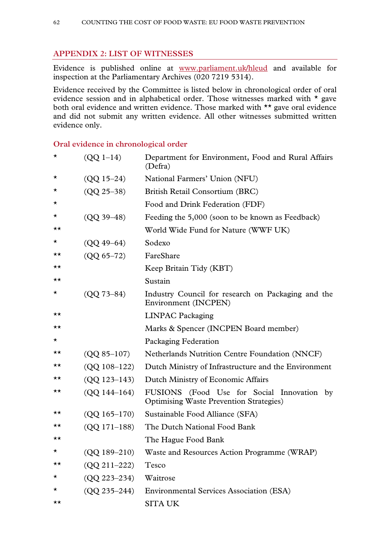# **APPENDIX 2: LIST OF WITNESSES**

Evidence is published online at www.parliament.uk/hleud and available for inspection at the Parliamentary Archives (020 7219 5314).

Evidence received by the Committee is listed below in chronological order of oral evidence session and in alphabetical order. Those witnesses marked with \* gave both oral evidence and written evidence. Those marked with \*\* gave oral evidence and did not submit any written evidence. All other witnesses submitted written evidence only.

### **Oral evidence in chronological order**

| *        | $(QQ 1-14)$      | Department for Environment, Food and Rural Affairs<br>(Defra)                                |
|----------|------------------|----------------------------------------------------------------------------------------------|
| $^\star$ | $(QQ 15 - 24)$   | National Farmers' Union (NFU)                                                                |
| $\star$  | $(QQ 25 - 38)$   | British Retail Consortium (BRC)                                                              |
| $\star$  |                  | Food and Drink Federation (FDF)                                                              |
| $\star$  | $(QQ 39 - 48)$   | Feeding the 5,000 (soon to be known as Feedback)                                             |
| ★★       |                  | World Wide Fund for Nature (WWF UK)                                                          |
| *        | $(QQ 49 - 64)$   | Sodexo                                                                                       |
| ★★       | $(QQ 65 - 72)$   | FareShare                                                                                    |
| ★★       |                  | Keep Britain Tidy (KBT)                                                                      |
| ★★       |                  | Sustain                                                                                      |
| *        | $(QQ 73 - 84)$   | Industry Council for research on Packaging and the<br>Environment (INCPEN)                   |
| ★★       |                  | <b>LINPAC Packaging</b>                                                                      |
| ★★       |                  | Marks & Spencer (INCPEN Board member)                                                        |
| $^\star$ |                  | Packaging Federation                                                                         |
| ★★       | $(QQ 85 - 107)$  | <b>Netherlands Nutrition Centre Foundation (NNCF)</b>                                        |
| ★★       | $(QQ 108-122)$   | Dutch Ministry of Infrastructure and the Environment                                         |
| ★★       | $(QQ 123 - 143)$ | Dutch Ministry of Economic Affairs                                                           |
| ★★       | $(QQ 144-164)$   | FUSIONS (Food Use for Social Innovation by<br><b>Optimising Waste Prevention Strategies)</b> |
| ★★       | $(QQ 165 - 170)$ | Sustainable Food Alliance (SFA)                                                              |
| ★★       | $(QQ 171-188)$   | The Dutch National Food Bank                                                                 |
| ★★       |                  | The Hague Food Bank                                                                          |
| $\star$  | $(QQ 189 - 210)$ | Waste and Resources Action Programme (WRAP)                                                  |
| ★★       | $(QQ 211 - 222)$ | Tesco                                                                                        |
| *        | $(QQ 223 - 234)$ | Waitrose                                                                                     |
| ★        | $(QQ 235 - 244)$ | <b>Environmental Services Association (ESA)</b>                                              |
| ★★       |                  | <b>SITA UK</b>                                                                               |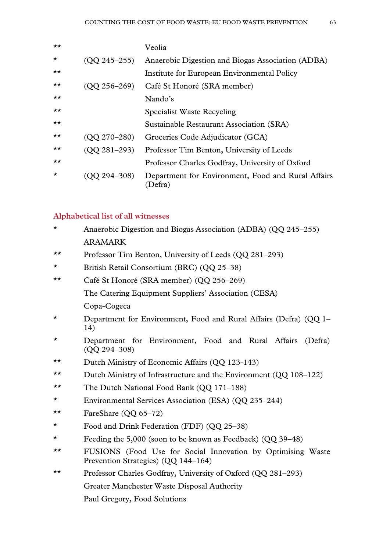| $\star\star$ |                    | Veolia                                                        |
|--------------|--------------------|---------------------------------------------------------------|
| $\star$      | $($ QQ 245-255 $)$ | Anaerobic Digestion and Biogas Association (ADBA)             |
| $\star\star$ |                    | Institute for European Environmental Policy                   |
| $\star\star$ | $($ QQ 256–269 $)$ | Café St Honoré (SRA member)                                   |
| $\star\star$ |                    | Nando's                                                       |
| $\star\star$ |                    | <b>Specialist Waste Recycling</b>                             |
| $\star\star$ |                    | Sustainable Restaurant Association (SRA)                      |
| $\star\star$ | $(QQ 270 - 280)$   | Groceries Code Adjudicator (GCA)                              |
| $\star\star$ | $(QQ 281 - 293)$   | Professor Tim Benton, University of Leeds                     |
| $\star\star$ |                    | Professor Charles Godfray, University of Oxford               |
| $\star$      | $Q294 - 308$       | Department for Environment, Food and Rural Affairs<br>(Defra) |

#### **Alphabetical list of all witnesses**

- \* Anaerobic Digestion and Biogas Association (ADBA) (QQ 245–255) ARAMARK
- \*\* Professor Tim Benton, University of Leeds (QQ 281–293)
- \* British Retail Consortium (BRC) (QQ 25–38)
- \*\* Café St Honoré (SRA member) (QQ 256–269) The Catering Equipment Suppliers' Association (CESA) Copa-Cogeca
- \* Department for Environment, Food and Rural Affairs (Defra) (QQ 1– 14)
- \* Department for Environment, Food and Rural Affairs (Defra) (QQ 294–308)
- \*\* Dutch Ministry of Economic Affairs (QQ 123-143)
- \*\* Dutch Ministry of Infrastructure and the Environment (QQ 108–122)
- \*\* The Dutch National Food Bank (QQ 171–188)
- \* Environmental Services Association (ESA) (QQ 235–244)
- \*\* FareShare  $(QQ 65-72)$
- \* Food and Drink Federation (FDF) (QQ 25–38)
- \* Feeding the 5,000 (soon to be known as Feedback) (QQ 39–48)
- \*\* FUSIONS (Food Use for Social Innovation by Optimising Waste Prevention Strategies) (QQ 144–164)
- \*\* Professor Charles Godfray, University of Oxford (QQ 281–293) Greater Manchester Waste Disposal Authority
	- Paul Gregory, Food Solutions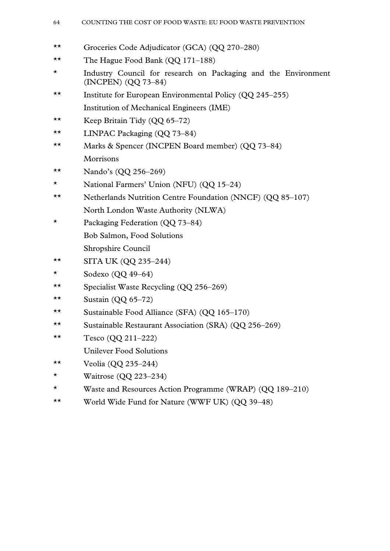#### 64 COUNTING THE COST OF FOOD WASTE: EU FOOD WASTE PREVENTION

- \*\* Groceries Code Adjudicator (GCA) (QQ 270–280)
- \*\* The Hague Food Bank (QQ 171–188)
- \* Industry Council for research on Packaging and the Environment (INCPEN) (QQ 73–84)
- \*\* Institute for European Environmental Policy (QQ 245–255) Institution of Mechanical Engineers (IME)
- \*\* Keep Britain Tidy (QQ 65–72)
- \*\* LINPAC Packaging (QQ 73–84)
- \*\* Marks & Spencer (INCPEN Board member) (QQ 73–84) Morrisons
- \*\* Nando's  $(QQ 256-269)$
- \* National Farmers' Union (NFU) (QQ 15–24)
- \*\* Netherlands Nutrition Centre Foundation (NNCF) (QQ 85–107) North London Waste Authority (NLWA)
- \* Packaging Federation (QQ 73–84) Bob Salmon, Food Solutions Shropshire Council
- \*\* SITA UK (QQ 235–244)
- $\star$  Sodexo (QQ 49–64)
- \*\* Specialist Waste Recycling (QQ 256–269)
- \*\* Sustain  $(QQ 65-72)$
- \*\* Sustainable Food Alliance (SFA) (QQ 165–170)
- \*\* Sustainable Restaurant Association (SRA) (QQ 256–269)
- \*\* Tesco (QQ 211–222)
	- Unilever Food Solutions
- \*\* Veolia (QQ 235–244)
- \* Waitrose  $(QQ 223-234)$
- \* Waste and Resources Action Programme (WRAP) (QQ 189–210)
- \*\* World Wide Fund for Nature (WWF UK) (QQ 39–48)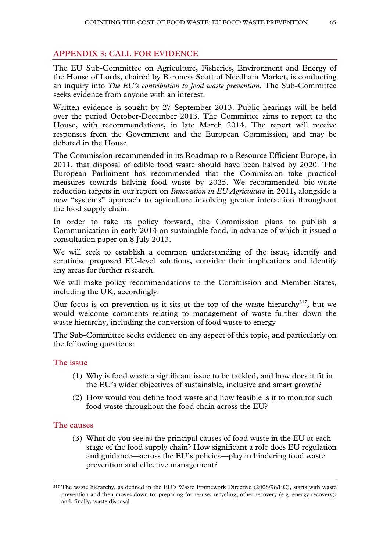# **APPENDIX 3: CALL FOR EVIDENCE**

The EU Sub-Committee on Agriculture, Fisheries, Environment and Energy of the House of Lords, chaired by Baroness Scott of Needham Market, is conducting an inquiry into *The EU's contribution to food waste prevention*. The Sub-Committee seeks evidence from anyone with an interest.

Written evidence is sought by 27 September 2013. Public hearings will be held over the period October-December 2013. The Committee aims to report to the House, with recommendations, in late March 2014. The report will receive responses from the Government and the European Commission, and may be debated in the House.

The Commission recommended in its Roadmap to a Resource Efficient Europe, in 2011, that disposal of edible food waste should have been halved by 2020. The European Parliament has recommended that the Commission take practical measures towards halving food waste by 2025. We recommended bio-waste reduction targets in our report on *Innovation in EU Agriculture* in 2011, alongside a new "systems" approach to agriculture involving greater interaction throughout the food supply chain.

In order to take its policy forward, the Commission plans to publish a Communication in early 2014 on sustainable food, in advance of which it issued a consultation paper on 8 July 2013.

We will seek to establish a common understanding of the issue, identify and scrutinise proposed EU-level solutions, consider their implications and identify any areas for further research.

We will make policy recommendations to the Commission and Member States, including the UK, accordingly.

Our focus is on prevention as it sits at the top of the waste hierarchy<sup>317</sup>, but we would welcome comments relating to management of waste further down the waste hierarchy, including the conversion of food waste to energy

The Sub-Committee seeks evidence on any aspect of this topic, and particularly on the following questions:

#### **The issue**

- (1) Why is food waste a significant issue to be tackled, and how does it fit in the EU's wider objectives of sustainable, inclusive and smart growth?
- (2) How would you define food waste and how feasible is it to monitor such food waste throughout the food chain across the EU?

### **The causes**

(3) What do you see as the principal causes of food waste in the EU at each stage of the food supply chain? How significant a role does EU regulation and guidance—across the EU's policies—play in hindering food waste prevention and effective management?

 <sup>317</sup> The waste hierarchy, as defined in the EU's Waste Framework Directive (2008/98/EC), starts with waste prevention and then moves down to: preparing for re-use; recycling; other recovery (e.g. energy recovery); and, finally, waste disposal.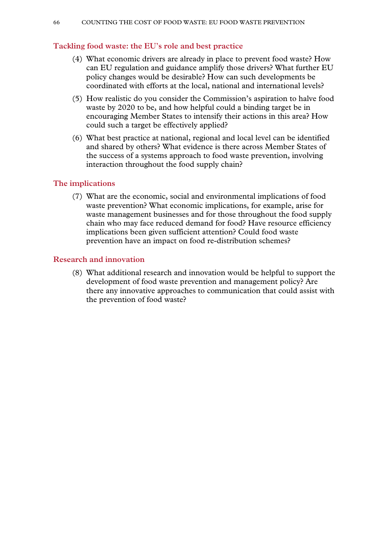### **Tackling food waste: the EU's role and best practice**

- (4) What economic drivers are already in place to prevent food waste? How can EU regulation and guidance amplify those drivers? What further EU policy changes would be desirable? How can such developments be coordinated with efforts at the local, national and international levels?
- (5) How realistic do you consider the Commission's aspiration to halve food waste by 2020 to be, and how helpful could a binding target be in encouraging Member States to intensify their actions in this area? How could such a target be effectively applied?
- (6) What best practice at national, regional and local level can be identified and shared by others? What evidence is there across Member States of the success of a systems approach to food waste prevention, involving interaction throughout the food supply chain?

### **The implications**

(7) What are the economic, social and environmental implications of food waste prevention? What economic implications, for example, arise for waste management businesses and for those throughout the food supply chain who may face reduced demand for food? Have resource efficiency implications been given sufficient attention? Could food waste prevention have an impact on food re-distribution schemes?

### **Research and innovation**

(8) What additional research and innovation would be helpful to support the development of food waste prevention and management policy? Are there any innovative approaches to communication that could assist with the prevention of food waste?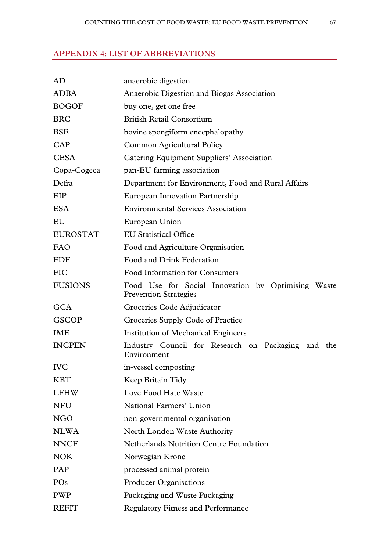# **APPENDIX 4: LIST OF ABBREVIATIONS**

| AD              | anaerobic digestion                                                                |
|-----------------|------------------------------------------------------------------------------------|
| <b>ADBA</b>     | Anaerobic Digestion and Biogas Association                                         |
| <b>BOGOF</b>    | buy one, get one free                                                              |
| <b>BRC</b>      | <b>British Retail Consortium</b>                                                   |
| <b>BSE</b>      | bovine spongiform encephalopathy                                                   |
| <b>CAP</b>      | Common Agricultural Policy                                                         |
| <b>CESA</b>     | Catering Equipment Suppliers' Association                                          |
| Copa-Cogeca     | pan-EU farming association                                                         |
| Defra           | Department for Environment, Food and Rural Affairs                                 |
| EIP             | <b>European Innovation Partnership</b>                                             |
| <b>ESA</b>      | <b>Environmental Services Association</b>                                          |
| EU              | European Union                                                                     |
| <b>EUROSTAT</b> | <b>EU Statistical Office</b>                                                       |
| <b>FAO</b>      | Food and Agriculture Organisation                                                  |
| <b>FDF</b>      | Food and Drink Federation                                                          |
| <b>FIC</b>      | Food Information for Consumers                                                     |
| <b>FUSIONS</b>  | Food Use for Social Innovation by Optimising Waste<br><b>Prevention Strategies</b> |
| <b>GCA</b>      | Groceries Code Adjudicator                                                         |
| <b>GSCOP</b>    | Groceries Supply Code of Practice                                                  |
| <b>IME</b>      | <b>Institution of Mechanical Engineers</b>                                         |
| <b>INCPEN</b>   | Industry Council for Research on Packaging and the<br>Environment                  |
| <b>IVC</b>      | in-vessel composting                                                               |
| <b>KBT</b>      | Keep Britain Tidy                                                                  |
| <b>LFHW</b>     | Love Food Hate Waste                                                               |
| <b>NFU</b>      | National Farmers' Union                                                            |
| NGO             | non-governmental organisation                                                      |
| <b>NLWA</b>     | North London Waste Authority                                                       |
| <b>NNCF</b>     | <b>Netherlands Nutrition Centre Foundation</b>                                     |
| <b>NOK</b>      | Norwegian Krone                                                                    |
| PAP             | processed animal protein                                                           |
| PO <sub>s</sub> | <b>Producer Organisations</b>                                                      |
| <b>PWP</b>      | Packaging and Waste Packaging                                                      |
| <b>REFIT</b>    | <b>Regulatory Fitness and Performance</b>                                          |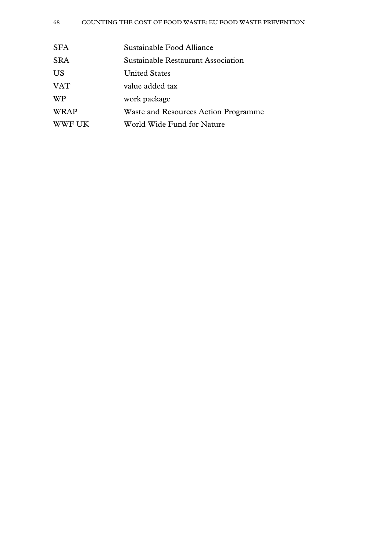| <b>SFA</b>  | Sustainable Food Alliance            |
|-------------|--------------------------------------|
| <b>SRA</b>  | Sustainable Restaurant Association   |
| <b>US</b>   | <b>United States</b>                 |
| <b>VAT</b>  | value added tax                      |
| WP          | work package                         |
| <b>WRAP</b> | Waste and Resources Action Programme |
| WWF UK      | World Wide Fund for Nature           |
|             |                                      |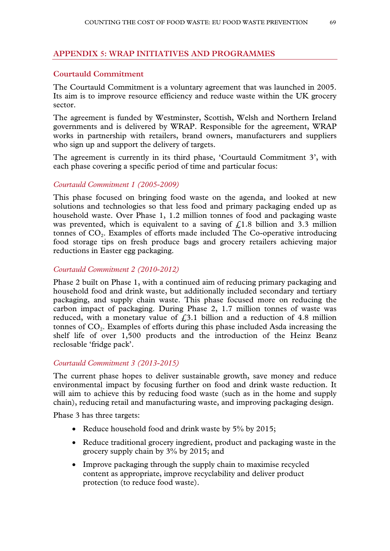### **APPENDIX 5: WRAP INITIATIVES AND PROGRAMMES**

### **Courtauld Commitment**

The Courtauld Commitment is a voluntary agreement that was launched in 2005. Its aim is to improve resource efficiency and reduce waste within the UK grocery sector.

The agreement is funded by Westminster, Scottish, Welsh and Northern Ireland governments and is delivered by WRAP. Responsible for the agreement, WRAP works in partnership with retailers, brand owners, manufacturers and suppliers who sign up and support the delivery of targets.

The agreement is currently in its third phase, 'Courtauld Commitment 3', with each phase covering a specific period of time and particular focus:

#### *Courtauld Commitment 1 (2005-2009)*

This phase focused on bringing food waste on the agenda, and looked at new solutions and technologies so that less food and primary packaging ended up as household waste. Over Phase 1, 1.2 million tonnes of food and packaging waste was prevented, which is equivalent to a saving of  $f<sub>1.8</sub>$  billion and 3.3 million tonnes of CO<sub>2</sub>. Examples of efforts made included The Co-operative introducing food storage tips on fresh produce bags and grocery retailers achieving major reductions in Easter egg packaging.

#### *Courtauld Commitment 2 (2010-2012)*

Phase 2 built on Phase 1, with a continued aim of reducing primary packaging and household food and drink waste, but additionally included secondary and tertiary packaging, and supply chain waste. This phase focused more on reducing the carbon impact of packaging. During Phase 2, 1.7 million tonnes of waste was reduced, with a monetary value of  $f(3.1)$  billion and a reduction of 4.8 million tonnes of CO<sub>2</sub>. Examples of efforts during this phase included Asda increasing the shelf life of over 1,500 products and the introduction of the Heinz Beanz reclosable 'fridge pack'.

#### *Courtauld Commitment 3 (2013-2015)*

The current phase hopes to deliver sustainable growth, save money and reduce environmental impact by focusing further on food and drink waste reduction. It will aim to achieve this by reducing food waste (such as in the home and supply chain), reducing retail and manufacturing waste, and improving packaging design.

Phase 3 has three targets:

- Reduce household food and drink waste by 5% by 2015;
- Reduce traditional grocery ingredient, product and packaging waste in the grocery supply chain by 3% by 2015; and
- Improve packaging through the supply chain to maximise recycled content as appropriate, improve recyclability and deliver product protection (to reduce food waste).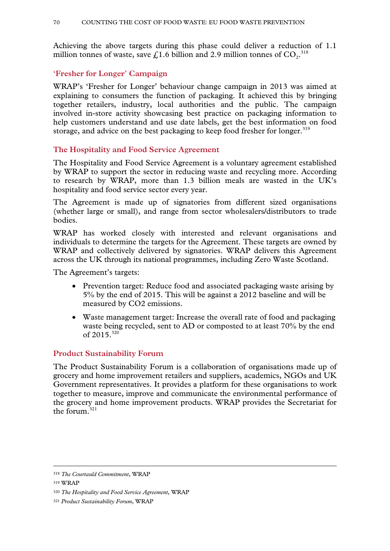Achieving the above targets during this phase could deliver a reduction of 1.1 million tonnes of waste, save £1.6 billion and 2.9 million tonnes of  $CO_2$ .<sup>318</sup>

# **'Fresher for Longer' Campaign**

WRAP's 'Fresher for Longer' behaviour change campaign in 2013 was aimed at explaining to consumers the function of packaging. It achieved this by bringing together retailers, industry, local authorities and the public. The campaign involved in-store activity showcasing best practice on packaging information to help customers understand and use date labels, get the best information on food storage, and advice on the best packaging to keep food fresher for longer.<sup>319</sup>

### **The Hospitality and Food Service Agreement**

The Hospitality and Food Service Agreement is a voluntary agreement established by WRAP to support the sector in reducing waste and recycling more. According to research by WRAP, more than 1.3 billion meals are wasted in the UK's hospitality and food service sector every year.

The Agreement is made up of signatories from different sized organisations (whether large or small), and range from sector wholesalers/distributors to trade bodies.

WRAP has worked closely with interested and relevant organisations and individuals to determine the targets for the Agreement. These targets are owned by WRAP and collectively delivered by signatories. WRAP delivers this Agreement across the UK through its national programmes, including Zero Waste Scotland.

The Agreement's targets:

- Prevention target: Reduce food and associated packaging waste arising by 5% by the end of 2015. This will be against a 2012 baseline and will be measured by CO2 emissions.
- Waste management target: Increase the overall rate of food and packaging waste being recycled, sent to AD or composted to at least 70% by the end of  $2015^{320}$

### **Product Sustainability Forum**

The Product Sustainability Forum is a collaboration of organisations made up of grocery and home improvement retailers and suppliers, academics, NGOs and UK Government representatives. It provides a platform for these organisations to work together to measure, improve and communicate the environmental performance of the grocery and home improvement products. WRAP provides the Secretariat for the forum. $321$ 

 <sup>318</sup> *The Courtauld Commitment*, WRAP

<sup>319</sup> WRAP

<sup>320</sup> *The Hospitality and Food Service Agreement*, WRAP

<sup>321</sup> *Product Sustainability Forum*, WRAP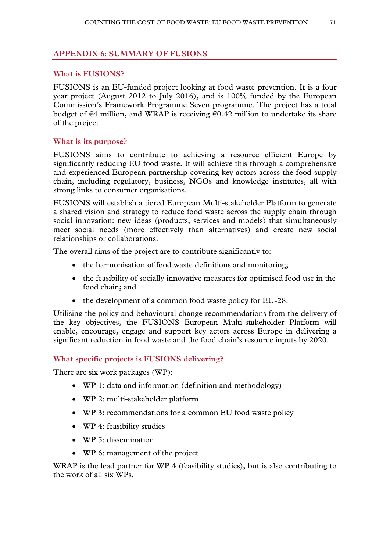# **APPENDIX 6: SUMMARY OF FUSIONS**

### **What is FUSIONS?**

FUSIONS is an EU-funded project looking at food waste prevention. It is a four year project (August 2012 to July 2016), and is 100% funded by the European Commission's Framework Programme Seven programme. The project has a total budget of  $\epsilon$ 4 million, and WRAP is receiving  $\epsilon$ 0.42 million to undertake its share of the project.

### **What is its purpose?**

FUSIONS aims to contribute to achieving a resource efficient Europe by significantly reducing EU food waste. It will achieve this through a comprehensive and experienced European partnership covering key actors across the food supply chain, including regulatory, business, NGOs and knowledge institutes, all with strong links to consumer organisations.

FUSIONS will establish a tiered European Multi-stakeholder Platform to generate a shared vision and strategy to reduce food waste across the supply chain through social innovation: new ideas (products, services and models) that simultaneously meet social needs (more effectively than alternatives) and create new social relationships or collaborations.

The overall aims of the project are to contribute significantly to:

- the harmonisation of food waste definitions and monitoring;
- the feasibility of socially innovative measures for optimised food use in the food chain; and
- the development of a common food waste policy for EU-28.

Utilising the policy and behavioural change recommendations from the delivery of the key objectives, the FUSIONS European Multi-stakeholder Platform will enable, encourage, engage and support key actors across Europe in delivering a significant reduction in food waste and the food chain's resource inputs by 2020.

### **What specific projects is FUSIONS delivering?**

There are six work packages (WP):

- WP 1: data and information (definition and methodology)
- WP 2: multi-stakeholder platform
- WP 3: recommendations for a common EU food waste policy
- WP 4: feasibility studies
- WP 5: dissemination
- WP 6: management of the project

WRAP is the lead partner for WP 4 (feasibility studies), but is also contributing to the work of all six WPs.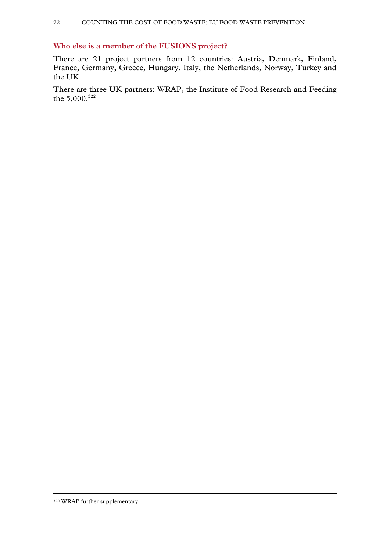# **Who else is a member of the FUSIONS project?**

There are 21 project partners from 12 countries: Austria, Denmark, Finland, France, Germany, Greece, Hungary, Italy, the Netherlands, Norway, Turkey and the UK.

There are three UK partners: WRAP, the Institute of Food Research and Feeding the 5,000.<sup>322</sup>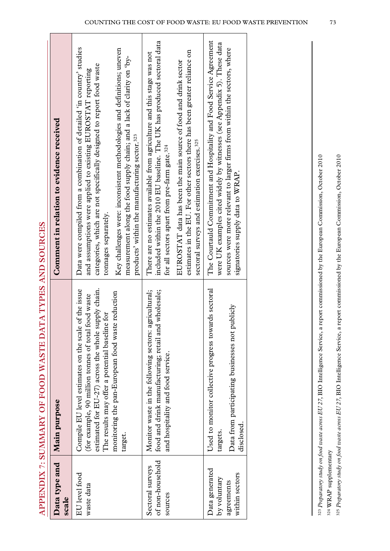|                                                 | APPENDIX /: SUMMARY OF FOOD WAS LE DATA TYPES AND SOURCES                                                                                                                                                                                                                           |                                                                                                                                                                                                                                                                                                                                                                                            |
|-------------------------------------------------|-------------------------------------------------------------------------------------------------------------------------------------------------------------------------------------------------------------------------------------------------------------------------------------|--------------------------------------------------------------------------------------------------------------------------------------------------------------------------------------------------------------------------------------------------------------------------------------------------------------------------------------------------------------------------------------------|
| Data type and<br>scale                          | Main purpose                                                                                                                                                                                                                                                                        | Comment in relation to evidence received                                                                                                                                                                                                                                                                                                                                                   |
| EU level food<br>waste data                     | estimated for EU-27) across the whole supply chain.<br>Compile EU level estimates on the scale of the issue<br>monitoring the pan-European food waste reduction<br>(for example, 90 million tonnes of total food waste<br>The results may offer a potential baseline for<br>target. | Data were compiled from a combination of detailed 'in country' studies<br>Key challenges were: inconsistent methodologies and definitions; uneven<br>measurement along the food supply chain; and a lack of clarity on 'by-<br>categories, which are not specifically designed to report food waste<br>and assumptions were applied to existing EUROSTAT reporting<br>tonnages separately. |
|                                                 |                                                                                                                                                                                                                                                                                     | products' within the manufacturing sector. <sup>323</sup>                                                                                                                                                                                                                                                                                                                                  |
| of non-household<br>Sectoral surveys<br>sources | food and drink manufacturing; retail and wholesale;<br>agricultural:<br>Monitor waste in the following sectors:<br>and hospitality and food service.                                                                                                                                | included within the 2010 EU baseline. The UK has produced sectoral data<br>There are no estimates available from agriculture and this stage was not<br>for all sectors apart from pre-farm gate. <sup>324</sup>                                                                                                                                                                            |
|                                                 |                                                                                                                                                                                                                                                                                     | estimates in the EU. For other sectors there has been greater reliance on<br>EUROSTAT data has been the main source of food and drink sector<br>sectoral surveys and estimation exercises. <sup>325</sup>                                                                                                                                                                                  |
| Data generated<br>by voluntary                  | Used to monitor collective progress towards sectoral<br>targets.                                                                                                                                                                                                                    | The Courtauld Commitment and Hospitality and Food Service Agreement<br>were UK examples cited widely by witnesses (see Appendix 5). These data                                                                                                                                                                                                                                             |
| within sectors<br>agreements                    | Data from participating businesses not publicly<br>disclosed.                                                                                                                                                                                                                       | sources were more relevant to larger firms from within the sectors, where<br>signatories supply data to WRAP.                                                                                                                                                                                                                                                                              |
|                                                 |                                                                                                                                                                                                                                                                                     |                                                                                                                                                                                                                                                                                                                                                                                            |

**APPENDIX 7: SUMMARY OF FOOD WASTE DATA TYPES AND SOURCES**  ANTY COTTOGE **TWOEC**  $\epsilon$ DAT **OF EQQD WASTE CTIMAN ADV**  $\ddot{\mathbf{r}}$ VIULTIQUE

323 Preparatory study on food waste across EU 27, BIO Intelligence Service, a report commissioned by the European Commission, October 2010 323 *Preparatory study on food waste across EU 27*, BIO Intelligence Service, a report commissioned by the European Commission, October 2010  $^{324}$  WRAP supplementary 324 WRAP supplementary

325 Preparatory study on food waste across EU 27, BIO Intelligence Service, a report commissioned by the European Commission, October 2010 325 *Preparatory study on food waste across EU 27*, BIO Intelligence Service, a report commissioned by the European Commission, October 2010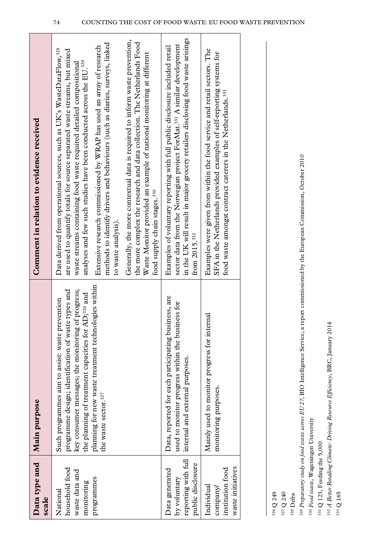| Data type and<br>scale                                                     | Main purpose                                                                                                                                                                                                                                                                                                                        | Comment in relation to evidence received                                                                                                                                                                                                                                                                                                                                                                                                                                                                 |
|----------------------------------------------------------------------------|-------------------------------------------------------------------------------------------------------------------------------------------------------------------------------------------------------------------------------------------------------------------------------------------------------------------------------------|----------------------------------------------------------------------------------------------------------------------------------------------------------------------------------------------------------------------------------------------------------------------------------------------------------------------------------------------------------------------------------------------------------------------------------------------------------------------------------------------------------|
| household food<br>waste data and<br>programmes<br>monitoring<br>National   | planning for new waste treatment technologies within<br>key consumer messages; the monitoring of progress;<br>iste types and<br>the planning of treatment capacities for AD; <sup>326</sup> and<br>prevention<br>programme design; identification of wa<br>Such programmes aim to assist: waste<br>the waste sector. <sup>327</sup> | methods to identify drivers and behaviours (such as diaries, surveys, linked<br>Extensive research commissioned by WRAP has used an array of research<br>Data derived from operational sources, such as UK's WasteDataFlow, <sup>328</sup><br>are used to quantify totals for source separated waste streams, but mixed<br>analyses and few such studies have been conducted across the EU. <sup>329</sup><br>waste streams containing food waste required detailed compositional<br>to waste analysis). |
|                                                                            |                                                                                                                                                                                                                                                                                                                                     | Generally, the more contextual data is required to inform waste prevention,<br>the more complex the research and data collection. The Netherlands Food<br>Waste Monitor provided an example of national monitoring at different<br>food supply chain stages. <sup>330</sup>                                                                                                                                                                                                                              |
| reporting with full<br>public disclosure<br>Data generated<br>by voluntary | Data, reported for each participating business, are<br>used to monitor progress within the business for<br>internal and external purposes.                                                                                                                                                                                          | in the UK will result in major grocery retailers disclosing food waste arisings<br>sector data from the Norwegian project ForMat. <sup>331</sup> A similar development<br>Examples of voluntary reporting with full public disclosure included retail<br>from 2015. <sup>332</sup>                                                                                                                                                                                                                       |
| waste initiatives<br>institution food<br>Individual<br>company/            | crnal<br>Mainly used to monitor progress for int<br>monitoring purposes.                                                                                                                                                                                                                                                            | Examples were given from within the food service and retail sectors. The<br>SFA in the Netherlands provided examples of self-reporting systems for<br>food waste amongst contract caterers in the Netherlands. <sup>333</sup>                                                                                                                                                                                                                                                                            |
|                                                                            |                                                                                                                                                                                                                                                                                                                                     |                                                                                                                                                                                                                                                                                                                                                                                                                                                                                                          |

326 Q 249

327 Q 240

328 Defra 328 Defra

329 Preparatory study on food waste across EU 27, BIO Intelligence Service, a report commissioned by the European Commission, October 2010 329 *Preparatory study on food waste across EU 27*, BIO Intelligence Service, a report commissioned by the European Commission, October 2010

330 Food waste, Wageningen University 330 *Food waste*, Wageningen University

 $^{331}$  Q 123, Feeding the 5,000 331 Q 123, Feeding the 5,000

332 A Better Retailing Climate: Driving Resource Efficiency, BRC, January 2014 332 *A Better Retailing Climate: Driving Resource Efficiency*, BRC, January 2014

333 Q 165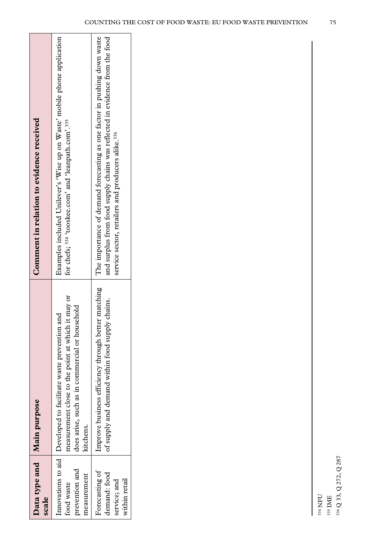| Data type and Main purpose<br>scale                             |                                                                                                                                                                                          | Comment in relation to evidence received                                                                                                                                                                                 |
|-----------------------------------------------------------------|------------------------------------------------------------------------------------------------------------------------------------------------------------------------------------------|--------------------------------------------------------------------------------------------------------------------------------------------------------------------------------------------------------------------------|
| prevention and<br>measurement<br>food waste                     | measurement close to the point at which it may or<br>does arise, such as in commercial or household<br>and<br>Innovations to aid   Developed to facilitate waste prevention<br>kitchens. | Examples included Unilever's 'Wise up on Waste' mobile phone application<br>for chefs; 334 'tooskee.com' and 'leanpath.com'.335                                                                                          |
| Forecasting of<br>demand: food<br>within retail<br>service; and | Improve business efficiency through better matching<br>of supply and demand within food supply chains.                                                                                   | The importance of demand forecasting as one factor in pushing down waste<br>and surplus from food supply chains was reflected in evidence from the food<br>service sector, retailers and producers alike. <sup>336</sup> |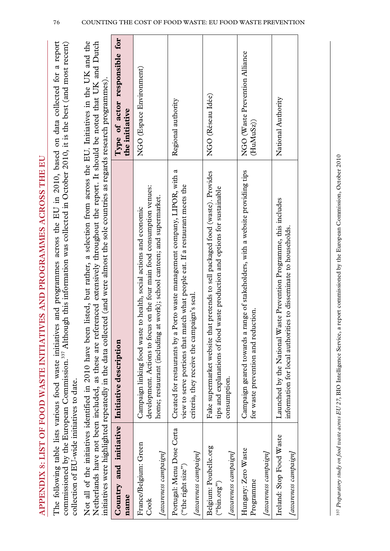| <br> <br> <br>                                                                                  |  |
|-------------------------------------------------------------------------------------------------|--|
|                                                                                                 |  |
|                                                                                                 |  |
|                                                                                                 |  |
|                                                                                                 |  |
|                                                                                                 |  |
|                                                                                                 |  |
|                                                                                                 |  |
| ו<br>ו                                                                                          |  |
|                                                                                                 |  |
|                                                                                                 |  |
|                                                                                                 |  |
|                                                                                                 |  |
|                                                                                                 |  |
|                                                                                                 |  |
|                                                                                                 |  |
|                                                                                                 |  |
|                                                                                                 |  |
|                                                                                                 |  |
|                                                                                                 |  |
|                                                                                                 |  |
|                                                                                                 |  |
| CE CON WASTE INITATIVE AND PROCRAMEN ACROSS THE HI<br>WARD LEARN AND LAND AND LAND AND HAND AND |  |
|                                                                                                 |  |
|                                                                                                 |  |
|                                                                                                 |  |
|                                                                                                 |  |
|                                                                                                 |  |
|                                                                                                 |  |
|                                                                                                 |  |
|                                                                                                 |  |
|                                                                                                 |  |
|                                                                                                 |  |
|                                                                                                 |  |
|                                                                                                 |  |
|                                                                                                 |  |
|                                                                                                 |  |
|                                                                                                 |  |
|                                                                                                 |  |
|                                                                                                 |  |
|                                                                                                 |  |
| <b>SI OF FOOD V</b>                                                                             |  |
|                                                                                                 |  |
|                                                                                                 |  |
|                                                                                                 |  |
|                                                                                                 |  |
|                                                                                                 |  |
|                                                                                                 |  |
|                                                                                                 |  |
|                                                                                                 |  |
|                                                                                                 |  |
|                                                                                                 |  |
|                                                                                                 |  |
|                                                                                                 |  |
|                                                                                                 |  |
|                                                                                                 |  |
|                                                                                                 |  |
|                                                                                                 |  |
|                                                                                                 |  |
|                                                                                                 |  |
|                                                                                                 |  |
|                                                                                                 |  |
|                                                                                                 |  |

The following table lists various food waste initiatives and programmes across the EU in 2010, based on data collected for a report commissioned by the European Commission.<sup>337</sup> Although this information was collected in October 2010, it is the best (and most recent) The following table lists various food waste initiatives and programmes across the EU in 2010, based on data collected for a report commissioned by the European Commission.<sup>337</sup> Although this information was collected in October 2010, it is the best (and most recent) collection of EU-wide initiatives to date. collection of EU-wide initiatives to date.

Not all of the initiatives identified in 2010 have been listed, but rather, a selection from across the EU. Initiatives in the UK and the Netherlands have not been included, as these are referenced extensively throughout the report. It should be noted that UK and Dutch Not all of the initiatives identified in 2010 have been listed, but rather, a selection from across the EU. Initiatives in the UK and the Netherlands have not been included, as these are referenced extensively throughout the report. It should be noted that UK and Dutch

|                                                                         | initiatives were highlighted repeatedly in the data collected (and were almost the sole countries as regards research programmes).                                                                                              |                                                 |
|-------------------------------------------------------------------------|---------------------------------------------------------------------------------------------------------------------------------------------------------------------------------------------------------------------------------|-------------------------------------------------|
| Country and initiative Initiative description<br>name                   |                                                                                                                                                                                                                                 | Type of actor responsible for<br>the initiative |
| France/Belgium: Green<br>[awareness campaign]<br>$\rm{Cook}$            | is on the four main food consumption venues:<br>home; restaurant (including at work); school canteen; and supermarket.<br>to health, social actions and economic<br>Campaign linking food waste<br>development. Actions to focu | NGO (Espace Environment)                        |
| Portugal: Menu Dose Certa<br>[awareness campaign]<br>("the right size") | Porto waste management company, LIPOR, with a<br>view to serve portions that match what people eat. If a restaurant meets the<br>criteria, they receive the campaign's seal.<br>Created for restaurants by a                    | Regional authority                              |
| Belgium: Poubelle.org<br>[awareness campaign]<br>("bin.org")            | Fake supermarket website that pretends to sell packaged food (waste). Provides<br>waste production and options for sustainable<br>tips and explanations of food<br>consumption.                                                 | NGO (Réseau Idée)                               |
| Hungary: Zero Waste<br>[awareness campaign]<br>Programme                | range of stakeholders, with a website providing tips<br>for waste prevention and reduction.<br>Campaign geared towards a 1                                                                                                      | NGO (Waste Prevention Alliance<br>(HuMuSz)      |
| Ireland: Stop Food Waste<br>[awareness campaign]                        | Launched by the National Waste Prevention Programme, this includes<br>information for local authorities to disseminate to households.                                                                                           | National Authority                              |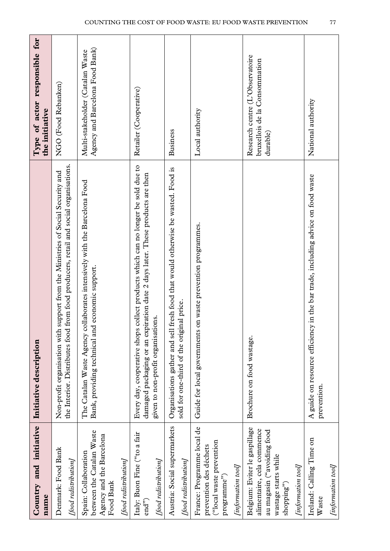| Country and initiative<br>name                                                                                                                        | Initiative description                                                                                                                                                                                     | Type of actor responsible for<br>the initiative                              |
|-------------------------------------------------------------------------------------------------------------------------------------------------------|------------------------------------------------------------------------------------------------------------------------------------------------------------------------------------------------------------|------------------------------------------------------------------------------|
| Denmark: Food Bank<br>[food redistribution]                                                                                                           | from food producers, retail and social organisations.<br>support from the Ministries of Social Security and<br>the Interior. Distributes food<br>Non-profit organisation with                              | NGO (Food Rebanken)                                                          |
| between the Catalan Waste<br>Agency and the Barcelona<br>Spain: Collaboration<br>[food redistribution]<br>Food Bank                                   | The Catalan Waste Agency collaborates intensively with the Barcelona Food<br>Bank, providing technical and economic support.                                                                               | Agency and Barcelona Food Bank)<br>Multi-stakeholder (Catalan Waste          |
| Italy: Buon Fine ("to a fair<br>[food redistribution]<br>end <sup>2</sup>                                                                             | collect products which can no longer be sold due to<br>damaged packaging or an expiration date 2 days later. These products are then<br>given to non-profit organisations.<br>Every day, cooperative shops | Retailer (Cooperative)                                                       |
| Austria: Social supermarkets<br>[food redistribution]                                                                                                 | fresh food that would otherwise be wasted. Food is<br>sold for one-third of the original price.<br>Organisations gather and sell                                                                           | <b>Business</b>                                                              |
| France: Programme local de<br>("local waste prevention<br>prevention des déchets<br>[information tool]<br>programme")                                 | Guide for local governments on waste prevention programmes.                                                                                                                                                | Local authority                                                              |
| Belgium: Eviter le gaspillage<br>alimentaire, cela commence<br>au magasin ("avoiding food<br>wastage starts while<br>[information tool]<br>shopping") | Brochure on food wastage.                                                                                                                                                                                  | Research centre (L'Observatoire<br>bruxellois de la Consommation<br>durable) |
| Ireland: Calling Time on<br>[information tool]<br>Waste                                                                                               | A guide on resource efficiency in the bar trade, including advice on food waste<br>prevention.                                                                                                             | National authority                                                           |